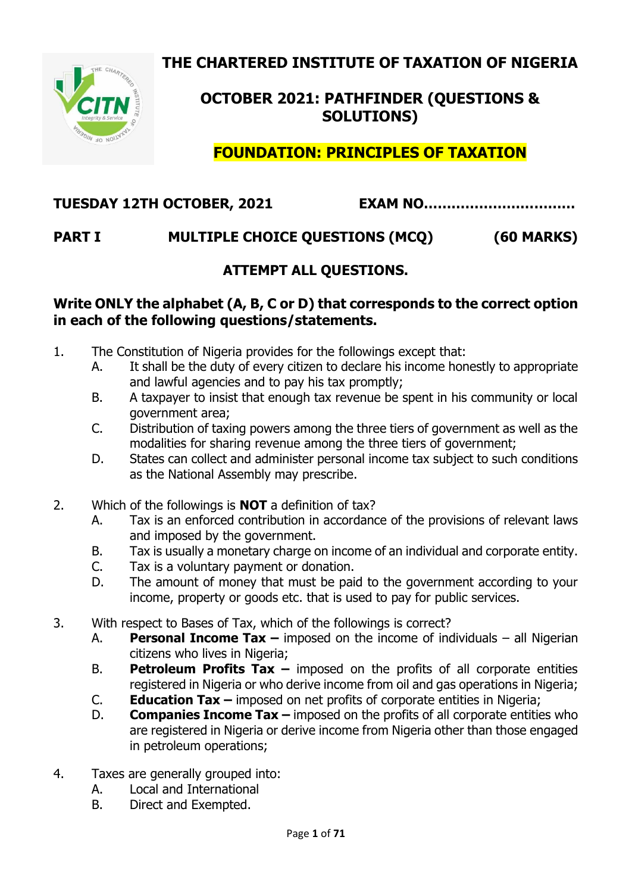**THE CHARTERED INSTITUTE OF TAXATION OF NIGERIA**



# **OCTOBER 2021: PATHFINDER (QUESTIONS & SOLUTIONS)**

**FOUNDATION: PRINCIPLES OF TAXATION**

# **TUESDAY 12TH OCTOBER, 2021 EXAM NO……………………………**

# **PART I MULTIPLE CHOICE QUESTIONS (MCQ) (60 MARKS)**

## **ATTEMPT ALL QUESTIONS.**

#### **Write ONLY the alphabet (A, B, C or D) that corresponds to the correct option in each of the following questions/statements.**

- 1. The Constitution of Nigeria provides for the followings except that:
	- A. It shall be the duty of every citizen to declare his income honestly to appropriate and lawful agencies and to pay his tax promptly;
	- B. A taxpayer to insist that enough tax revenue be spent in his community or local government area;
	- C. Distribution of taxing powers among the three tiers of government as well as the modalities for sharing revenue among the three tiers of government;
	- D. States can collect and administer personal income tax subject to such conditions as the National Assembly may prescribe.
- 2. Which of the followings is **NOT** a definition of tax?
	- A. Tax is an enforced contribution in accordance of the provisions of relevant laws and imposed by the government.
	- B. Tax is usually a monetary charge on income of an individual and corporate entity.
	- C. Tax is a voluntary payment or donation.
	- D. The amount of money that must be paid to the government according to your income, property or goods etc. that is used to pay for public services.
- 3. With respect to Bases of Tax, which of the followings is correct?
	- A. **Personal Income Tax –** imposed on the income of individuals all Nigerian citizens who lives in Nigeria;
	- B. **Petroleum Profits Tax –** imposed on the profits of all corporate entities registered in Nigeria or who derive income from oil and gas operations in Nigeria;
	- C. **Education Tax –** imposed on net profits of corporate entities in Nigeria;
	- D. **Companies Income Tax –** imposed on the profits of all corporate entities who are registered in Nigeria or derive income from Nigeria other than those engaged in petroleum operations;
- 4. Taxes are generally grouped into:
	- A. Local and International
	- B. Direct and Exempted.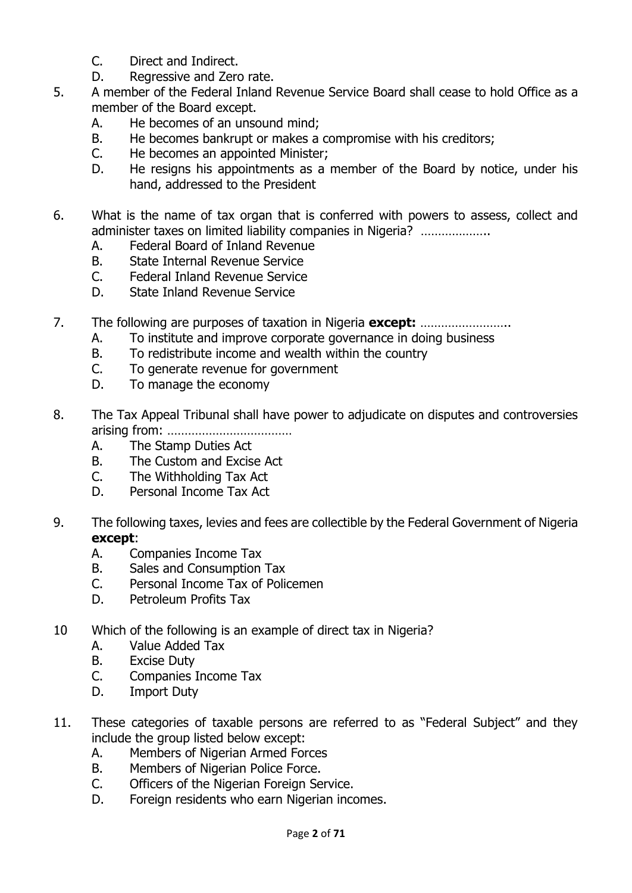- C. Direct and Indirect.
- D. Regressive and Zero rate.
- 5. A member of the Federal Inland Revenue Service Board shall cease to hold Office as a member of the Board except.
	- A. He becomes of an unsound mind;
	- B. He becomes bankrupt or makes a compromise with his creditors;
	- C. He becomes an appointed Minister;
	- D. He resigns his appointments as a member of the Board by notice, under his hand, addressed to the President
- 6. What is the name of tax organ that is conferred with powers to assess, collect and administer taxes on limited liability companies in Nigeria? …………………
	- A. Federal Board of Inland Revenue
	- B. State Internal Revenue Service
	- C. Federal Inland Revenue Service
	- D. State Inland Revenue Service
- 7. The following are purposes of taxation in Nigeria **except:** ……………………..
	- A. To institute and improve corporate governance in doing business
	- B. To redistribute income and wealth within the country
	- C. To generate revenue for government
	- D. To manage the economy
- 8. The Tax Appeal Tribunal shall have power to adjudicate on disputes and controversies arising from: ………………………………
	- A. The Stamp Duties Act
	- B. The Custom and Excise Act
	- C. The Withholding Tax Act
	- D. Personal Income Tax Act
- 9. The following taxes, levies and fees are collectible by the Federal Government of Nigeria **except**:
	- A. Companies Income Tax
	- B. Sales and Consumption Tax
	- C. Personal Income Tax of Policemen
	- D. Petroleum Profits Tax
- 10 Which of the following is an example of direct tax in Nigeria?
	- A. Value Added Tax
	- B. Excise Duty
	- C. Companies Income Tax
	- D. Import Duty
- 11. These categories of taxable persons are referred to as "Federal Subject" and they include the group listed below except:
	- A. Members of Nigerian Armed Forces
	- B. Members of Nigerian Police Force.
	- C. Officers of the Nigerian Foreign Service.
	- D. Foreign residents who earn Nigerian incomes.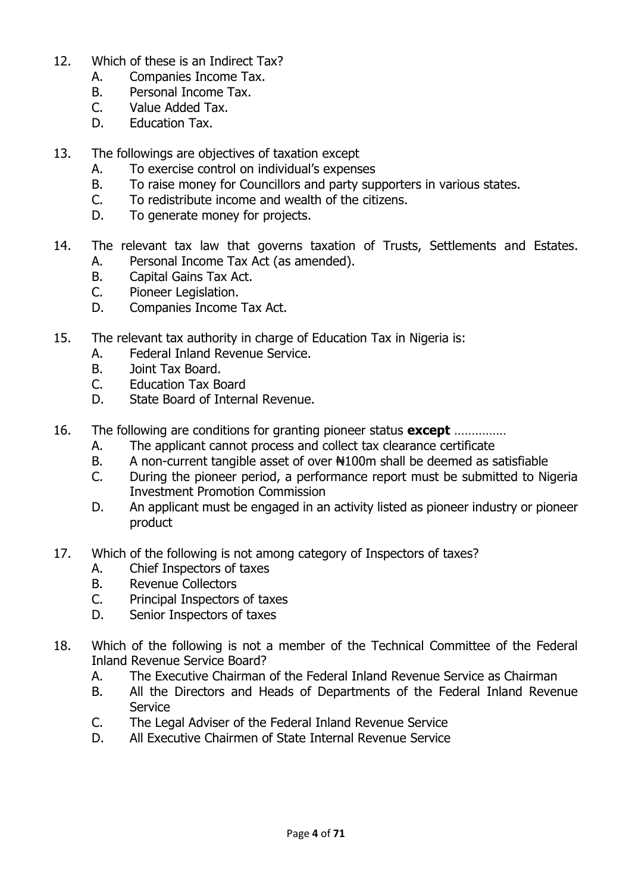- 12. Which of these is an Indirect Tax?
	- A. Companies Income Tax.
	- B. Personal Income Tax.
	- C. Value Added Tax.
	- D. Education Tax.
- 13. The followings are objectives of taxation except
	- A. To exercise control on individual's expenses
	- B. To raise money for Councillors and party supporters in various states.
	- C. To redistribute income and wealth of the citizens.
	- D. To generate money for projects.
- 14. The relevant tax law that governs taxation of Trusts, Settlements and Estates. A. Personal Income Tax Act (as amended).
	- B. Capital Gains Tax Act.
	- C. Pioneer Legislation.
	- D. Companies Income Tax Act.
- 15. The relevant tax authority in charge of Education Tax in Nigeria is:
	- A. Federal Inland Revenue Service.
	- B. Joint Tax Board.
	- C. Education Tax Board
	- D. State Board of Internal Revenue.
- 16. The following are conditions for granting pioneer status **except** ……………
	- A. The applicant cannot process and collect tax clearance certificate
	- B. A non-current tangible asset of over ₦100m shall be deemed as satisfiable
	- C. During the pioneer period, a performance report must be submitted to Nigeria Investment Promotion Commission
	- D. An applicant must be engaged in an activity listed as pioneer industry or pioneer product
- 17. Which of the following is not among category of Inspectors of taxes?
	- A. Chief Inspectors of taxes
	- B. Revenue Collectors
	- C. Principal Inspectors of taxes
	- D. Senior Inspectors of taxes
- 18. Which of the following is not a member of the Technical Committee of the Federal Inland Revenue Service Board?
	- A. The Executive Chairman of the Federal Inland Revenue Service as Chairman
	- B. All the Directors and Heads of Departments of the Federal Inland Revenue Service
	- C. The Legal Adviser of the Federal Inland Revenue Service
	- D. All Executive Chairmen of State Internal Revenue Service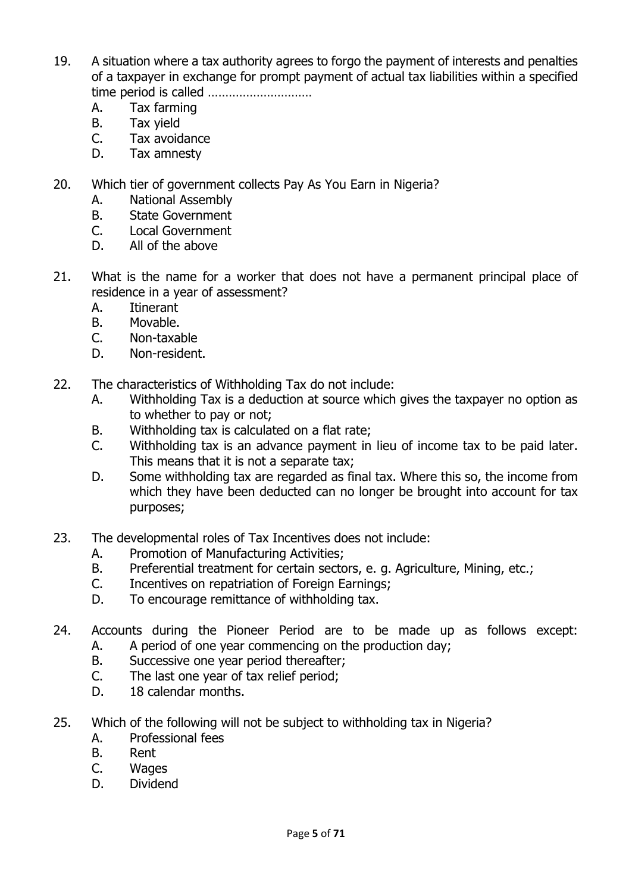- 19. A situation where a tax authority agrees to forgo the payment of interests and penalties of a taxpayer in exchange for prompt payment of actual tax liabilities within a specified time period is called …………………………
	- A. Tax farming
	- B. Tax yield
	- C. Tax avoidance
	- D. Tax amnesty
- 20. Which tier of government collects Pay As You Earn in Nigeria?
	- A. National Assembly
	- B. State Government
	- C. Local Government
	- D. All of the above
- 21. What is the name for a worker that does not have a permanent principal place of residence in a year of assessment?
	- A. Itinerant
	- B. Movable.
	- C. Non-taxable
	- D. Non-resident.
- 22. The characteristics of Withholding Tax do not include:
	- A. Withholding Tax is a deduction at source which gives the taxpayer no option as to whether to pay or not;
	- B. Withholding tax is calculated on a flat rate;
	- C. Withholding tax is an advance payment in lieu of income tax to be paid later. This means that it is not a separate tax;
	- D. Some withholding tax are regarded as final tax. Where this so, the income from which they have been deducted can no longer be brought into account for tax purposes;
- 23. The developmental roles of Tax Incentives does not include:
	- A. Promotion of Manufacturing Activities;
	- B. Preferential treatment for certain sectors, e. g. Agriculture, Mining, etc.;
	- C. Incentives on repatriation of Foreign Earnings;
	- D. To encourage remittance of withholding tax.
- 24. Accounts during the Pioneer Period are to be made up as follows except: A. A period of one year commencing on the production day;
	- B. Successive one year period thereafter;
	- C. The last one year of tax relief period;
	- D. 18 calendar months.
- 25. Which of the following will not be subject to withholding tax in Nigeria?
	- A. Professional fees
	- B. Rent
	- C. Wages
	- D. Dividend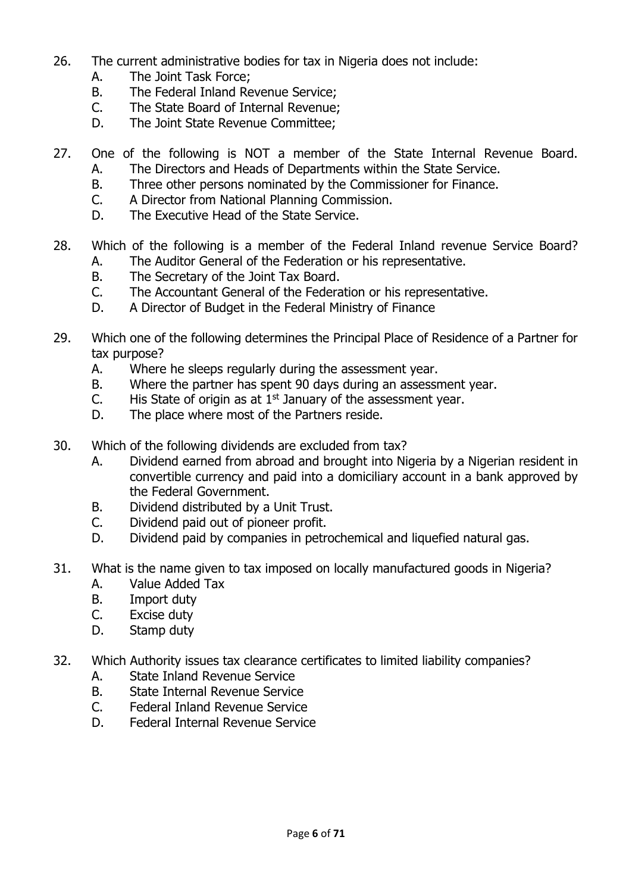- 26. The current administrative bodies for tax in Nigeria does not include:
	- A. The Joint Task Force;
	- B. The Federal Inland Revenue Service;
	- C. The State Board of Internal Revenue;
	- D. The Joint State Revenue Committee;
- 27. One of the following is NOT a member of the State Internal Revenue Board. A. The Directors and Heads of Departments within the State Service.
	- B. Three other persons nominated by the Commissioner for Finance.
	- C. A Director from National Planning Commission.
	- D. The Executive Head of the State Service.
- 28. Which of the following is a member of the Federal Inland revenue Service Board? A. The Auditor General of the Federation or his representative.
	- B. The Secretary of the Joint Tax Board.
	- C. The Accountant General of the Federation or his representative.
	- D. A Director of Budget in the Federal Ministry of Finance
- 29. Which one of the following determines the Principal Place of Residence of a Partner for tax purpose?
	- A. Where he sleeps regularly during the assessment year.
	- B. Where the partner has spent 90 days during an assessment year.
	- C. His State of origin as at  $1<sup>st</sup>$  January of the assessment year.
	- D. The place where most of the Partners reside.
- 30. Which of the following dividends are excluded from tax?
	- A. Dividend earned from abroad and brought into Nigeria by a Nigerian resident in convertible currency and paid into a domiciliary account in a bank approved by the Federal Government.
	- B. Dividend distributed by a Unit Trust.
	- C. Dividend paid out of pioneer profit.
	- D. Dividend paid by companies in petrochemical and liquefied natural gas.
- 31. What is the name given to tax imposed on locally manufactured goods in Nigeria?
	- A. Value Added Tax
	- B. Import duty
	- C. Excise duty
	- D. Stamp duty
- 32. Which Authority issues tax clearance certificates to limited liability companies?
	- A. State Inland Revenue Service
	- B. State Internal Revenue Service
	- C. Federal Inland Revenue Service
	- D. Federal Internal Revenue Service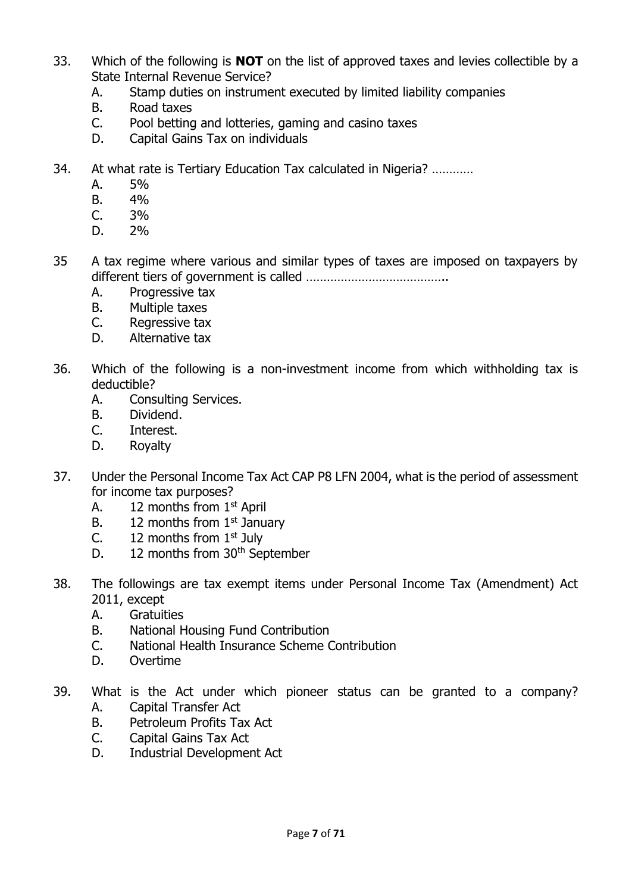- 33. Which of the following is **NOT** on the list of approved taxes and levies collectible by a State Internal Revenue Service?
	- A. Stamp duties on instrument executed by limited liability companies
	- B. Road taxes
	- C. Pool betting and lotteries, gaming and casino taxes
	- D. Capital Gains Tax on individuals
- 34. At what rate is Tertiary Education Tax calculated in Nigeria? …………
	- A. 5%
	- B. 4%
	- $C. 3\%$
	- D. 2%
- 35 A tax regime where various and similar types of taxes are imposed on taxpayers by different tiers of government is called …………………………………..
	- A. Progressive tax
	- B. Multiple taxes
	- C. Regressive tax
	- D. Alternative tax
- 36. Which of the following is a non-investment income from which withholding tax is deductible?
	- A. Consulting Services.
	- B. Dividend.
	- C. Interest.
	- D. Royalty
- 37. Under the Personal Income Tax Act CAP P8 LFN 2004, what is the period of assessment for income tax purposes?
	- A. 12 months from 1<sup>st</sup> April
	- B. 12 months from  $1<sup>st</sup>$  January
	- C.  $12$  months from  $1<sup>st</sup>$  July
	- D. 12 months from 30<sup>th</sup> September
- 38. The followings are tax exempt items under Personal Income Tax (Amendment) Act 2011, except
	- A. Gratuities
	- B. National Housing Fund Contribution
	- C. National Health Insurance Scheme Contribution
	- D. Overtime
- 39. What is the Act under which pioneer status can be granted to a company? A. Capital Transfer Act
	- B. Petroleum Profits Tax Act
	- C. Capital Gains Tax Act
	- D. Industrial Development Act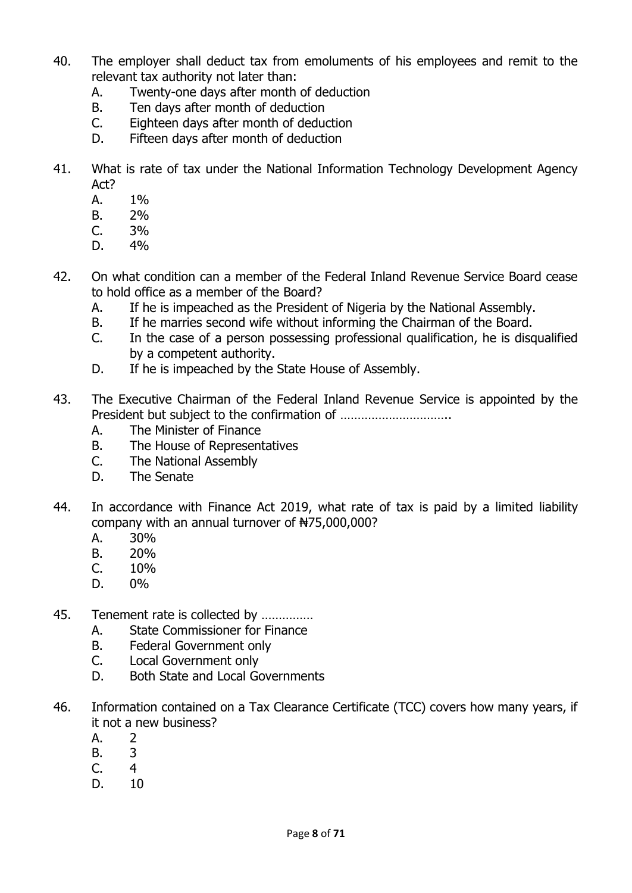- 40. The employer shall deduct tax from emoluments of his employees and remit to the relevant tax authority not later than:
	- A. Twenty-one days after month of deduction
	- B. Ten days after month of deduction
	- C. Eighteen days after month of deduction
	- D. Fifteen days after month of deduction
- 41. What is rate of tax under the National Information Technology Development Agency Act?
	- A. 1%
	- B. 2%
	- C. 3%
	- D. 4%
- 42. On what condition can a member of the Federal Inland Revenue Service Board cease to hold office as a member of the Board?
	- A. If he is impeached as the President of Nigeria by the National Assembly.
	- B. If he marries second wife without informing the Chairman of the Board.
	- C. In the case of a person possessing professional qualification, he is disqualified by a competent authority.
	- D. If he is impeached by the State House of Assembly.
- 43. The Executive Chairman of the Federal Inland Revenue Service is appointed by the President but subject to the confirmation of …………………………..
	- A. The Minister of Finance
	- B. The House of Representatives
	- C. The National Assembly
	- D. The Senate
- 44. In accordance with Finance Act 2019, what rate of tax is paid by a limited liability company with an annual turnover of ₦75,000,000?
	- A. 30%
	- B. 20%
	- $C. 10%$
	- D. 0%
- 45. Tenement rate is collected by ……………
	- A. State Commissioner for Finance
	- B. Federal Government only
	- C. Local Government only
	- D. Both State and Local Governments
- 46. Information contained on a Tax Clearance Certificate (TCC) covers how many years, if it not a new business?
	- A. 2
	- B. 3
	- C. 4
	- D. 10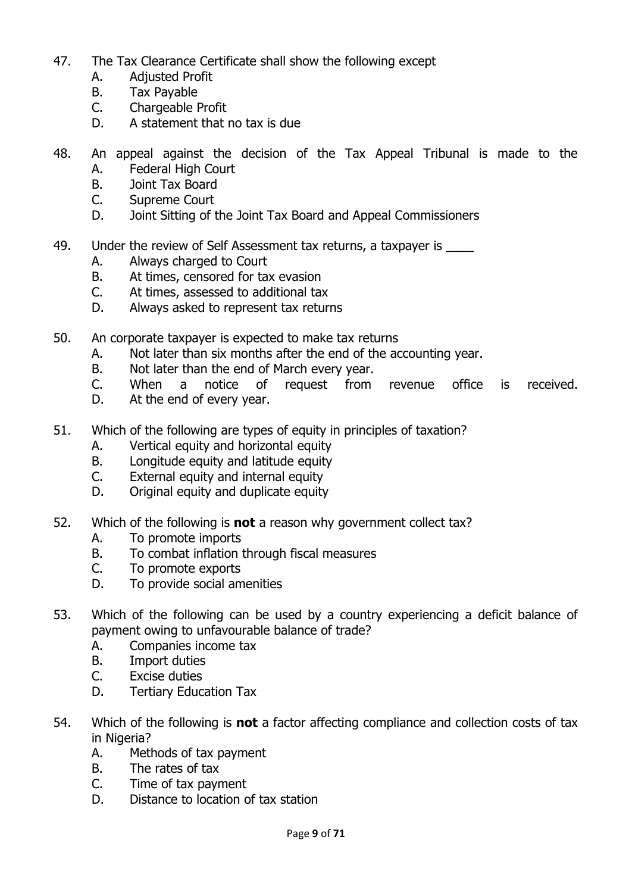- 47. The Tax Clearance Certificate shall show the following except
	- A. Adjusted Profit
	- B. Tax Payable
	- C. Chargeable Profit
	- D. A statement that no tax is due
- 48. An appeal against the decision of the Tax Appeal Tribunal is made to the
	- A. Federal High Court
	- B. Joint Tax Board
	- C. Supreme Court
	- D. Joint Sitting of the Joint Tax Board and Appeal Commissioners
- 49. Under the review of Self Assessment tax returns, a taxpayer is \_\_\_\_\_
	- A. Always charged to Court
	- B. At times, censored for tax evasion
	- C. At times, assessed to additional tax
	- D. Always asked to represent tax returns
- 50. An corporate taxpayer is expected to make tax returns
	- A. Not later than six months after the end of the accounting year.
	- B. Not later than the end of March every year.
	- C. When a notice of request from revenue office is received.
	- D. At the end of every year.
- 51. Which of the following are types of equity in principles of taxation?
	- A. Vertical equity and horizontal equity
	- B. Longitude equity and latitude equity
	- C. External equity and internal equity
	- D. Original equity and duplicate equity
- 52. Which of the following is **not** a reason why government collect tax?
	- A. To promote imports
	- B. To combat inflation through fiscal measures
	- C. To promote exports
	- D. To provide social amenities
- 53. Which of the following can be used by a country experiencing a deficit balance of payment owing to unfavourable balance of trade?
	- A. Companies income tax
	- B. Import duties
	- C. Excise duties
	- D. Tertiary Education Tax
- 54. Which of the following is **not** a factor affecting compliance and collection costs of tax in Nigeria?
	- A. Methods of tax payment
	- B. The rates of tax
	- C. Time of tax payment
	- D. Distance to location of tax station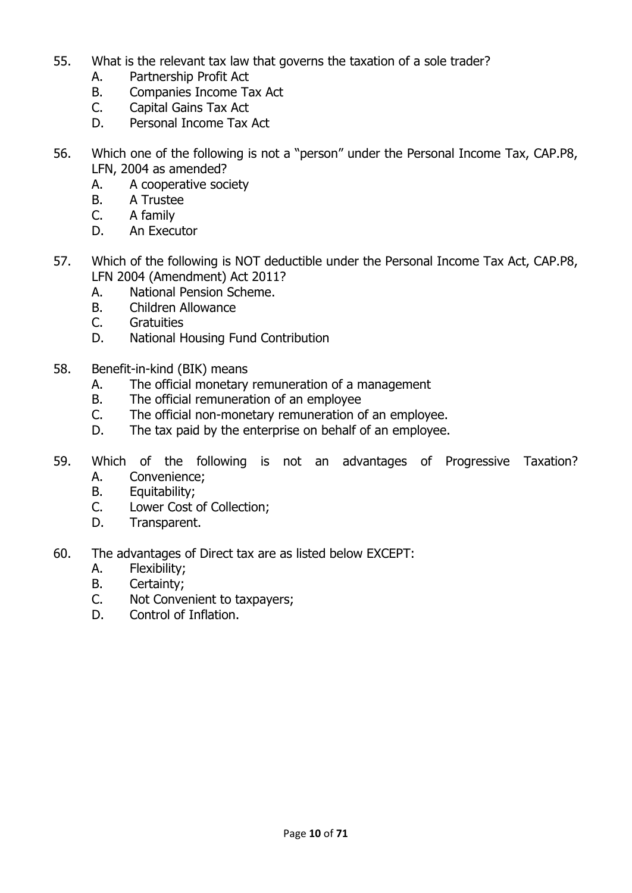- 55. What is the relevant tax law that governs the taxation of a sole trader?
	- A. Partnership Profit Act
	- B. Companies Income Tax Act
	- C. Capital Gains Tax Act
	- D. Personal Income Tax Act
- 56. Which one of the following is not a "person" under the Personal Income Tax, CAP.P8, LFN, 2004 as amended?
	- A. A cooperative society
	- B. A Trustee
	- C. A family
	- D. An Executor
- 57. Which of the following is NOT deductible under the Personal Income Tax Act, CAP.P8, LFN 2004 (Amendment) Act 2011?
	- A. National Pension Scheme.
	- B. Children Allowance
	- C. Gratuities
	- D. National Housing Fund Contribution
- 58. Benefit-in-kind (BIK) means
	- A. The official monetary remuneration of a management
	- B. The official remuneration of an employee
	- C. The official non-monetary remuneration of an employee.
	- D. The tax paid by the enterprise on behalf of an employee.
- 59. Which of the following is not an advantages of Progressive Taxation? A. Convenience;
	- B. Equitability;
	- C. Lower Cost of Collection;
	- D. Transparent.
- 60. The advantages of Direct tax are as listed below EXCEPT:
	- A. Flexibility;
	- B. Certainty;
	- C. Not Convenient to taxpayers;
	- D. Control of Inflation.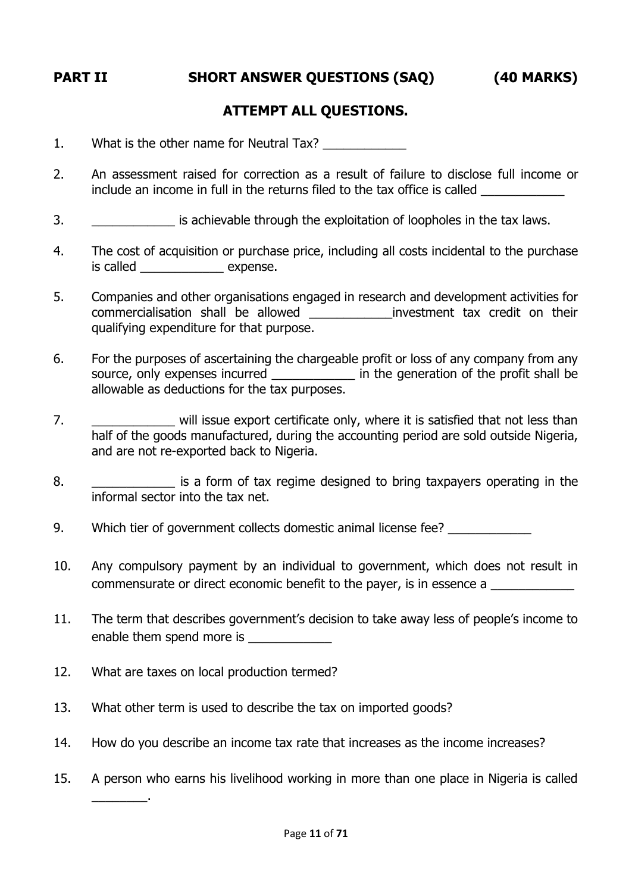**PART II SHORT ANSWER QUESTIONS (SAQ) (40 MARKS)**

### **ATTEMPT ALL QUESTIONS.**

1. What is the other name for Neutral Tax?

- 2. An assessment raised for correction as a result of failure to disclose full income or include an income in full in the returns filed to the tax office is called
- 3. **Example 13** is achievable through the exploitation of loopholes in the tax laws.
- 4. The cost of acquisition or purchase price, including all costs incidental to the purchase is called expense.
- 5. Companies and other organisations engaged in research and development activities for commercialisation shall be allowed \_\_\_\_\_\_\_\_\_\_\_\_investment tax credit on their qualifying expenditure for that purpose.
- 6. For the purposes of ascertaining the chargeable profit or loss of any company from any source, only expenses incurred \_\_\_\_\_\_\_\_\_\_\_\_\_\_\_ in the generation of the profit shall be allowable as deductions for the tax purposes.
- 7. **The same of the U.S. E. 2018** will issue export certificate only, where it is satisfied that not less than half of the goods manufactured, during the accounting period are sold outside Nigeria, and are not re-exported back to Nigeria.
- 8. \_\_\_\_\_\_\_\_\_\_\_\_\_\_\_ is a form of tax regime designed to bring taxpayers operating in the informal sector into the tax net.
- 9. Which tier of government collects domestic animal license fee?
- 10. Any compulsory payment by an individual to government, which does not result in commensurate or direct economic benefit to the payer, is in essence a
- 11. The term that describes government's decision to take away less of people's income to enable them spend more is \_\_\_\_\_\_\_\_\_\_\_\_
- 12. What are taxes on local production termed?

\_\_\_\_\_\_\_\_.

- 13. What other term is used to describe the tax on imported goods?
- 14. How do you describe an income tax rate that increases as the income increases?
- 15. A person who earns his livelihood working in more than one place in Nigeria is called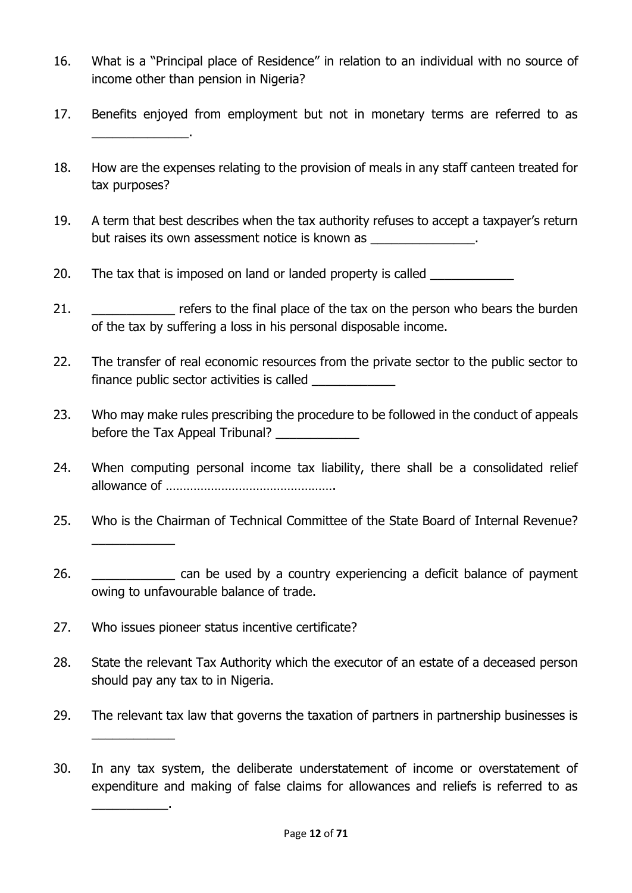- 16. What is a "Principal place of Residence" in relation to an individual with no source of income other than pension in Nigeria?
- 17. Benefits enjoyed from employment but not in monetary terms are referred to as \_\_\_\_\_\_\_\_\_\_\_\_\_\_.
- 18. How are the expenses relating to the provision of meals in any staff canteen treated for tax purposes?
- 19. A term that best describes when the tax authority refuses to accept a taxpayer's return but raises its own assessment notice is known as  $\qquad \qquad$ .
- 20. The tax that is imposed on land or landed property is called
- 21. **Example 21.** The refers to the final place of the tax on the person who bears the burden of the tax by suffering a loss in his personal disposable income.
- 22. The transfer of real economic resources from the private sector to the public sector to finance public sector activities is called
- 23. Who may make rules prescribing the procedure to be followed in the conduct of appeals before the Tax Appeal Tribunal? \_\_\_\_\_\_\_\_\_\_\_\_\_\_
- 24. When computing personal income tax liability, there shall be a consolidated relief allowance of ………………………………………….
- 25. Who is the Chairman of Technical Committee of the State Board of Internal Revenue?
- 26. **Example 26. 26. 26. 26. 26. 26. 26. 26. 26. 28. 28. 28. 28. 28. 28. 28. 28. 28. 28. 28. 28. 29. 29. 29. 29. 29. 29. 29. 29. 29. 29. 20. 20. 20. 20.** owing to unfavourable balance of trade.
- 27. Who issues pioneer status incentive certificate?

 $\overline{\phantom{a}}$ 

 $\overline{\phantom{a}}$ 

\_\_\_\_\_\_\_\_\_\_\_.

- 28. State the relevant Tax Authority which the executor of an estate of a deceased person should pay any tax to in Nigeria.
- 29. The relevant tax law that governs the taxation of partners in partnership businesses is
- 30. In any tax system, the deliberate understatement of income or overstatement of expenditure and making of false claims for allowances and reliefs is referred to as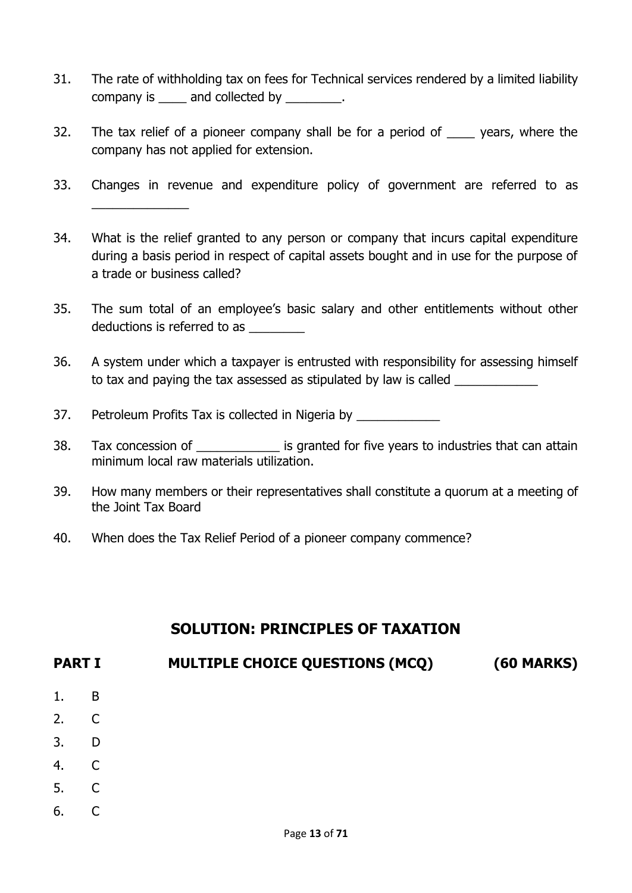- 31. The rate of withholding tax on fees for Technical services rendered by a limited liability company is \_\_\_\_\_ and collected by \_\_\_\_\_\_\_\_.
- 32. The tax relief of a pioneer company shall be for a period of \_\_\_\_ years, where the company has not applied for extension.
- 33. Changes in revenue and expenditure policy of government are referred to as \_\_\_\_\_\_\_\_\_\_\_\_\_\_
- 34. What is the relief granted to any person or company that incurs capital expenditure during a basis period in respect of capital assets bought and in use for the purpose of a trade or business called?
- 35. The sum total of an employee's basic salary and other entitlements without other deductions is referred to as \_\_\_\_\_\_\_\_
- 36. A system under which a taxpayer is entrusted with responsibility for assessing himself to tax and paying the tax assessed as stipulated by law is called
- 37. Petroleum Profits Tax is collected in Nigeria by
- 38. Tax concession of  $\qquad \qquad$  is granted for five years to industries that can attain minimum local raw materials utilization.
- 39. How many members or their representatives shall constitute a quorum at a meeting of the Joint Tax Board
- 40. When does the Tax Relief Period of a pioneer company commence?

## **SOLUTION: PRINCIPLES OF TAXATION**

# **PART I MULTIPLE CHOICE QUESTIONS (MCQ) (60 MARKS)**

- 1. B
- 2. C
- 3. D
- 4. C
- 
- 5. C
- 6. C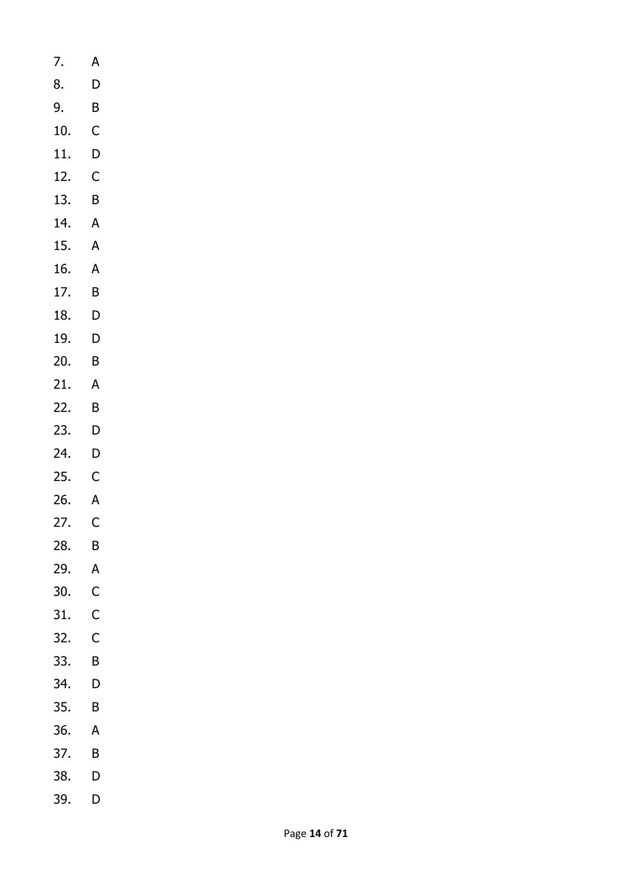- 7. A 8. D 9. B 10. C 11. D 12. C 13. B 14. A 15. A 16. A
- 17. B
- 18. D
- 19. D
- 20. B
- 21. A
- 22. B
- 23. D
- 24. D
- 25. C
- 26. A 27. C
- 28. B
- 29. A
- 30. C
- 31. C
- 32. C
- 33. B
- 34. D
- 35. B
- 36. A
- 37. B
- 38. D
- 39. D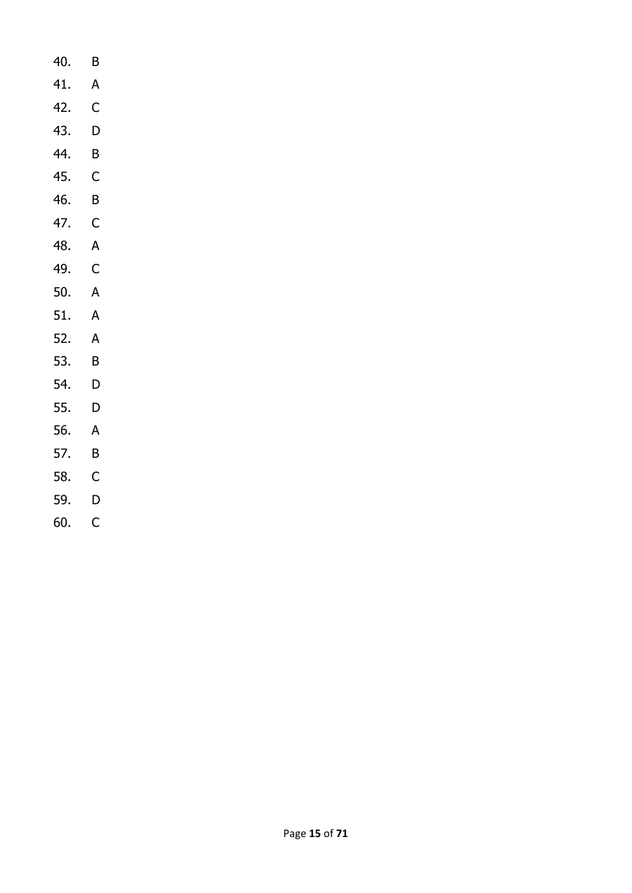- 40. B
- 41. A
- 42. C
- 43. D
- 44. B
- 45. C
- 46. B
- 47. C
- 48. A
- 49. C
- 50. A
- 51. A
- 52. A
- 53. B
- 54. D
- 55. D
- 56. A
- 57. B
- 58. C
- 59. D
- 60. C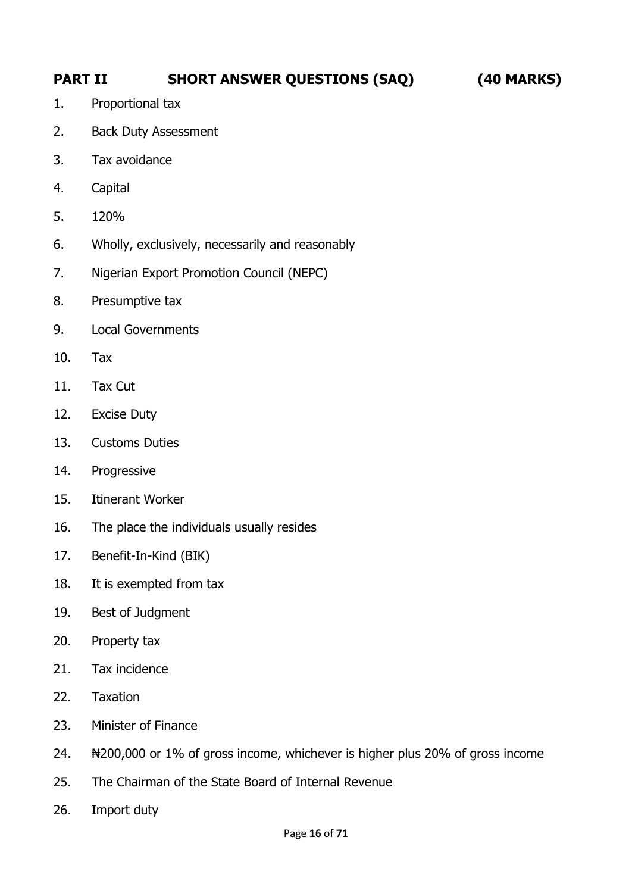# **PART II SHORT ANSWER QUESTIONS (SAQ) (40 MARKS)**

- 1. Proportional tax
- 2. Back Duty Assessment
- 3. Tax avoidance
- 4. Capital
- 5. 120%
- 6. Wholly, exclusively, necessarily and reasonably
- 7. Nigerian Export Promotion Council (NEPC)
- 8. Presumptive tax
- 9. Local Governments
- 10. Tax
- 11. Tax Cut
- 12. Excise Duty
- 13. Customs Duties
- 14. Progressive
- 15. Itinerant Worker
- 16. The place the individuals usually resides
- 17. Benefit-In-Kind (BIK)
- 18. It is exempted from tax
- 19. Best of Judgment
- 20. Property tax
- 21. Tax incidence
- 22. Taxation
- 23. Minister of Finance
- 24. ₦200,000 or 1% of gross income, whichever is higher plus 20% of gross income
- 25. The Chairman of the State Board of Internal Revenue
- 26. Import duty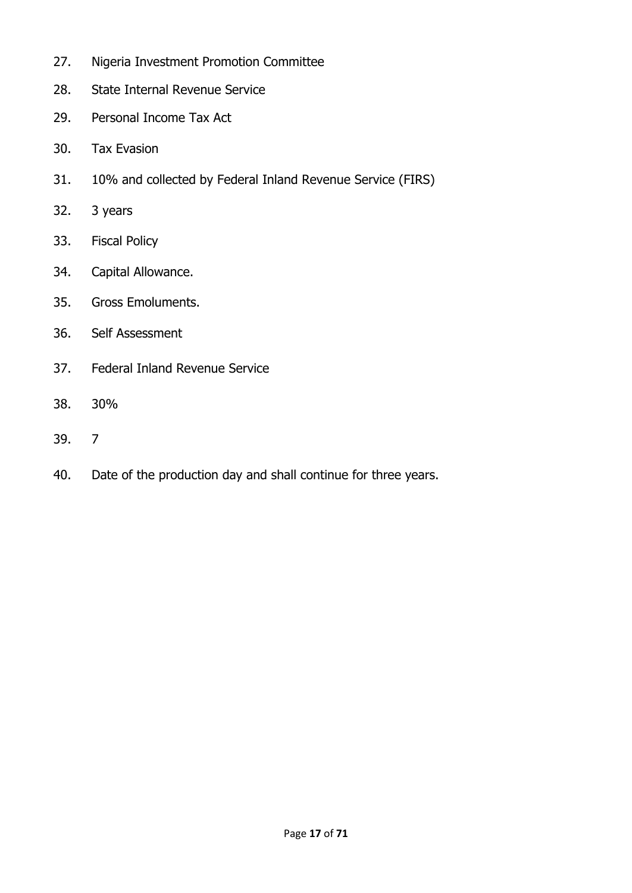- 27. Nigeria Investment Promotion Committee
- 28. State Internal Revenue Service
- 29. Personal Income Tax Act
- 30. Tax Evasion
- 31. 10% and collected by Federal Inland Revenue Service (FIRS)
- 32. 3 years
- 33. Fiscal Policy
- 34. Capital Allowance.
- 35. Gross Emoluments.
- 36. Self Assessment
- 37. Federal Inland Revenue Service
- 38. 30%
- 39. 7
- 40. Date of the production day and shall continue for three years.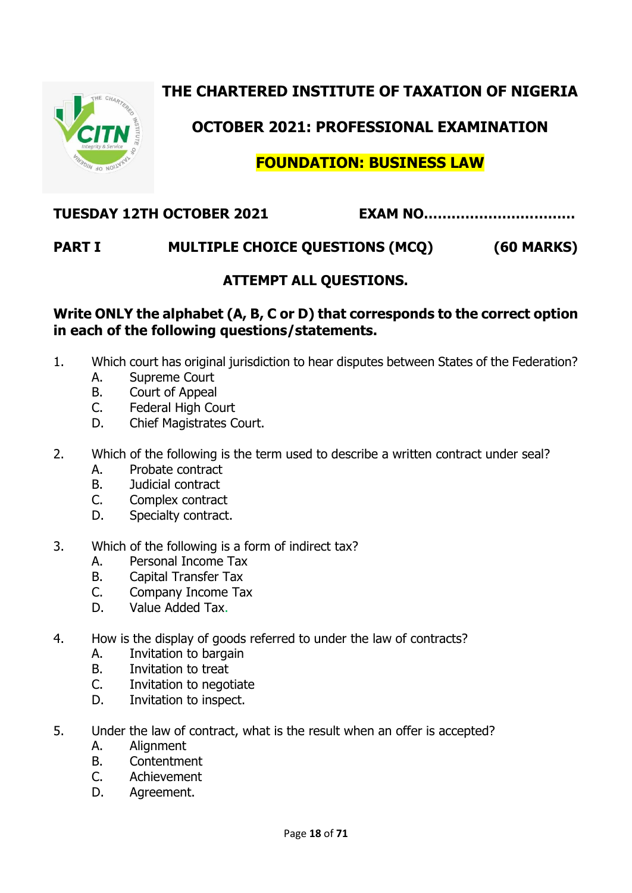# **THE CHARTERED INSTITUTE OF TAXATION OF NIGERIA**



# **OCTOBER 2021: PROFESSIONAL EXAMINATION**

# **FOUNDATION: BUSINESS LAW**

## **TUESDAY 12TH OCTOBER 2021 EXAM NO……………………………**

# **PART I MULTIPLE CHOICE QUESTIONS (MCQ) (60 MARKS)**

### **ATTEMPT ALL QUESTIONS.**

#### **Write ONLY the alphabet (A, B, C or D) that corresponds to the correct option in each of the following questions/statements.**

- 1. Which court has original jurisdiction to hear disputes between States of the Federation?
	- A. Supreme Court
	- B. Court of Appeal
	- C. Federal High Court
	- D. Chief Magistrates Court.
- 2. Which of the following is the term used to describe a written contract under seal?
	- A. Probate contract
	- B. Judicial contract
	- C. Complex contract
	- D. Specialty contract.
- 3. Which of the following is a form of indirect tax?
	- A. Personal Income Tax
	- B. Capital Transfer Tax
	- C. Company Income Tax
	- D. Value Added Tax.
- 4. How is the display of goods referred to under the law of contracts?
	- A. Invitation to bargain
	- B. Invitation to treat
	- C. Invitation to negotiate
	- D. Invitation to inspect.
- 5. Under the law of contract, what is the result when an offer is accepted? A. Alignment
	- B. Contentment
	- C. Achievement
	-
	- D. Agreement.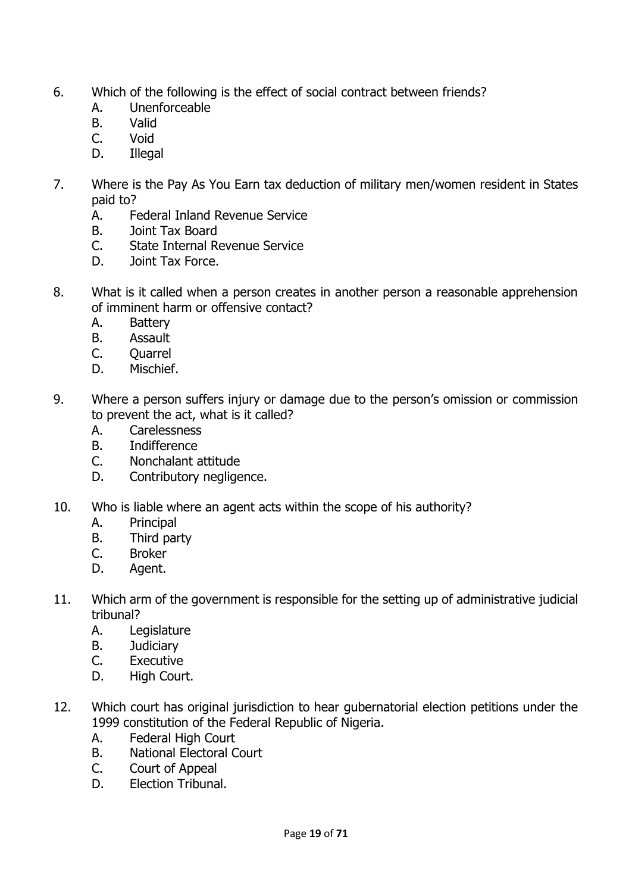- 6. Which of the following is the effect of social contract between friends?
	- A. Unenforceable
	- B. Valid
	- C. Void
	- D. Illegal
- 7. Where is the Pay As You Earn tax deduction of military men/women resident in States paid to?
	- A. Federal Inland Revenue Service
	- B. Joint Tax Board
	- C. State Internal Revenue Service
	- D. Joint Tax Force.
- 8. What is it called when a person creates in another person a reasonable apprehension of imminent harm or offensive contact?
	- A. Battery
	- B. Assault
	- C. Quarrel
	- D. Mischief.
- 9. Where a person suffers injury or damage due to the person's omission or commission to prevent the act, what is it called?
	- A. Carelessness
	- B. Indifference
	- C. Nonchalant attitude
	- D. Contributory negligence.
- 10. Who is liable where an agent acts within the scope of his authority?
	- A. Principal
	- B. Third party
	- C. Broker
	- D. Agent.
- 11. Which arm of the government is responsible for the setting up of administrative judicial tribunal?
	- A. Legislature
	- B. Judiciary
	- C. Executive
	- D. High Court.
- 12. Which court has original jurisdiction to hear gubernatorial election petitions under the 1999 constitution of the Federal Republic of Nigeria.
	- A. Federal High Court
	- B. National Electoral Court
	- C. Court of Appeal
	- D. Election Tribunal.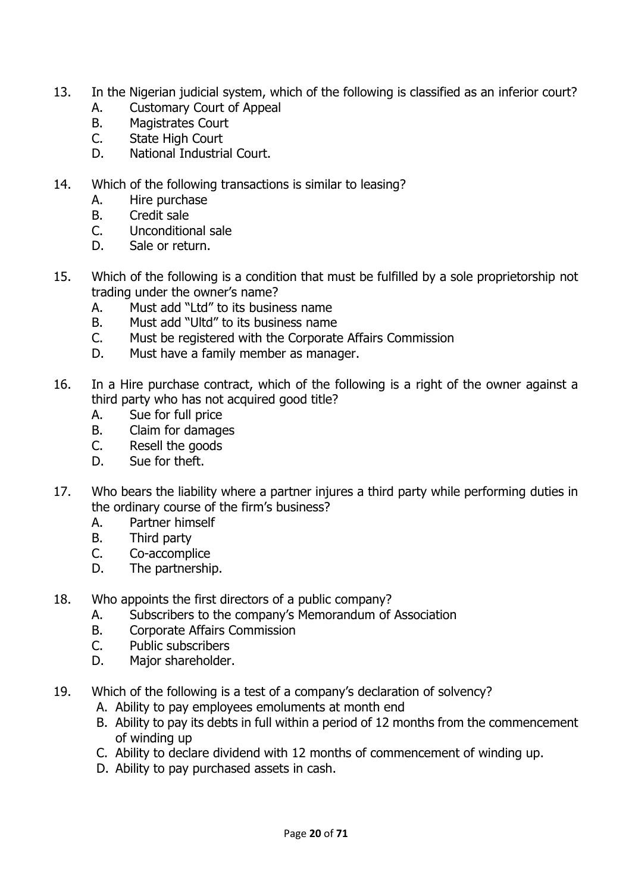- 13. In the Nigerian judicial system, which of the following is classified as an inferior court?
	- A. Customary Court of Appeal
	- B. Magistrates Court
	- C. State High Court
	- D. National Industrial Court.
- 14. Which of the following transactions is similar to leasing?
	- A. Hire purchase
	- B. Credit sale
	- C. Unconditional sale
	- D. Sale or return.
- 15. Which of the following is a condition that must be fulfilled by a sole proprietorship not trading under the owner's name?
	- A. Must add "Ltd" to its business name
	- B. Must add "Ultd" to its business name
	- C. Must be registered with the Corporate Affairs Commission
	- D. Must have a family member as manager.
- 16. In a Hire purchase contract, which of the following is a right of the owner against a third party who has not acquired good title?
	- A. Sue for full price
	- B. Claim for damages
	- C. Resell the goods
	- D. Sue for theft.
- 17. Who bears the liability where a partner injures a third party while performing duties in the ordinary course of the firm's business?
	- A. Partner himself
	- B. Third party
	- C. Co-accomplice
	- D. The partnership.
- 18. Who appoints the first directors of a public company?
	- A. Subscribers to the company's Memorandum of Association
	- B. Corporate Affairs Commission
	- C. Public subscribers
	- D. Major shareholder.
- 19. Which of the following is a test of a company's declaration of solvency?
	- A. Ability to pay employees emoluments at month end
	- B. Ability to pay its debts in full within a period of 12 months from the commencement of winding up
	- C. Ability to declare dividend with 12 months of commencement of winding up.
	- D. Ability to pay purchased assets in cash.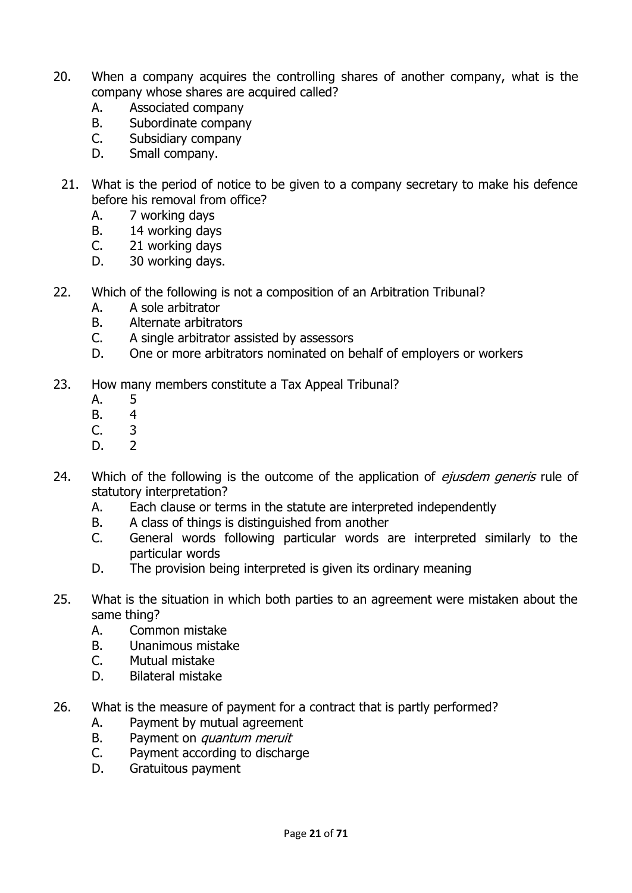- 20. When a company acquires the controlling shares of another company, what is the company whose shares are acquired called?
	- A. Associated company
	- B. Subordinate company
	- C. Subsidiary company
	- D. Small company.
	- 21. What is the period of notice to be given to a company secretary to make his defence before his removal from office?
		- A. 7 working days
		- B. 14 working days
		- C. 21 working days
		- D. 30 working days.
- 22. Which of the following is not a composition of an Arbitration Tribunal?
	- A. A sole arbitrator
	- B. Alternate arbitrators
	- C. A single arbitrator assisted by assessors
	- D. One or more arbitrators nominated on behalf of employers or workers
- 23. How many members constitute a Tax Appeal Tribunal?
	- A. 5
	- B. 4
	- C. 3
	- D. 2
- 24. Which of the following is the outcome of the application of *ejusdem generis* rule of statutory interpretation?
	- A. Each clause or terms in the statute are interpreted independently
	- B. A class of things is distinguished from another
	- C. General words following particular words are interpreted similarly to the particular words
	- D. The provision being interpreted is given its ordinary meaning
- 25. What is the situation in which both parties to an agreement were mistaken about the same thing?
	- A. Common mistake
	- B. Unanimous mistake
	- C. Mutual mistake
	- D. Bilateral mistake
- 26. What is the measure of payment for a contract that is partly performed?
	- A. Payment by mutual agreement
	- B. Payment on *quantum meruit*
	- C. Payment according to discharge
	- D. Gratuitous payment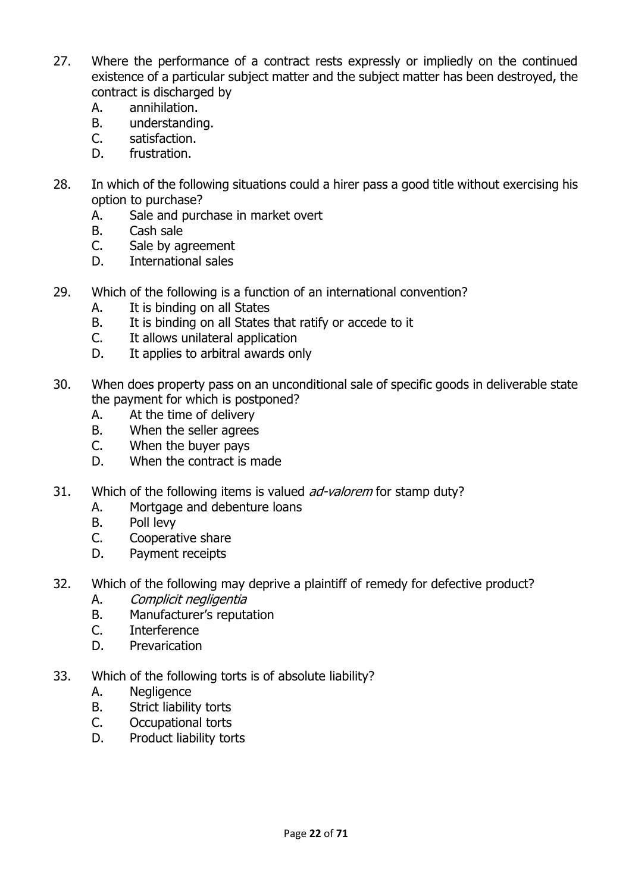- 27. Where the performance of a contract rests expressly or impliedly on the continued existence of a particular subject matter and the subject matter has been destroyed, the contract is discharged by
	- A. annihilation.
	- B. understanding.
	- C. satisfaction.
	- D. frustration.
- 28. In which of the following situations could a hirer pass a good title without exercising his option to purchase?
	- A. Sale and purchase in market overt
	- B. Cash sale
	- C. Sale by agreement
	- D. International sales
- 29. Which of the following is a function of an international convention?
	- A. It is binding on all States
	- B. It is binding on all States that ratify or accede to it
	- C. It allows unilateral application
	- D. It applies to arbitral awards only
- 30. When does property pass on an unconditional sale of specific goods in deliverable state the payment for which is postponed?
	- A. At the time of delivery
	- B. When the seller agrees
	- C. When the buyer pays
	- D. When the contract is made
- 31. Which of the following items is valued *ad-valorem* for stamp duty?
	- A. Mortgage and debenture loans
	- B. Poll levy
	- C. Cooperative share
	- D. Payment receipts
- 32. Which of the following may deprive a plaintiff of remedy for defective product?
	- A. Complicit negligentia
	- B. Manufacturer's reputation
	- C. Interference
	- D. Prevarication
- 33. Which of the following torts is of absolute liability?
	- A. Negligence
	- B. Strict liability torts
	- C. Occupational torts
	- D. Product liability torts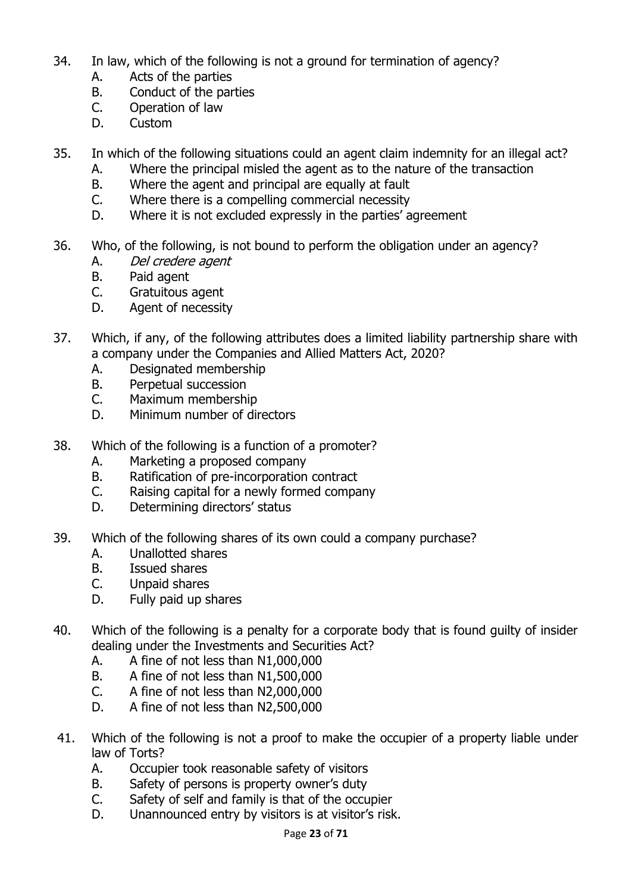- 34. In law, which of the following is not a ground for termination of agency?
	- A. Acts of the parties
	- B. Conduct of the parties
	- C. Operation of law
	- D. Custom
- 35. In which of the following situations could an agent claim indemnity for an illegal act?
	- A. Where the principal misled the agent as to the nature of the transaction
	- B. Where the agent and principal are equally at fault
	- C. Where there is a compelling commercial necessity
	- D. Where it is not excluded expressly in the parties' agreement
- 36. Who, of the following, is not bound to perform the obligation under an agency?
	- A. Del credere agent
	- B. Paid agent
	- C. Gratuitous agent
	- D. Agent of necessity
- 37. Which, if any, of the following attributes does a limited liability partnership share with a company under the Companies and Allied Matters Act, 2020?
	- A. Designated membership
	- B. Perpetual succession
	- C. Maximum membership
	- D. Minimum number of directors
- 38. Which of the following is a function of a promoter?
	- A. Marketing a proposed company
	- B. Ratification of pre-incorporation contract
	- C. Raising capital for a newly formed company
	- D. Determining directors' status
- 39. Which of the following shares of its own could a company purchase?
	- A. Unallotted shares
	- B. Issued shares
	- C. Unpaid shares
	- D. Fully paid up shares
- 40. Which of the following is a penalty for a corporate body that is found guilty of insider dealing under the Investments and Securities Act?
	- A. A fine of not less than N1,000,000
	- B. A fine of not less than N1,500,000
	- C. A fine of not less than N2,000,000
	- D. A fine of not less than N2,500,000
- 41. Which of the following is not a proof to make the occupier of a property liable under law of Torts?
	- A. Occupier took reasonable safety of visitors
	- B. Safety of persons is property owner's duty
	- C. Safety of self and family is that of the occupier
	- D. Unannounced entry by visitors is at visitor's risk.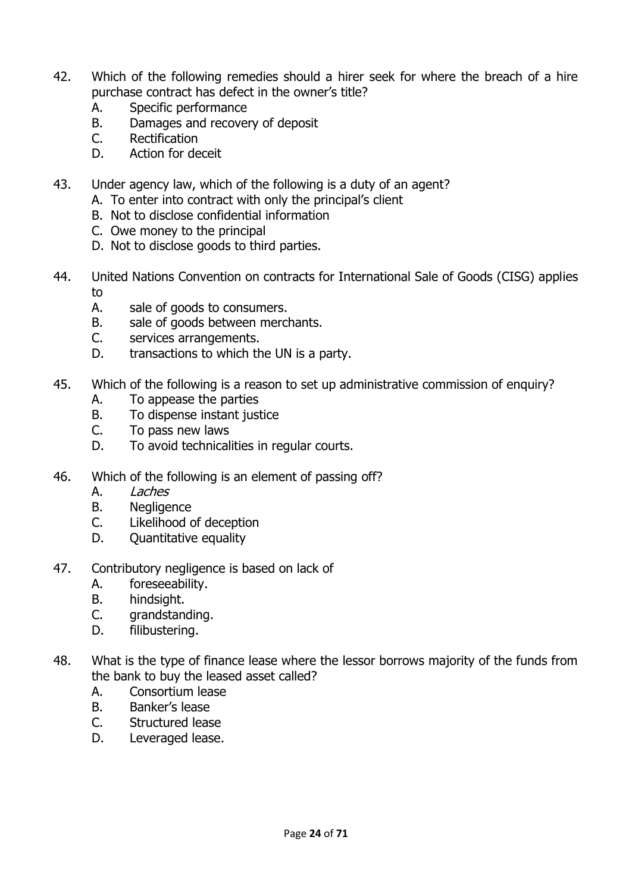- 42. Which of the following remedies should a hirer seek for where the breach of a hire purchase contract has defect in the owner's title?
	- A. Specific performance
	- B. Damages and recovery of deposit
	- C. Rectification
	- D. Action for deceit
- 43. Under agency law, which of the following is a duty of an agent?
	- A. To enter into contract with only the principal's client
		- B. Not to disclose confidential information
		- C. Owe money to the principal
		- D. Not to disclose goods to third parties.
- 44. United Nations Convention on contracts for International Sale of Goods (CISG) applies to
	- A. sale of goods to consumers.
	- B. sale of goods between merchants.
	- C. services arrangements.
	- D. transactions to which the UN is a party.
- 45. Which of the following is a reason to set up administrative commission of enquiry?
	- A. To appease the parties
	- B. To dispense instant justice
	- C. To pass new laws
	- D. To avoid technicalities in regular courts.
- 46. Which of the following is an element of passing off?
	- A. Laches
	- B. Negligence
	- C. Likelihood of deception
	- D. Quantitative equality
- 47. Contributory negligence is based on lack of
	- A. foreseeability.
	- B. hindsight.
	- C. grandstanding.
	- D. filibustering.
- 48. What is the type of finance lease where the lessor borrows majority of the funds from the bank to buy the leased asset called?
	- A. Consortium lease
	- B. Banker's lease
	- C. Structured lease
	- D. Leveraged lease.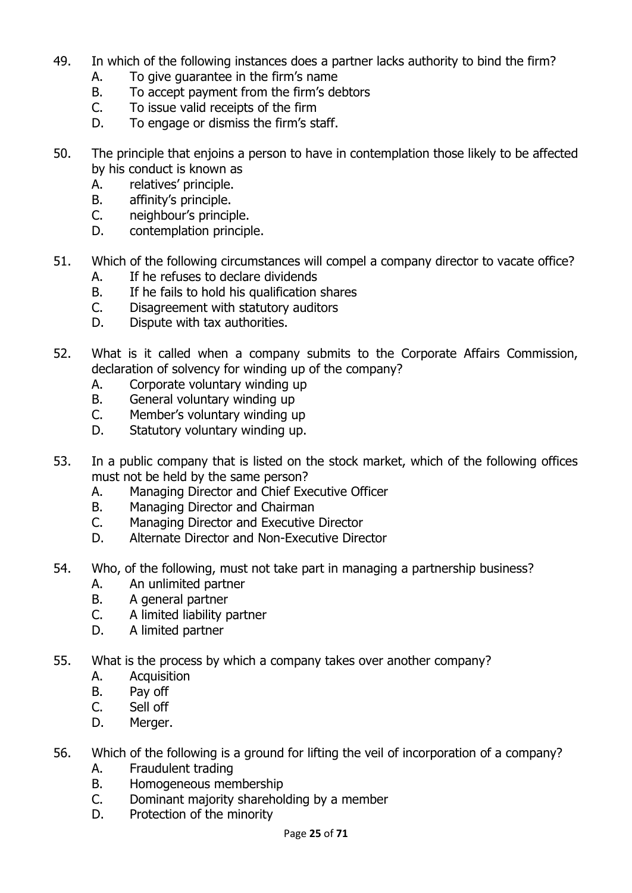- 49. In which of the following instances does a partner lacks authority to bind the firm?
	- A. To give guarantee in the firm's name
	- B. To accept payment from the firm's debtors
	- C. To issue valid receipts of the firm
	- D. To engage or dismiss the firm's staff.
- 50. The principle that enjoins a person to have in contemplation those likely to be affected by his conduct is known as
	- A. relatives' principle.
	- B. affinity's principle.
	- C. neighbour's principle.
	- D. contemplation principle.
- 51. Which of the following circumstances will compel a company director to vacate office?
	- A. If he refuses to declare dividends
	- B. If he fails to hold his qualification shares
	- C. Disagreement with statutory auditors
	- D. Dispute with tax authorities.
- 52. What is it called when a company submits to the Corporate Affairs Commission, declaration of solvency for winding up of the company?
	- A. Corporate voluntary winding up
	- B. General voluntary winding up
	- C. Member's voluntary winding up
	- D. Statutory voluntary winding up.
- 53. In a public company that is listed on the stock market, which of the following offices must not be held by the same person?
	- A. Managing Director and Chief Executive Officer
	- B. Managing Director and Chairman
	- C. Managing Director and Executive Director
	- D. Alternate Director and Non-Executive Director
- 54. Who, of the following, must not take part in managing a partnership business?
	- A. An unlimited partner
	- B. A general partner
	- C. A limited liability partner
	- D. A limited partner
- 55. What is the process by which a company takes over another company?
	- A. Acquisition
	- B. Pay off
	- C. Sell off
	- D. Merger.
- 56. Which of the following is a ground for lifting the veil of incorporation of a company?
	- A. Fraudulent trading
	- B. Homogeneous membership
	- C. Dominant majority shareholding by a member
	- D. Protection of the minority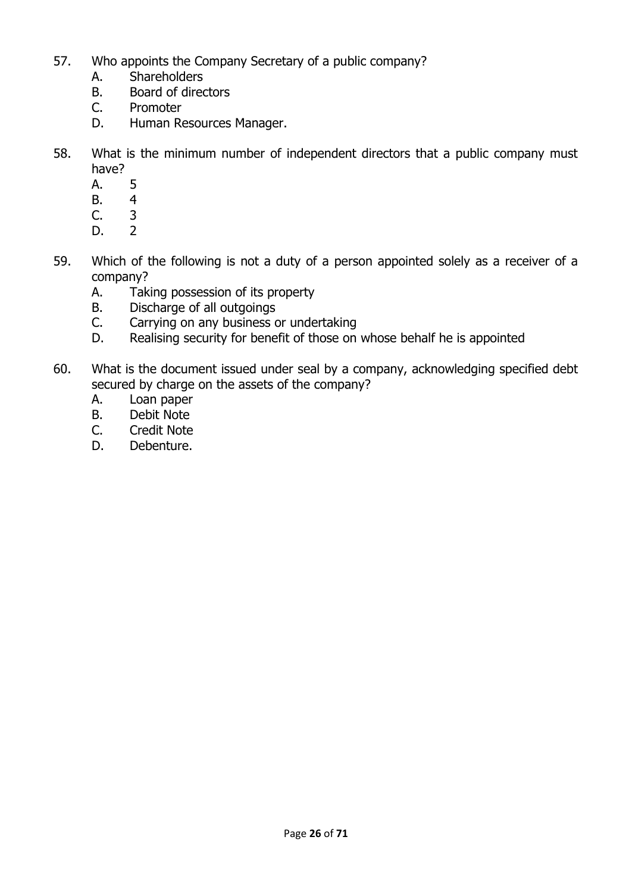- 57. Who appoints the Company Secretary of a public company?
	- A. Shareholders
	- B. Board of directors
	- C. Promoter
	- D. Human Resources Manager.
- 58. What is the minimum number of independent directors that a public company must have?
	- A. 5
	- B. 4<br>C. 3
	- $C<sub>3</sub>$
	- D. 2
- 59. Which of the following is not a duty of a person appointed solely as a receiver of a company?
	- A. Taking possession of its property
	- B. Discharge of all outgoings
	- C. Carrying on any business or undertaking
	- D. Realising security for benefit of those on whose behalf he is appointed
- 60. What is the document issued under seal by a company, acknowledging specified debt secured by charge on the assets of the company?
	- A. Loan paper
	- B. Debit Note
	- C. Credit Note
	- D. Debenture.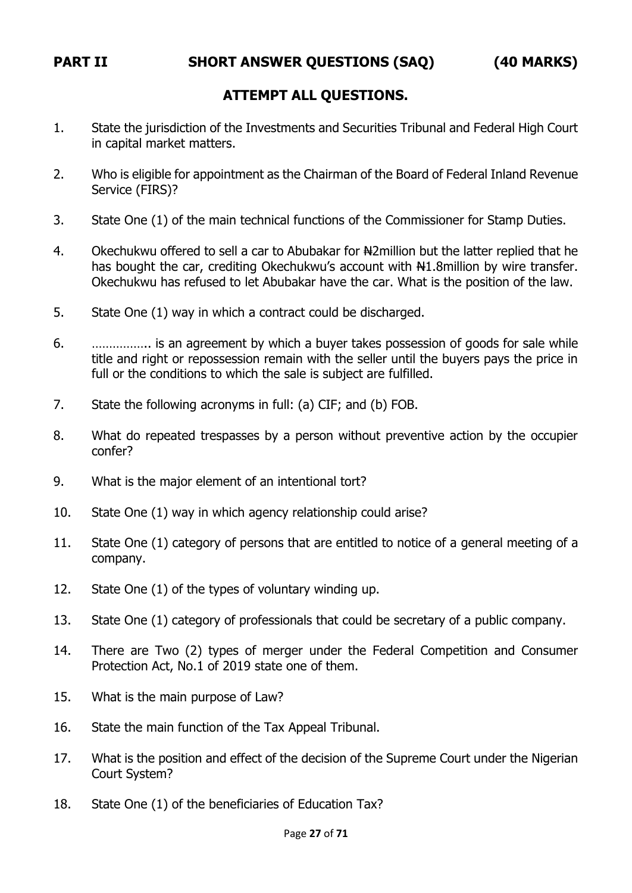#### **ATTEMPT ALL QUESTIONS.**

- 1. State the jurisdiction of the Investments and Securities Tribunal and Federal High Court in capital market matters.
- 2. Who is eligible for appointment as the Chairman of the Board of Federal Inland Revenue Service (FIRS)?
- 3. State One (1) of the main technical functions of the Commissioner for Stamp Duties.
- 4. Okechukwu offered to sell a car to Abubakar for Namillion but the latter replied that he has bought the car, crediting Okechukwu's account with N1.8million by wire transfer. Okechukwu has refused to let Abubakar have the car. What is the position of the law.
- 5. State One (1) way in which a contract could be discharged.
- 6. …………….. is an agreement by which a buyer takes possession of goods for sale while title and right or repossession remain with the seller until the buyers pays the price in full or the conditions to which the sale is subject are fulfilled.
- 7. State the following acronyms in full: (a) CIF; and (b) FOB.
- 8. What do repeated trespasses by a person without preventive action by the occupier confer?
- 9. What is the major element of an intentional tort?
- 10. State One (1) way in which agency relationship could arise?
- 11. State One (1) category of persons that are entitled to notice of a general meeting of a company.
- 12. State One (1) of the types of voluntary winding up.
- 13. State One (1) category of professionals that could be secretary of a public company.
- 14. There are Two (2) types of merger under the Federal Competition and Consumer Protection Act, No.1 of 2019 state one of them.
- 15. What is the main purpose of Law?
- 16. State the main function of the Tax Appeal Tribunal.
- 17. What is the position and effect of the decision of the Supreme Court under the Nigerian Court System?
- 18. State One (1) of the beneficiaries of Education Tax?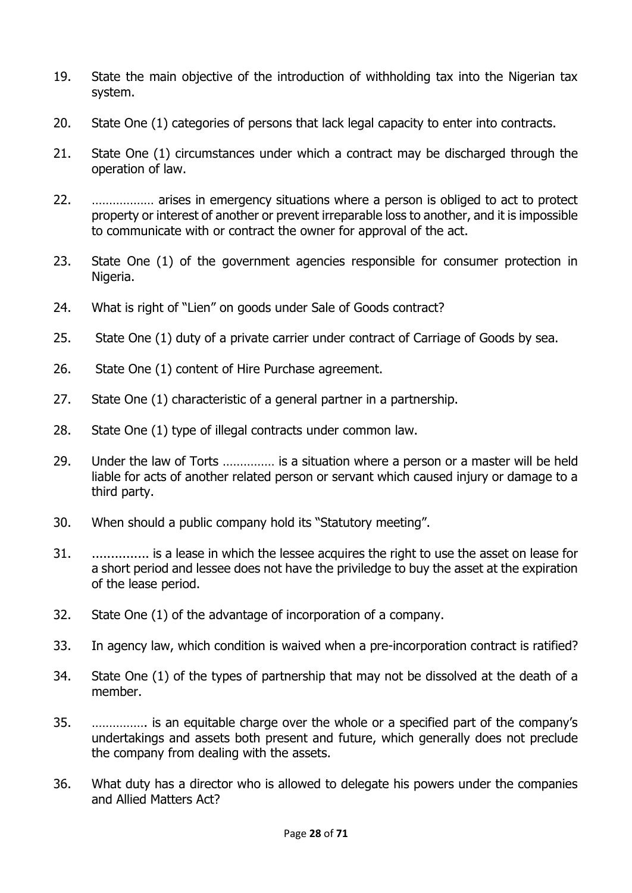- 19. State the main objective of the introduction of withholding tax into the Nigerian tax system.
- 20. State One (1) categories of persons that lack legal capacity to enter into contracts.
- 21. State One (1) circumstances under which a contract may be discharged through the operation of law.
- 22. ……………… arises in emergency situations where a person is obliged to act to protect property or interest of another or prevent irreparable loss to another, and it is impossible to communicate with or contract the owner for approval of the act.
- 23. State One (1) of the government agencies responsible for consumer protection in Nigeria.
- 24. What is right of "Lien" on goods under Sale of Goods contract?
- 25. State One (1) duty of a private carrier under contract of Carriage of Goods by sea.
- 26. State One (1) content of Hire Purchase agreement.
- 27. State One (1) characteristic of a general partner in a partnership.
- 28. State One (1) type of illegal contracts under common law.
- 29. Under the law of Torts …………… is a situation where a person or a master will be held liable for acts of another related person or servant which caused injury or damage to a third party.
- 30. When should a public company hold its "Statutory meeting".
- 31. ............... is a lease in which the lessee acquires the right to use the asset on lease for a short period and lessee does not have the priviledge to buy the asset at the expiration of the lease period.
- 32. State One (1) of the advantage of incorporation of a company.
- 33. In agency law, which condition is waived when a pre-incorporation contract is ratified?
- 34. State One (1) of the types of partnership that may not be dissolved at the death of a member.
- 35. ……………. is an equitable charge over the whole or a specified part of the company's undertakings and assets both present and future, which generally does not preclude the company from dealing with the assets.
- 36. What duty has a director who is allowed to delegate his powers under the companies and Allied Matters Act?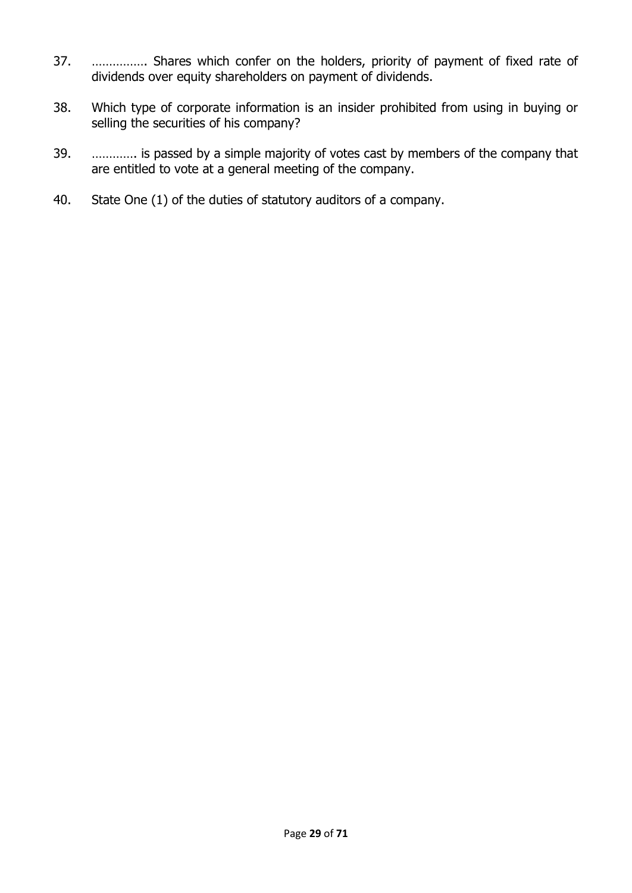- 37. ……………. Shares which confer on the holders, priority of payment of fixed rate of dividends over equity shareholders on payment of dividends.
- 38. Which type of corporate information is an insider prohibited from using in buying or selling the securities of his company?
- 39. …………. is passed by a simple majority of votes cast by members of the company that are entitled to vote at a general meeting of the company.
- 40. State One (1) of the duties of statutory auditors of a company.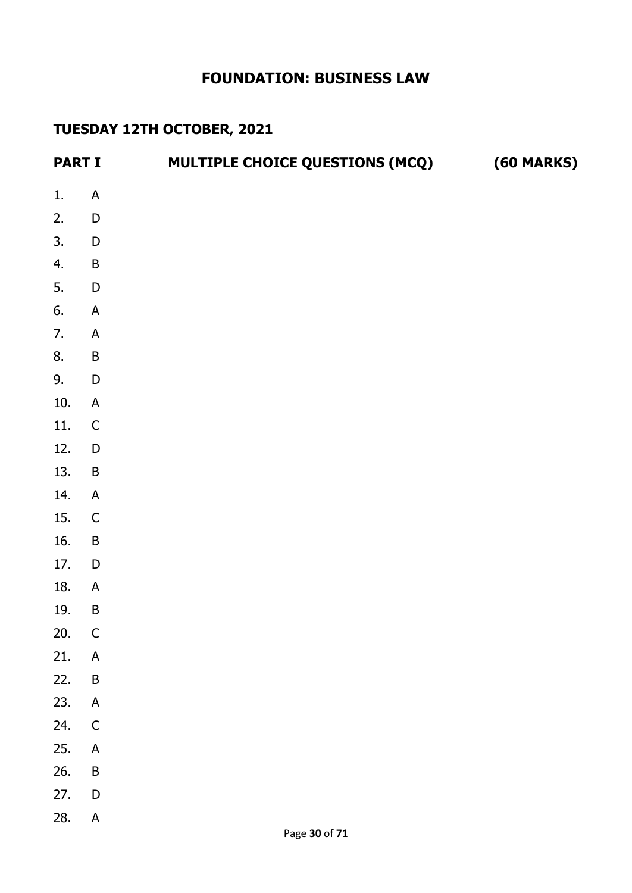# **FOUNDATION: BUSINESS LAW**

# **TUESDAY 12TH OCTOBER, 2021**

| <b>PART I</b> |                           | <b>MULTIPLE CHOICE QUESTIONS (MCQ)</b> | <b>(60 MARKS)</b> |
|---------------|---------------------------|----------------------------------------|-------------------|
| 1.            | $\mathsf A$               |                                        |                   |
| 2.            | ${\sf D}$                 |                                        |                   |
| 3.            | $\mathsf D$               |                                        |                   |
| 4.            | $\sf B$                   |                                        |                   |
| 5.            | $\mathsf D$               |                                        |                   |
| 6.            | $\mathsf A$               |                                        |                   |
| 7.            | $\mathsf A$               |                                        |                   |
| 8.            | $\sf B$                   |                                        |                   |
| 9.            | ${\sf D}$                 |                                        |                   |
| $10.$         | $\mathsf A$               |                                        |                   |
| 11.           | $\mathsf C$               |                                        |                   |
| 12.           | ${\sf D}$                 |                                        |                   |
| 13.           | $\sf B$                   |                                        |                   |
| 14.           | $\mathsf A$               |                                        |                   |
| 15.           | $\mathsf C$               |                                        |                   |
| 16.           | $\sf B$                   |                                        |                   |
| 17.           | $\mathsf D$               |                                        |                   |
| 18.           | $\mathsf A$               |                                        |                   |
| 19.           | $\sf B$                   |                                        |                   |
| 20.           | $\mathsf{C}$              |                                        |                   |
| 21.           | $\boldsymbol{\mathsf{A}}$ |                                        |                   |
| 22.           | $\mathsf B$               |                                        |                   |
| 23.           | $\boldsymbol{\mathsf{A}}$ |                                        |                   |
| 24.           | $\mathsf{C}$              |                                        |                   |
| 25.           | $\boldsymbol{\mathsf{A}}$ |                                        |                   |
| 26.           | $\overline{B}$            |                                        |                   |
| 27.           | $\mathsf{D}%$             |                                        |                   |
| 28.           | $\boldsymbol{\mathsf{A}}$ |                                        |                   |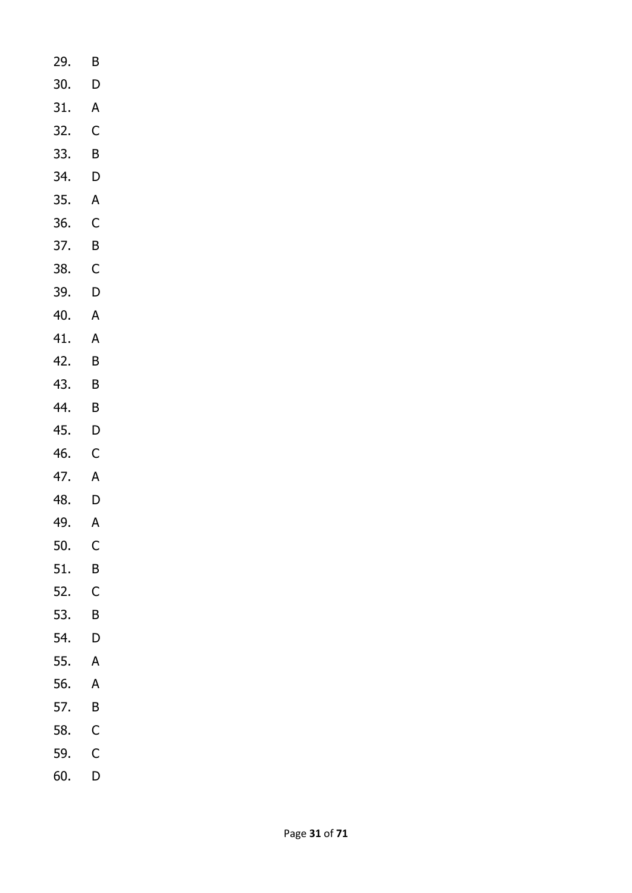- 29. B 30. D 31. A 32. C 33. B 34. D 35. A 36. C 37. B 38. C 39. D 40. A 41. A 42. B 43. B 44. B
- 45. D
- 46. C
- 47. A
- 48. D
- 49. A
- 50. C
- 51. B
- 52. C
- 53. B
- 54. D
- 55. A
- 56. A
- 57. B
- 58. C
- 59. C
- 60. D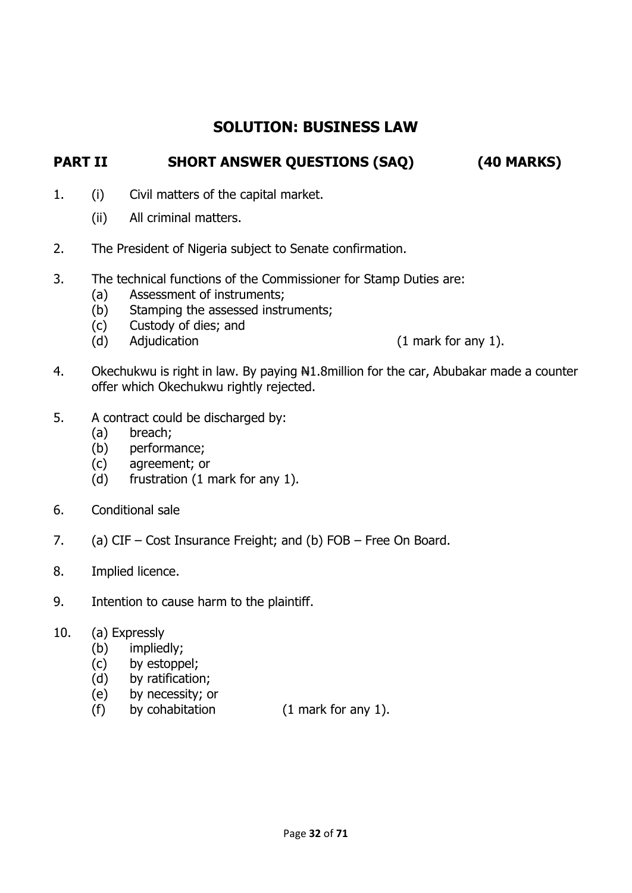# **SOLUTION: BUSINESS LAW**

## **PART II SHORT ANSWER QUESTIONS (SAQ) (40 MARKS)**

- 1. (i) Civil matters of the capital market.
	- (ii) All criminal matters.
- 2. The President of Nigeria subject to Senate confirmation.
- 3. The technical functions of the Commissioner for Stamp Duties are:
	- (a) Assessment of instruments;
	- (b) Stamping the assessed instruments;
	- (c) Custody of dies; and
	- (d) Adjudication (1 mark for any 1).

- 4. Okechukwu is right in law. By paying  $\frac{10!}{10!}$  Osertian for the car, Abubakar made a counter offer which Okechukwu rightly rejected.
- 5. A contract could be discharged by:
	- (a) breach;
	- (b) performance;
	- (c) agreement; or
	- (d) frustration (1 mark for any 1).
- 6. Conditional sale
- 7. (a) CIF Cost Insurance Freight; and (b) FOB Free On Board.
- 8. Implied licence.
- 9. Intention to cause harm to the plaintiff.
- 10. (a) Expressly
	- (b) impliedly;
	- (c) by estoppel;
	- (d) by ratification;
	- (e) by necessity; or
	- (f) by cohabitation (1 mark for any 1).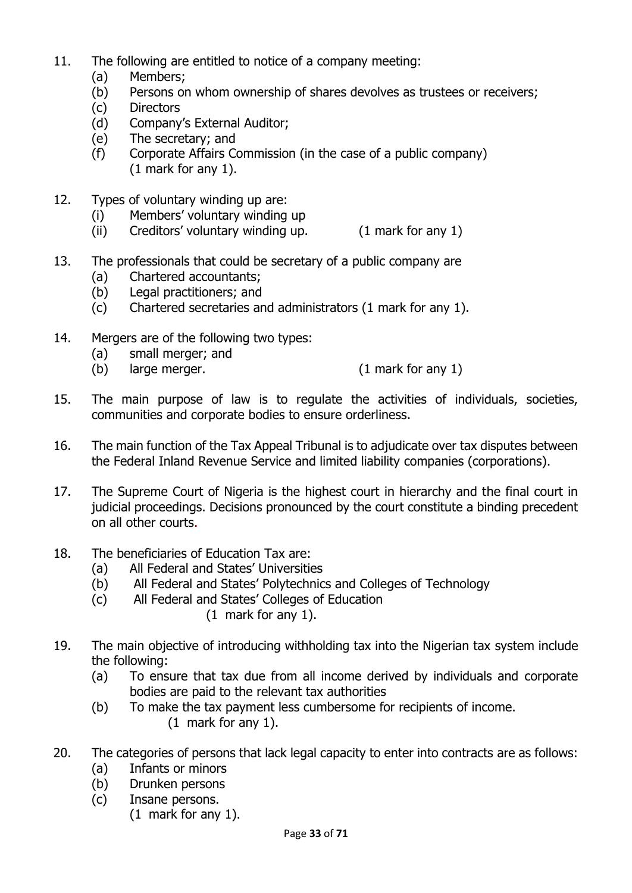- 11. The following are entitled to notice of a company meeting:
	- (a) Members;
	- (b) Persons on whom ownership of shares devolves as trustees or receivers;
	- (c) Directors
	- (d) Company's External Auditor;
	- (e) The secretary; and
	- (f) Corporate Affairs Commission (in the case of a public company) (1 mark for any 1).
- 12. Types of voluntary winding up are:
	- (i) Members' voluntary winding up
	- (ii) Creditors' voluntary winding up. (1 mark for any 1)
- 13. The professionals that could be secretary of a public company are
	- (a) Chartered accountants;
	- (b) Legal practitioners; and
	- (c) Chartered secretaries and administrators (1 mark for any 1).
- 14. Mergers are of the following two types:
	- (a) small merger; and
	- (b) large merger. (1 mark for any 1)
- 15. The main purpose of law is to regulate the activities of individuals, societies, communities and corporate bodies to ensure orderliness.
- 16. The main function of the Tax Appeal Tribunal is to adjudicate over tax disputes between the Federal Inland Revenue Service and limited liability companies (corporations).
- 17. The Supreme Court of Nigeria is the highest court in hierarchy and the final court in judicial proceedings. Decisions pronounced by the court constitute a binding precedent on all other courts.
- 18. The beneficiaries of Education Tax are:
	- (a) All Federal and States' Universities
	- (b) All Federal and States' Polytechnics and Colleges of Technology
	- (c) All Federal and States' Colleges of Education
		- (1 mark for any 1).
- 19. The main objective of introducing withholding tax into the Nigerian tax system include the following:
	- (a) To ensure that tax due from all income derived by individuals and corporate bodies are paid to the relevant tax authorities
	- (b) To make the tax payment less cumbersome for recipients of income. (1 mark for any 1).
- 20. The categories of persons that lack legal capacity to enter into contracts are as follows:
	- (a) Infants or minors
	- (b) Drunken persons
	- (c) Insane persons.
		- (1 mark for any 1).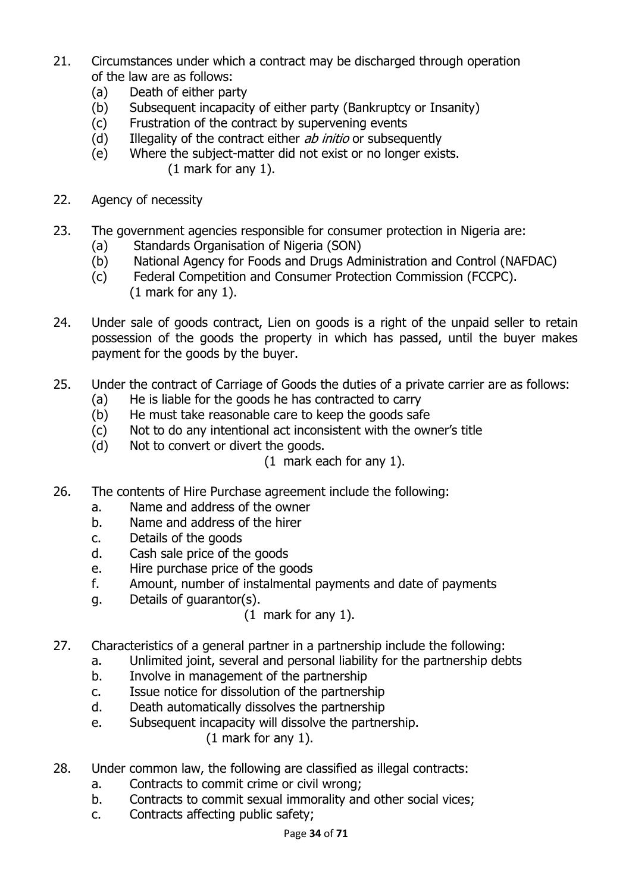- 21. Circumstances under which a contract may be discharged through operation of the law are as follows:
	- (a) Death of either party
	- (b) Subsequent incapacity of either party (Bankruptcy or Insanity)
	- (c) Frustration of the contract by supervening events
	- (d) Illegality of the contract either  $ab$  initio or subsequently
	- (e) Where the subject-matter did not exist or no longer exists. (1 mark for any 1).
- 22. Agency of necessity
- 23. The government agencies responsible for consumer protection in Nigeria are:
	- (a) Standards Organisation of Nigeria (SON)
	- (b) National Agency for Foods and Drugs Administration and Control (NAFDAC)
	- (c) Federal Competition and Consumer Protection Commission (FCCPC). (1 mark for any 1).
- 24. Under sale of goods contract, Lien on goods is a right of the unpaid seller to retain possession of the goods the property in which has passed, until the buyer makes payment for the goods by the buyer.
- 25. Under the contract of Carriage of Goods the duties of a private carrier are as follows:
	- (a) He is liable for the goods he has contracted to carry
	- (b) He must take reasonable care to keep the goods safe
	- (c) Not to do any intentional act inconsistent with the owner's title
	- (d) Not to convert or divert the goods.

(1 mark each for any 1).

- 26. The contents of Hire Purchase agreement include the following:
	- a. Name and address of the owner
	- b. Name and address of the hirer
	- c. Details of the goods
	- d. Cash sale price of the goods
	- e. Hire purchase price of the goods
	- f. Amount, number of instalmental payments and date of payments
	- g. Details of guarantor(s).

(1 mark for any 1).

- 27. Characteristics of a general partner in a partnership include the following:
	- a. Unlimited joint, several and personal liability for the partnership debts
	- b. Involve in management of the partnership
	- c. Issue notice for dissolution of the partnership
	- d. Death automatically dissolves the partnership
	- e. Subsequent incapacity will dissolve the partnership.

(1 mark for any 1).

- 28. Under common law, the following are classified as illegal contracts:
	- a. Contracts to commit crime or civil wrong;
	- b. Contracts to commit sexual immorality and other social vices;
	- c. Contracts affecting public safety;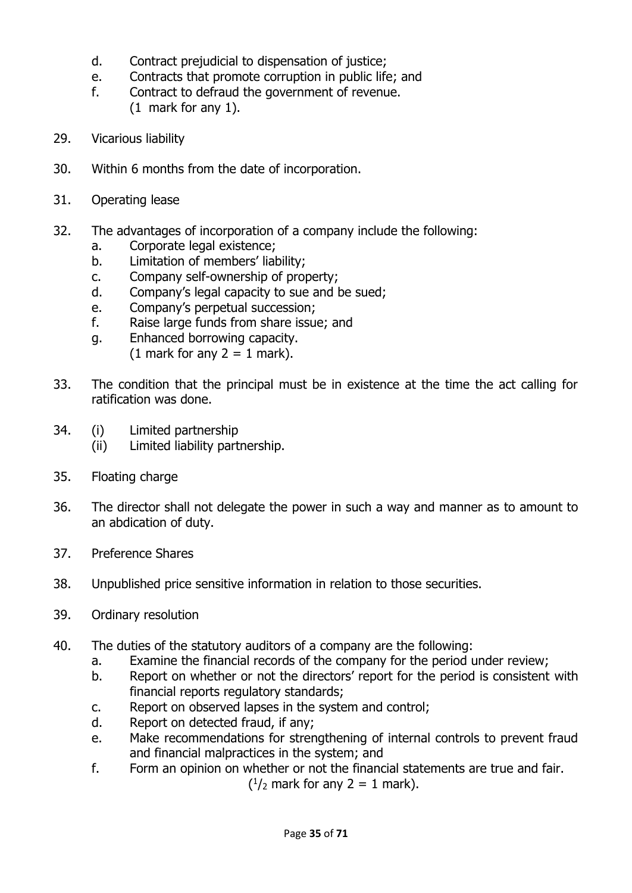- d. Contract prejudicial to dispensation of justice;
- e. Contracts that promote corruption in public life; and
- f. Contract to defraud the government of revenue. (1 mark for any 1).
- 29. Vicarious liability
- 30. Within 6 months from the date of incorporation.
- 31. Operating lease
- 32. The advantages of incorporation of a company include the following:
	- a. Corporate legal existence;
	- b. Limitation of members' liability;
	- c. Company self-ownership of property;
	- d. Company's legal capacity to sue and be sued;
	- e. Company's perpetual succession;
	- f. Raise large funds from share issue; and
	- g. Enhanced borrowing capacity. (1 mark for any  $2 = 1$  mark).
- 33. The condition that the principal must be in existence at the time the act calling for ratification was done.
- 34. (i) Limited partnership
	- (ii) Limited liability partnership.
- 35. Floating charge
- 36. The director shall not delegate the power in such a way and manner as to amount to an abdication of duty.
- 37. Preference Shares
- 38. Unpublished price sensitive information in relation to those securities.
- 39. Ordinary resolution
- 40. The duties of the statutory auditors of a company are the following:
	- a. Examine the financial records of the company for the period under review;
	- b. Report on whether or not the directors' report for the period is consistent with financial reports regulatory standards;
	- c. Report on observed lapses in the system and control;
	- d. Report on detected fraud, if any;
	- e. Make recommendations for strengthening of internal controls to prevent fraud and financial malpractices in the system; and
- f. Form an opinion on whether or not the financial statements are true and fair.  $($  $\frac{1}{2}$  mark for any 2 = 1 mark).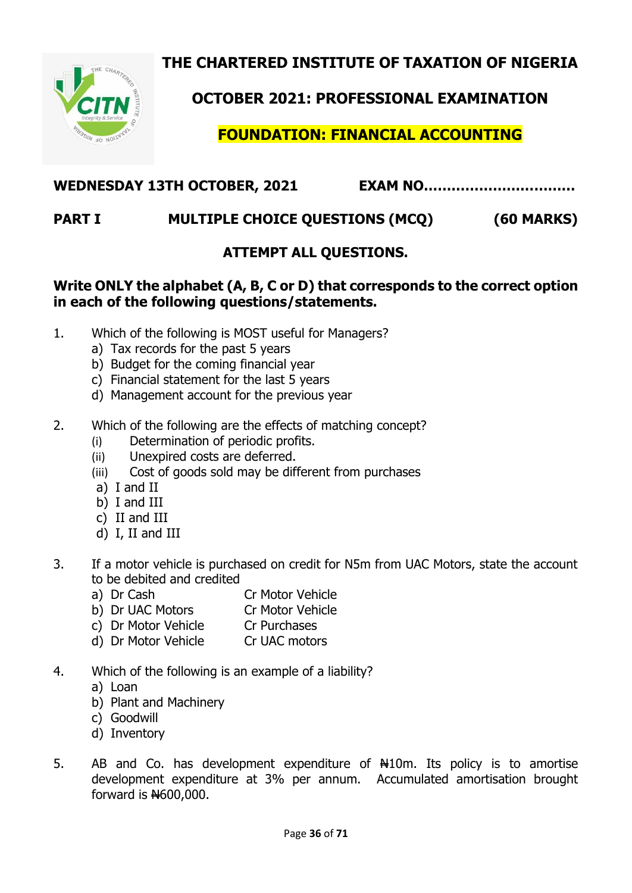**THE CHARTERED INSTITUTE OF TAXATION OF NIGERIA**



**OCTOBER 2021: PROFESSIONAL EXAMINATION**

**FOUNDATION: FINANCIAL ACCOUNTING**

## **WEDNESDAY 13TH OCTOBER, 2021 EXAM NO……………………………**

# **PART I MULTIPLE CHOICE QUESTIONS (MCQ) (60 MARKS)**

# **ATTEMPT ALL QUESTIONS.**

#### **Write ONLY the alphabet (A, B, C or D) that corresponds to the correct option in each of the following questions/statements.**

- 1. Which of the following is MOST useful for Managers?
	- a) Tax records for the past 5 years
	- b) Budget for the coming financial year
	- c) Financial statement for the last 5 years
	- d) Management account for the previous year
- 2. Which of the following are the effects of matching concept?
	- (i) Determination of periodic profits.
	- (ii) Unexpired costs are deferred.
	- (iii) Cost of goods sold may be different from purchases
	- a) I and II
	- b) I and III
	- c) II and III
	- d) I, II and III
- 3. If a motor vehicle is purchased on credit for N5m from UAC Motors, state the account to be debited and credited
	- a) Dr Cash Cr Motor Vehicle
	- b) Dr UAC Motors Cr Motor Vehicle
	- c) Dr Motor Vehicle Cr Purchases
	- d) Dr Motor Vehicle Cr UAC motors
- 4. Which of the following is an example of a liability?
	- a) Loan
	- b) Plant and Machinery
	- c) Goodwill
	- d) Inventory
- 5. AB and Co. has development expenditure of  $\#10$ m. Its policy is to amortise development expenditure at 3% per annum. Accumulated amortisation brought forward is  $H$ 600,000.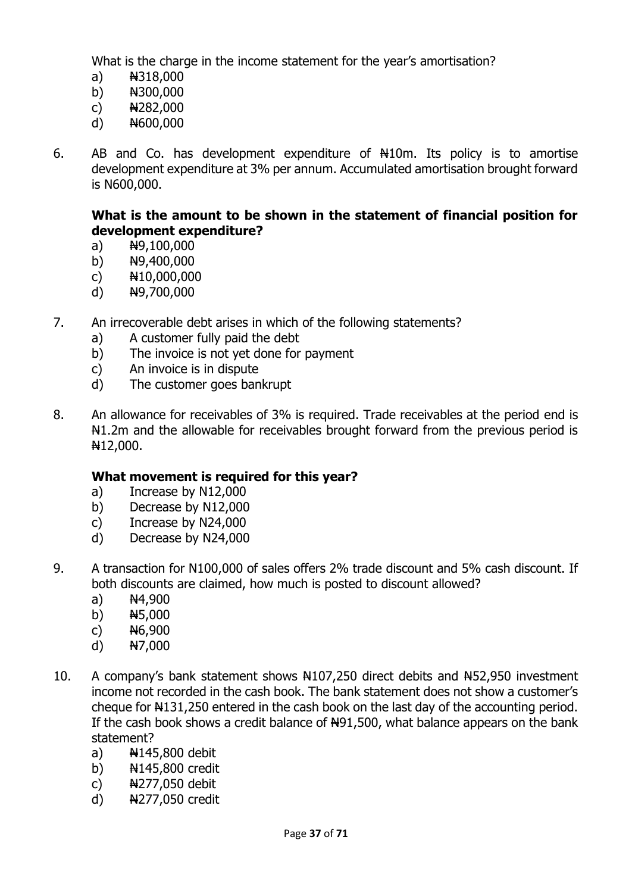What is the charge in the income statement for the year's amortisation?

- a) N318,000
- b) N300,000
- c)  $A282,000$
- d) N600,000
- 6. AB and Co. has development expenditure of  $\#10$ m. Its policy is to amortise development expenditure at 3% per annum. Accumulated amortisation brought forward is N600,000.

#### **What is the amount to be shown in the statement of financial position for development expenditure?**

- a)  $\frac{100,000}{2}$
- b)  $N9,400,000$
- c)  $N10,000,000$
- d) N9,700,000
- 7. An irrecoverable debt arises in which of the following statements?
	- a) A customer fully paid the debt
	- b) The invoice is not yet done for payment
	- c) An invoice is in dispute
	- d) The customer goes bankrupt
- 8. An allowance for receivables of 3% is required. Trade receivables at the period end is  $H1.2m$  and the allowable for receivables brought forward from the previous period is N12,000.

#### **What movement is required for this year?**

- a) Increase by N12,000
- b) Decrease by N12,000
- c) Increase by N24,000
- d) Decrease by N24,000
- 9. A transaction for N100,000 of sales offers 2% trade discount and 5% cash discount. If both discounts are claimed, how much is posted to discount allowed?
	- a)  $N4,900$
	- b) N5,000
	- c)  $H6,900$
	- d)  $N7,000$
- 10. A company's bank statement shows N107,250 direct debits and N52,950 investment income not recorded in the cash book. The bank statement does not show a customer's cheque for  $\text{H}131,250$  entered in the cash book on the last day of the accounting period. If the cash book shows a credit balance of  $H91,500$ , what balance appears on the bank statement?
	- a)  $N=145,800$  debit
	- b) N145,800 credit
	- c)  $\frac{1277}{050}$  debit
	- d) N277,050 credit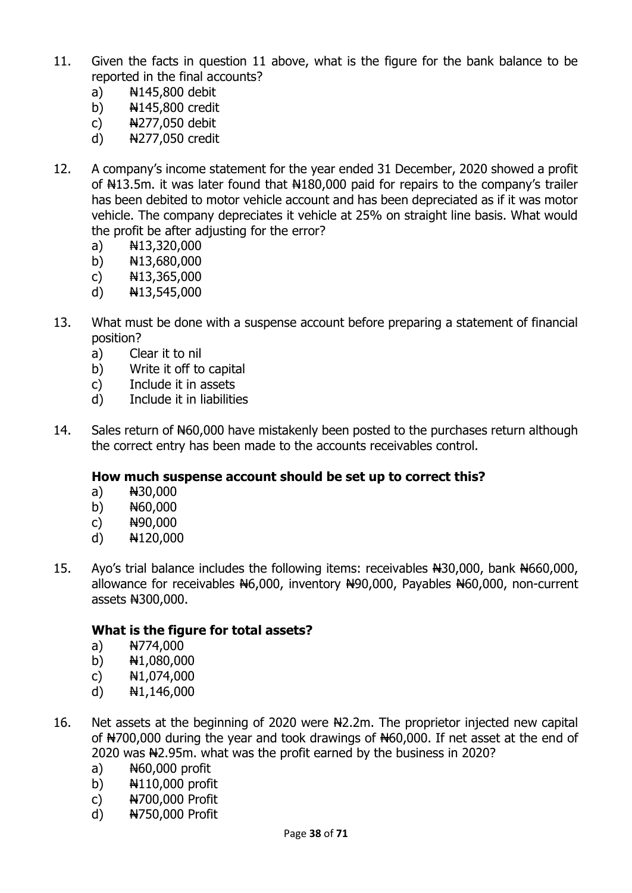- 11. Given the facts in question 11 above, what is the figure for the bank balance to be reported in the final accounts?
	- a)  $\frac{14145,800}{1}$  debit
	- b) N145,800 credit
	- c)  $\frac{1277}{050}$  debit
	- d) N277,050 credit
- 12. A company's income statement for the year ended 31 December, 2020 showed a profit of  $H13.5m$ . it was later found that  $H180,000$  paid for repairs to the company's trailer has been debited to motor vehicle account and has been depreciated as if it was motor vehicle. The company depreciates it vehicle at 25% on straight line basis. What would the profit be after adjusting for the error?
	- a)  $\frac{1}{13,320,000}$
	- b)  $H13,680,000$
	- c)  $H13,365,000$
	- d) N13,545,000
- 13. What must be done with a suspense account before preparing a statement of financial position?
	- a) Clear it to nil
	- b) Write it off to capital
	- c) Include it in assets
	- d) Include it in liabilities
- 14. Sales return of N60,000 have mistakenly been posted to the purchases return although the correct entry has been made to the accounts receivables control.

#### **How much suspense account should be set up to correct this?**

- a)  $N30,000$
- b)  $H60,000$
- c)  $H90,000$
- d) N120,000
- 15. Ayo's trial balance includes the following items: receivables N30,000, bank N660,000, allowance for receivables N6,000, inventory N90,000, Payables N60,000, non-current assets N300,000.

#### **What is the figure for total assets?**

- a)  $N774,000$
- b)  $H1,080,000$
- c)  $\frac{1}{10}$  N1,074,000
- d) N1,146,000
- 16. Net assets at the beginning of 2020 were  $\frac{12.2 \text{m}}{2}$ . The proprietor injected new capital of N700,000 during the year and took drawings of N60,000. If net asset at the end of 2020 was N2.95m. what was the profit earned by the business in 2020?
	- a)  $H60,000$  profit
	- b)  $\frac{1110,000}{1}$  profit
	- c) N700,000 Profit
	- d) N750,000 Profit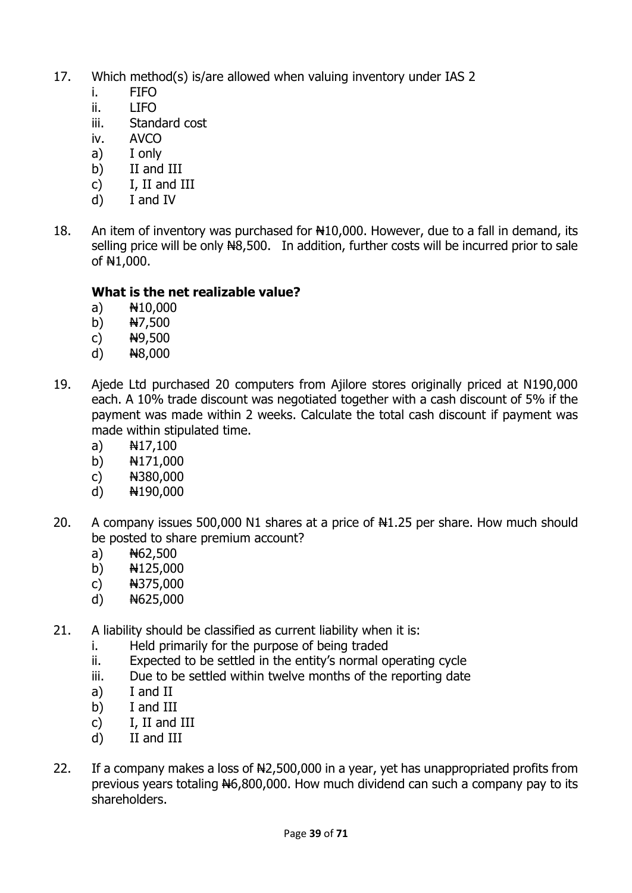- 17. Which method(s) is/are allowed when valuing inventory under IAS 2
	- i. FIFO
	- $ii.$  LIFO
	- iii. Standard cost
	- iv. AVCO
	- a) I only
	- b) II and III
	- c) I, II and III
	- d) I and IV
- 18. An item of inventory was purchased for  $\frac{10,000}{100}$ . However, due to a fall in demand, its selling price will be only  $H8,500$ . In addition, further costs will be incurred prior to sale of N1,000.

### **What is the net realizable value?**

- a) N10,000
- b)  $N7,500$
- c)  $\frac{149,500}{2}$
- d)  $\sqrt{48,000}$
- 19. Ajede Ltd purchased 20 computers from Ajilore stores originally priced at N190,000 each. A 10% trade discount was negotiated together with a cash discount of 5% if the payment was made within 2 weeks. Calculate the total cash discount if payment was made within stipulated time.
	- a)  $N17,100$
	- b) N171,000
	- c) N380,000
	- d)  $H190,000$
- 20. A company issues 500,000 N1 shares at a price of  $\text{H1.25}$  per share. How much should be posted to share premium account?
	- a)  $A62,500$
	- b)  $H125,000$
	- c)  $H375,000$
	- d)  $H625,000$
- 21. A liability should be classified as current liability when it is:
	- i. Held primarily for the purpose of being traded
	- ii. Expected to be settled in the entity's normal operating cycle
	- iii. Due to be settled within twelve months of the reporting date
	- a) I and II
	- b) I and III
	- c) I, II and III
	- d) II and III
- 22. If a company makes a loss of  $H2,500,000$  in a year, yet has unappropriated profits from previous years totaling  $H6,800,000$ . How much dividend can such a company pay to its shareholders.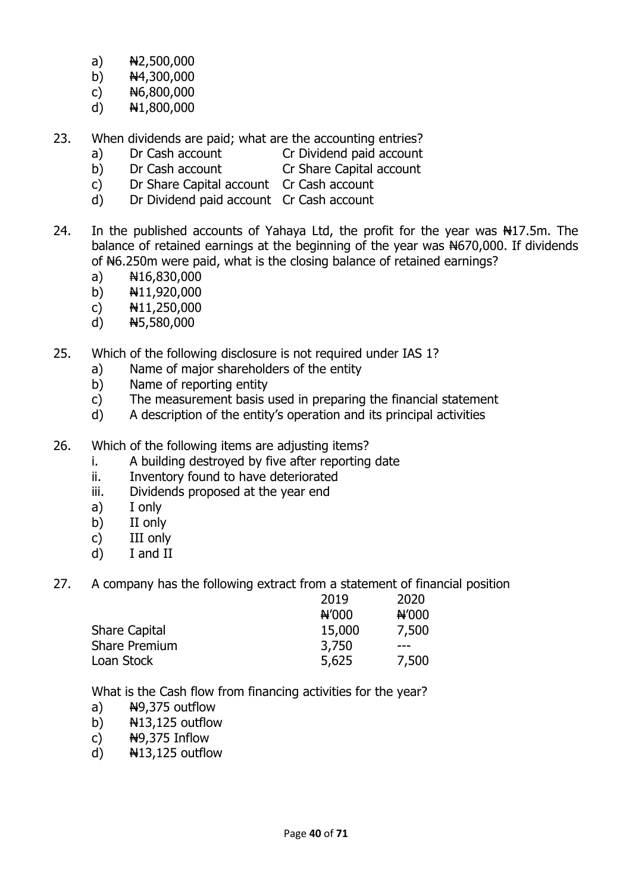- a)  $N2,500,000$
- b)  $\frac{1}{2}$  N4,300,000
- c)  $H6,800,000$
- d)  $N1,800,000$
- 23. When dividends are paid; what are the accounting entries?
	-
	- a) Dr Cash account Cr Dividend paid account
	- b) Dr Cash account Cr Share Capital account
	- c) Dr Share Capital account Cr Cash account
	- d) Dr Dividend paid account Cr Cash account
- 24. In the published accounts of Yahaya Ltd, the profit for the year was N17.5m. The balance of retained earnings at the beginning of the year was  $#670,000$ . If dividends of N6.250m were paid, what is the closing balance of retained earnings?
	- a)  $H16,830,000$
	- b)  $\frac{1}{11,920,000}$
	- c)  $H11,250,000$
	- d)  $H5,580,000$
- 25. Which of the following disclosure is not required under IAS 1?
	- a) Name of major shareholders of the entity
	- b) Name of reporting entity
	- c) The measurement basis used in preparing the financial statement
	- d) A description of the entity's operation and its principal activities
- 26. Which of the following items are adjusting items?
	- i. A building destroyed by five after reporting date
	- ii. Inventory found to have deteriorated
	- iii. Dividends proposed at the year end
	- a) I only
	- b) II only
	- c) III only
	- d) I and II

27. A company has the following extract from a statement of financial position

| N'000 |
|-------|
| 7,500 |
|       |
| 7,500 |
|       |

What is the Cash flow from financing activities for the year?

- a)  $\frac{N}{2}$ ,  $\frac{N}{2}$  outflow
- b)  $\frac{1}{3}$ ,125 outflow
- c)  $N=19,375$  Inflow
- d)  $N13,125$  outflow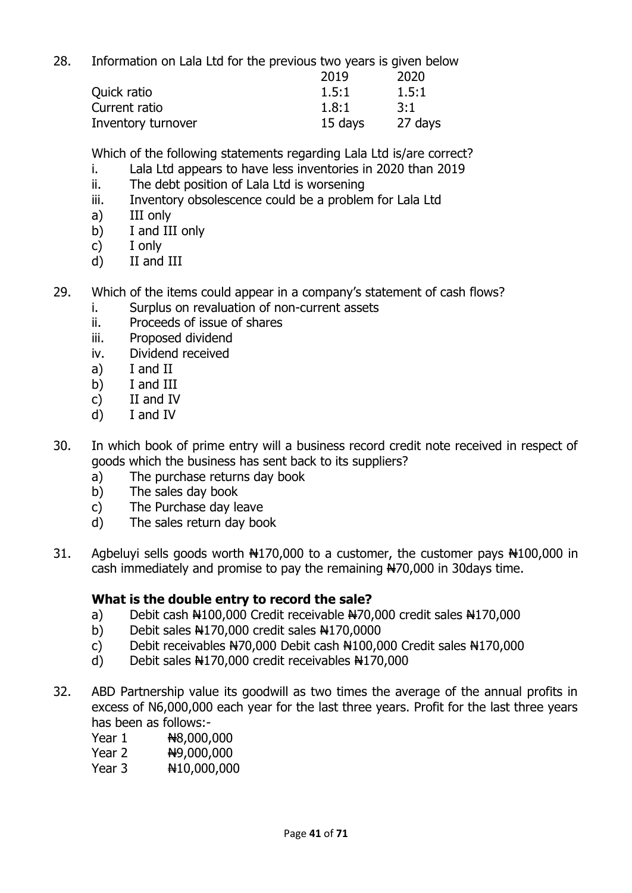28. Information on Lala Ltd for the previous two years is given below

|                    | 2019    | 2020    |
|--------------------|---------|---------|
| Quick ratio        | 1.5:1   | 1.5:1   |
| Current ratio      | 1.8:1   | 3:1     |
| Inventory turnover | 15 days | 27 days |

Which of the following statements regarding Lala Ltd is/are correct?

- i. Lala Ltd appears to have less inventories in 2020 than 2019
- ii. The debt position of Lala Ltd is worsening
- iii. Inventory obsolescence could be a problem for Lala Ltd
- a) III only
- b) I and III only
- c) I only
- d) II and III
- 29. Which of the items could appear in a company's statement of cash flows?
	- i. Surplus on revaluation of non-current assets
	- ii. Proceeds of issue of shares
	- iii. Proposed dividend
	- iv. Dividend received
	- a) I and II
	- b) I and III
	- c) II and IV
	- d) I and IV
- 30. In which book of prime entry will a business record credit note received in respect of goods which the business has sent back to its suppliers?
	- a) The purchase returns day book
	- b) The sales day book
	- c) The Purchase day leave
	- d) The sales return day book
- 31. Agbeluyi sells goods worth N170,000 to a customer, the customer pays N100,000 in cash immediately and promise to pay the remaining N70,000 in 30days time.

#### **What is the double entry to record the sale?**

- a) Debit cash N100,000 Credit receivable N70,000 credit sales N170,000
- b) Debit sales  $\frac{1270,000}{120}$  credit sales  $\frac{1270,0000}{120}$
- c) Debit receivables  $H70,000$  Debit cash  $H100,000$  Credit sales  $H170,000$
- d) Debit sales  $\frac{120,000}{120,000}$  credit receivables  $\frac{120,000}{120,000}$
- 32. ABD Partnership value its goodwill as two times the average of the annual profits in excess of N6,000,000 each year for the last three years. Profit for the last three years has been as follows:-
	- Year 1  $\frac{1}{1}$  N8,000,000
	- Year 2  $\frac{1}{2}$  N9,000,000
	- Year 3  $\frac{10,000,000}{100,000}$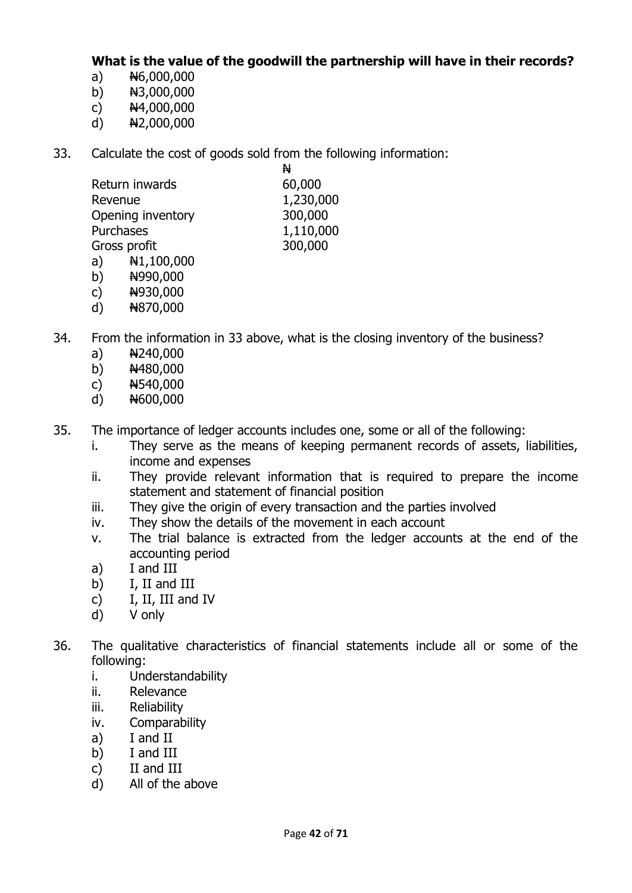**What is the value of the goodwill the partnership will have in their records?**

- a)  $N6,000,000$
- b)  $N3,000,000$
- c)  $H4,000,000$
- d) N2,000,000
- 33. Calculate the cost of goods sold from the following information:

|                   | N         |
|-------------------|-----------|
| Return inwards    | 60,000    |
| Revenue           | 1,230,000 |
| Opening inventory | 300,000   |
| Purchases         | 1,110,000 |
| Gross profit      | 300,000   |
|                   |           |

- a)  $N1,100,000$
- b)  $\frac{14990,000}{1}$
- c)  $\frac{4930,000}{5}$
- d) N870,000
- 34. From the information in 33 above, what is the closing inventory of the business?
	- a)  $N240,000$
	- b)  $N480,000$
	- c)  $H540,000$
	- d)  $H600,000$
- 35. The importance of ledger accounts includes one, some or all of the following:
	- i. They serve as the means of keeping permanent records of assets, liabilities, income and expenses
	- ii. They provide relevant information that is required to prepare the income statement and statement of financial position
	- iii. They give the origin of every transaction and the parties involved
	- iv. They show the details of the movement in each account
	- v. The trial balance is extracted from the ledger accounts at the end of the accounting period
	- a) I and III
	- b) I, II and III
	- c) I, II, III and IV
	- d) V only
- 36. The qualitative characteristics of financial statements include all or some of the following:
	- i. Understandability
	- ii. Relevance
	- iii. Reliability
	- iv. Comparability
	- a) I and II
	- b) I and III
	- c) II and III
	- d) All of the above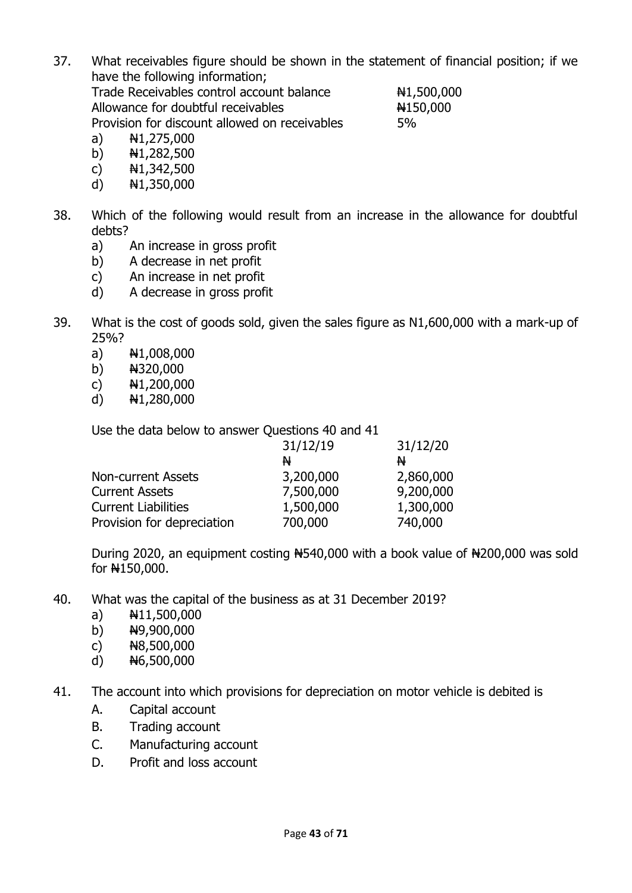- 37. What receivables figure should be shown in the statement of financial position; if we have the following information; Trade Receivables control account balance  $\text{N1,500,000}$ Allowance for doubtful receivables  $\mu$ 150,000 Provision for discount allowed on receivables 5%
	- a)  $N1,275,000$
	- b)  $N1,282,500$
	- c)  $N1,342,500$
	- d) N1,350,000
- 38. Which of the following would result from an increase in the allowance for doubtful debts?
	- a) An increase in gross profit
	- b) A decrease in net profit
	- c) An increase in net profit
	- d) A decrease in gross profit
- 39. What is the cost of goods sold, given the sales figure as N1,600,000 with a mark-up of 25%?
	- a)  $\frac{1}{1,008,000}$
	- b) N320,000
	- c)  $\frac{1}{2}$  N1,200,000
	- d)  $\frac{1}{280,000}$

Use the data below to answer Questions 40 and 41

| 31/12/20                                                        |
|-----------------------------------------------------------------|
|                                                                 |
| 2,860,000                                                       |
| 9,200,000                                                       |
| 1,300,000                                                       |
| 740,000                                                         |
| 31/12/19<br>N<br>3,200,000<br>7,500,000<br>1,500,000<br>700,000 |

During 2020, an equipment costing N540,000 with a book value of N200,000 was sold for N150,000.

- 40. What was the capital of the business as at 31 December 2019?
	- a)  $\frac{1}{11,500,000}$
	- b)  $\frac{149,900,000}{2}$
	- c)  $H8,500,000$
	- d)  $H6,500,000$
- 41. The account into which provisions for depreciation on motor vehicle is debited is
	- A. Capital account
	- B. Trading account
	- C. Manufacturing account
	- D. Profit and loss account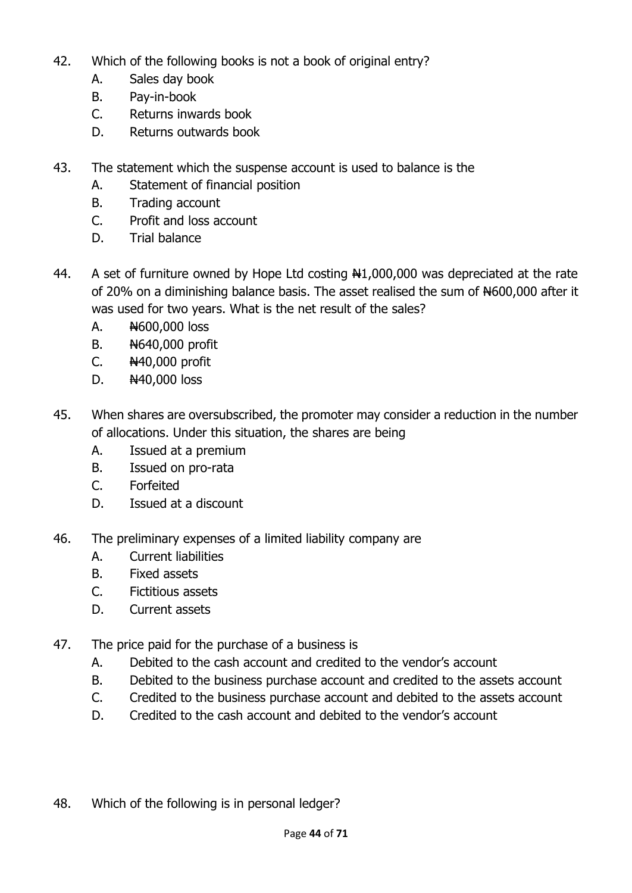- 42. Which of the following books is not a book of original entry?
	- A. Sales day book
	- B. Pay-in-book
	- C. Returns inwards book
	- D. Returns outwards book
- 43. The statement which the suspense account is used to balance is the
	- A. Statement of financial position
	- B. Trading account
	- C. Profit and loss account
	- D. Trial balance
- 44. A set of furniture owned by Hope Ltd costing N1,000,000 was depreciated at the rate of 20% on a diminishing balance basis. The asset realised the sum of  $#600,000$  after it was used for two years. What is the net result of the sales?
	- A.  $\frac{N600,000}{N}$  loss
	- B. **N640,000 profit**
	- C.  $\frac{1440,000}{1}$  profit
	- D.  $\frac{1440,000}{10055}$
- 45. When shares are oversubscribed, the promoter may consider a reduction in the number of allocations. Under this situation, the shares are being
	- A. Issued at a premium
	- B. Issued on pro-rata
	- C. Forfeited
	- D. Issued at a discount
- 46. The preliminary expenses of a limited liability company are
	- A. Current liabilities
	- B. Fixed assets
	- C. Fictitious assets
	- D. Current assets
- 47. The price paid for the purchase of a business is
	- A. Debited to the cash account and credited to the vendor's account
	- B. Debited to the business purchase account and credited to the assets account
	- C. Credited to the business purchase account and debited to the assets account
	- D. Credited to the cash account and debited to the vendor's account
- 48. Which of the following is in personal ledger?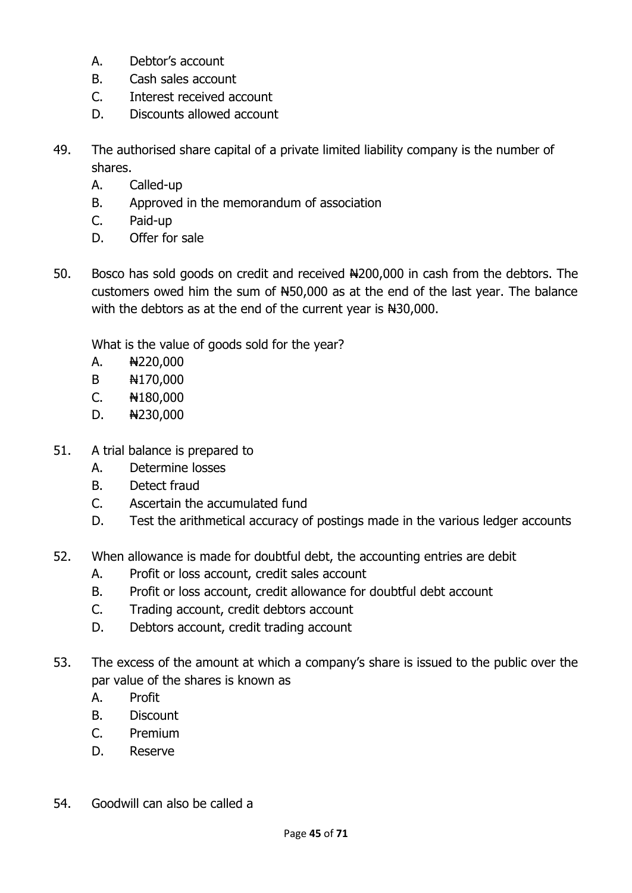- A. Debtor's account
- B. Cash sales account
- C. Interest received account
- D. Discounts allowed account
- 49. The authorised share capital of a private limited liability company is the number of shares.
	- A. Called-up
	- B. Approved in the memorandum of association
	- C. Paid-up
	- D. Offer for sale
- 50. Bosco has sold goods on credit and received  $\frac{1200,000}{100,000}$  in cash from the debtors. The customers owed him the sum of  $#50,000$  as at the end of the last year. The balance with the debtors as at the end of the current year is  $#30,000$ .

What is the value of goods sold for the year?

- A. N220,000
- B N170,000
- C. N180,000
- D. N230,000
- 51. A trial balance is prepared to
	- A. Determine losses
	- B. Detect fraud
	- C. Ascertain the accumulated fund
	- D. Test the arithmetical accuracy of postings made in the various ledger accounts
- 52. When allowance is made for doubtful debt, the accounting entries are debit
	- A. Profit or loss account, credit sales account
	- B. Profit or loss account, credit allowance for doubtful debt account
	- C. Trading account, credit debtors account
	- D. Debtors account, credit trading account
- 53. The excess of the amount at which a company's share is issued to the public over the par value of the shares is known as
	- A. Profit
	- B. Discount
	- C. Premium
	- D. Reserve
- 54. Goodwill can also be called a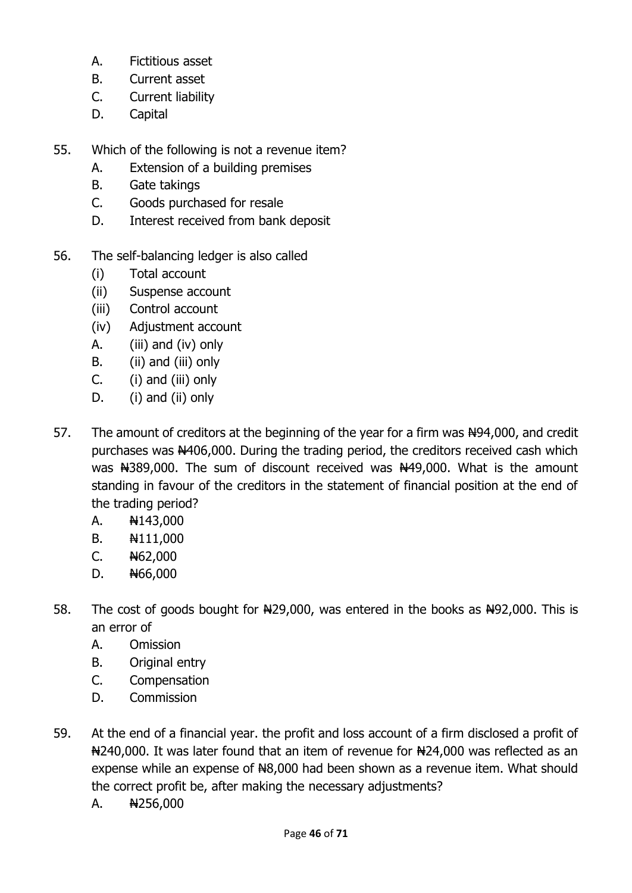- A. Fictitious asset
- B. Current asset
- C. Current liability
- D. Capital
- 55. Which of the following is not a revenue item?
	- A. Extension of a building premises
	- B. Gate takings
	- C. Goods purchased for resale
	- D. Interest received from bank deposit
- 56. The self-balancing ledger is also called
	- (i) Total account
	- (ii) Suspense account
	- (iii) Control account
	- (iv) Adjustment account
	- A. (iii) and (iv) only
	- B. (ii) and (iii) only
	- C. (i) and (iii) only
	- D. (i) and (ii) only
- 57. The amount of creditors at the beginning of the year for a firm was  $N94,000$ , and credit purchases was N406,000. During the trading period, the creditors received cash which was N389,000. The sum of discount received was N49,000. What is the amount standing in favour of the creditors in the statement of financial position at the end of the trading period?
	- A. **N143,000**
	- B.  $\frac{111,000}{1}$
	- $C.$   $H62,000$
	- D. N66,000
- 58. The cost of goods bought for  $\frac{129,000}{1000}$ , was entered in the books as  $\frac{1492,000}{1000}$ . This is an error of
	- A. Omission
	- B. Original entry
	- C. Compensation
	- D. Commission
- 59. At the end of a financial year. the profit and loss account of a firm disclosed a profit of N240,000. It was later found that an item of revenue for N24,000 was reflected as an expense while an expense of  $H8,000$  had been shown as a revenue item. What should the correct profit be, after making the necessary adjustments?
	- A.  $N256,000$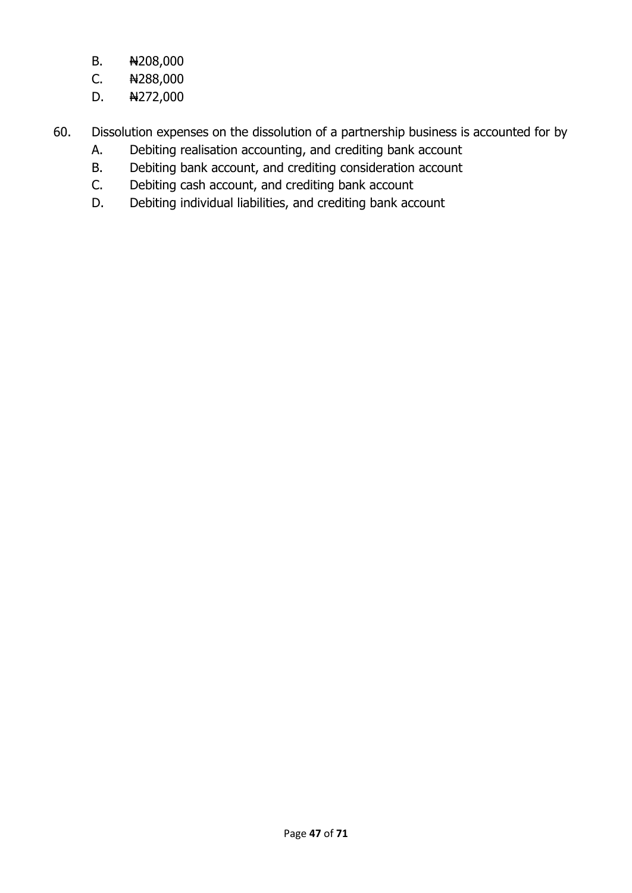- B. **N**208,000
- $C.$  N288,000
- D.  $\frac{1272,000}{1}$
- 60. Dissolution expenses on the dissolution of a partnership business is accounted for by
	- A. Debiting realisation accounting, and crediting bank account
	- B. Debiting bank account, and crediting consideration account
	- C. Debiting cash account, and crediting bank account
	- D. Debiting individual liabilities, and crediting bank account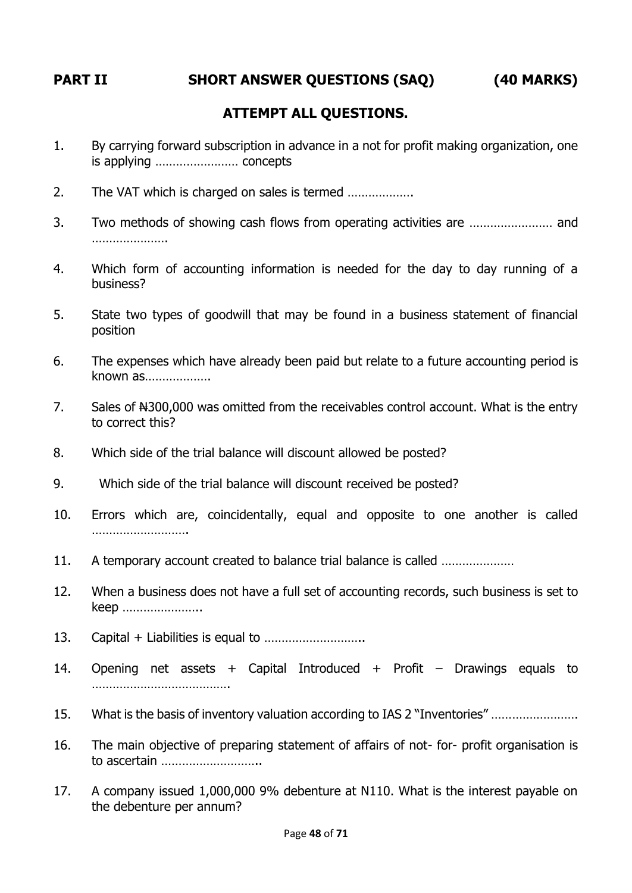# **PART II SHORT ANSWER QUESTIONS (SAQ) (40 MARKS)**

## **ATTEMPT ALL QUESTIONS.**

- 1. By carrying forward subscription in advance in a not for profit making organization, one is applying …………………… concepts
- 2. The VAT which is charged on sales is termed ……………….
- 3. Two methods of showing cash flows from operating activities are …………………… and …………………
- 4. Which form of accounting information is needed for the day to day running of a business?
- 5. State two types of goodwill that may be found in a business statement of financial position
- 6. The expenses which have already been paid but relate to a future accounting period is known as……………….
- 7. Sales of  $#300,000$  was omitted from the receivables control account. What is the entry to correct this?
- 8. Which side of the trial balance will discount allowed be posted?
- 9. Which side of the trial balance will discount received be posted?
- 10. Errors which are, coincidentally, equal and opposite to one another is called ……………………….
- 11. A temporary account created to balance trial balance is called …………………
- 12. When a business does not have a full set of accounting records, such business is set to keep …………………..
- 13. Capital + Liabilities is equal to ………………………..
- 14. Opening net assets + Capital Introduced + Profit Drawings equals to ………………………………….
- 15. What is the basis of inventory valuation according to IAS 2 "Inventories" …………………….
- 16. The main objective of preparing statement of affairs of not- for- profit organisation is to ascertain ………………………..
- 17. A company issued 1,000,000 9% debenture at N110. What is the interest payable on the debenture per annum?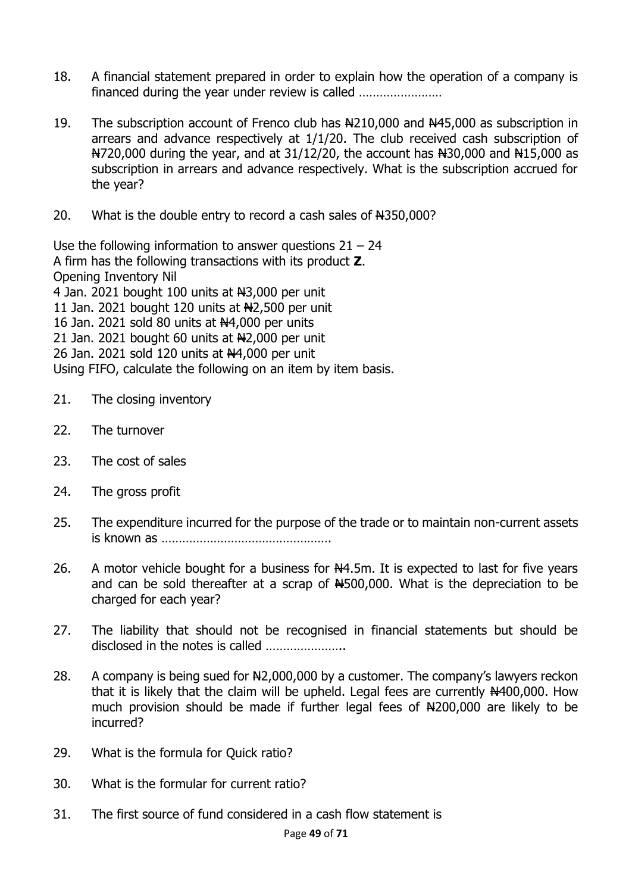- 18. A financial statement prepared in order to explain how the operation of a company is financed during the year under review is called ……………………
- 19. The subscription account of Frenco club has New 10,000 and New 15,000 as subscription in arrears and advance respectively at 1/1/20. The club received cash subscription of  $\frac{120,000}{1}$  during the year, and at 31/12/20, the account has  $\frac{120,000}{1}$  and  $\frac{120,000}{1}$  as subscription in arrears and advance respectively. What is the subscription accrued for the year?
- 20. What is the double entry to record a cash sales of N4350,000?

Use the following information to answer questions  $21 - 24$ A firm has the following transactions with its product **Z**. Opening Inventory Nil 4 Jan. 2021 bought 100 units at  $H3,000$  per unit 11 Jan. 2021 bought 120 units at  $H2,500$  per unit 16 Jan. 2021 sold 80 units at N4,000 per units 21 Jan. 2021 bought 60 units at  $H2,000$  per unit 26 Jan. 2021 sold 120 units at  $\frac{14}{100}$  per unit Using FIFO, calculate the following on an item by item basis.

- 21. The closing inventory
- 22. The turnover
- 23. The cost of sales
- 24. The gross profit
- 25. The expenditure incurred for the purpose of the trade or to maintain non-current assets is known as ………………………………………….
- 26. A motor vehicle bought for a business for  $N4.5m$ . It is expected to last for five years and can be sold thereafter at a scrap of  $#500,000$ . What is the depreciation to be charged for each year?
- 27. The liability that should not be recognised in financial statements but should be disclosed in the notes is called ……………………
- 28. A company is being sued for  $\frac{12,000,000}{1}$  by a customer. The company's lawyers reckon that it is likely that the claim will be upheld. Legal fees are currently  $N400,000$ . How much provision should be made if further legal fees of  $#200,000$  are likely to be incurred?
- 29. What is the formula for Quick ratio?
- 30. What is the formular for current ratio?
- 31. The first source of fund considered in a cash flow statement is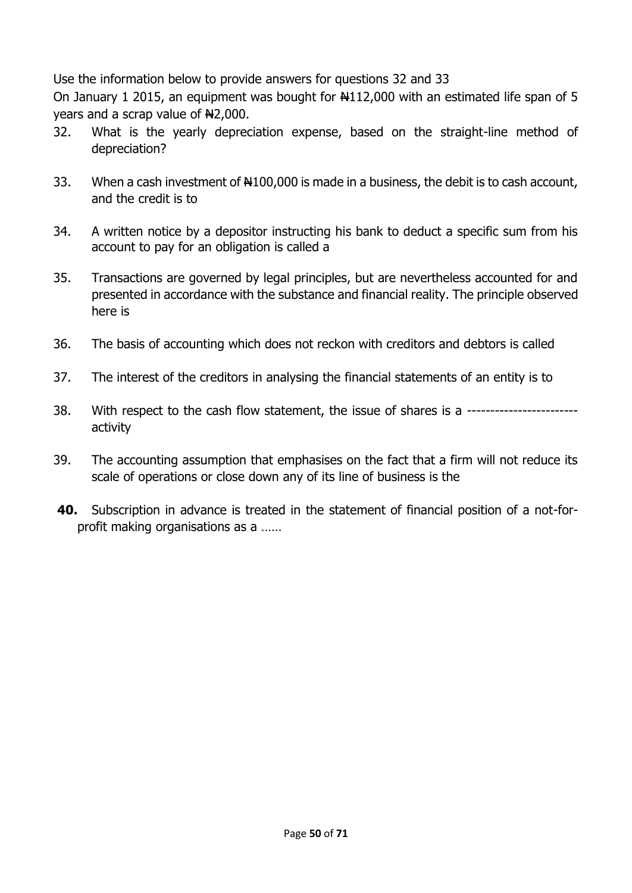Use the information below to provide answers for questions 32 and 33

On January 1 2015, an equipment was bought for  $\frac{112,000}{100}$  with an estimated life span of 5 years and a scrap value of  $H2,000$ .

- 32. What is the yearly depreciation expense, based on the straight-line method of depreciation?
- 33. When a cash investment of  $\text{H}100,000$  is made in a business, the debit is to cash account, and the credit is to
- 34. A written notice by a depositor instructing his bank to deduct a specific sum from his account to pay for an obligation is called a
- 35. Transactions are governed by legal principles, but are nevertheless accounted for and presented in accordance with the substance and financial reality. The principle observed here is
- 36. The basis of accounting which does not reckon with creditors and debtors is called
- 37. The interest of the creditors in analysing the financial statements of an entity is to
- 38. With respect to the cash flow statement, the issue of shares is a -----------------------activity
- 39. The accounting assumption that emphasises on the fact that a firm will not reduce its scale of operations or close down any of its line of business is the
- **40.** Subscription in advance is treated in the statement of financial position of a not-forprofit making organisations as a ……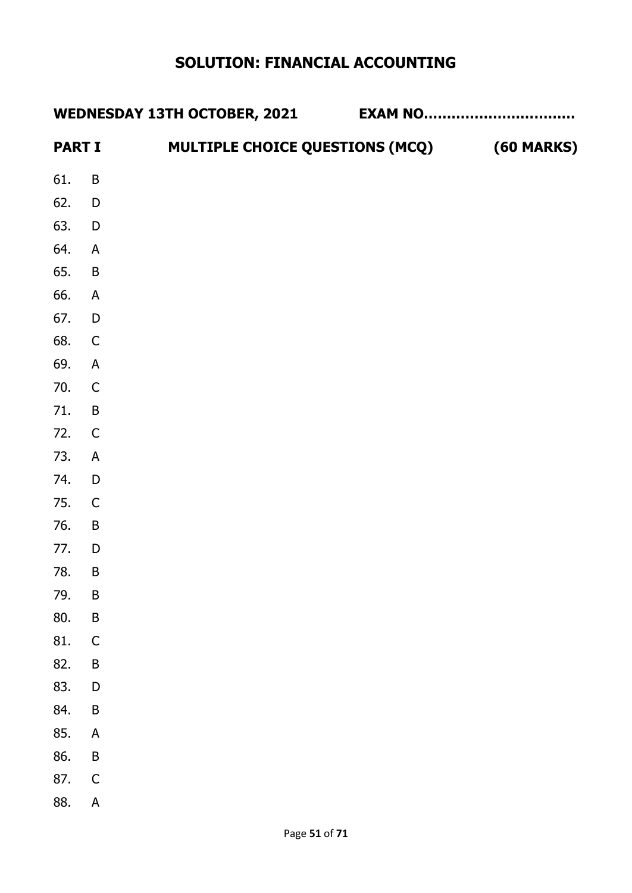# **SOLUTION: FINANCIAL ACCOUNTING**

|               |                           | <b>WEDNESDAY 13TH OCTOBER, 2021</b>        | <b>EXAM NO</b> |  |
|---------------|---------------------------|--------------------------------------------|----------------|--|
| <b>PART I</b> |                           | MULTIPLE CHOICE QUESTIONS (MCQ) (60 MARKS) |                |  |
| 61.           | B                         |                                            |                |  |
| 62. D         |                           |                                            |                |  |
| 63. D         |                           |                                            |                |  |
| 64.           | $\mathsf{A}$              |                                            |                |  |
| 65. B         |                           |                                            |                |  |
| 66. A         |                           |                                            |                |  |
| 67. D         |                           |                                            |                |  |
| 68. C         |                           |                                            |                |  |
| 69.           | $\mathsf{A}$              |                                            |                |  |
| 70. C         |                           |                                            |                |  |
| 71. B         |                           |                                            |                |  |
| 72. C         |                           |                                            |                |  |
| 73. A         |                           |                                            |                |  |
| 74. D         |                           |                                            |                |  |
| 75. C         |                           |                                            |                |  |
| 76.           | $\overline{B}$            |                                            |                |  |
| 77.           | D                         |                                            |                |  |
| 78.           | $\sf B$                   |                                            |                |  |
| 79.           | $\sf B$                   |                                            |                |  |
| 80.           | $\sf B$                   |                                            |                |  |
| 81.           | $\mathsf C$               |                                            |                |  |
| 82.           | $\mathsf B$               |                                            |                |  |
| 83.           | $\mathsf{D}%$             |                                            |                |  |
| 84.           | $\sf B$                   |                                            |                |  |
| 85.           | $\boldsymbol{\mathsf{A}}$ |                                            |                |  |
| 86.           | $\sf B$                   |                                            |                |  |
| 87.           | $\mathsf C$               |                                            |                |  |
| 88.           | $\boldsymbol{\mathsf{A}}$ |                                            |                |  |
|               |                           |                                            |                |  |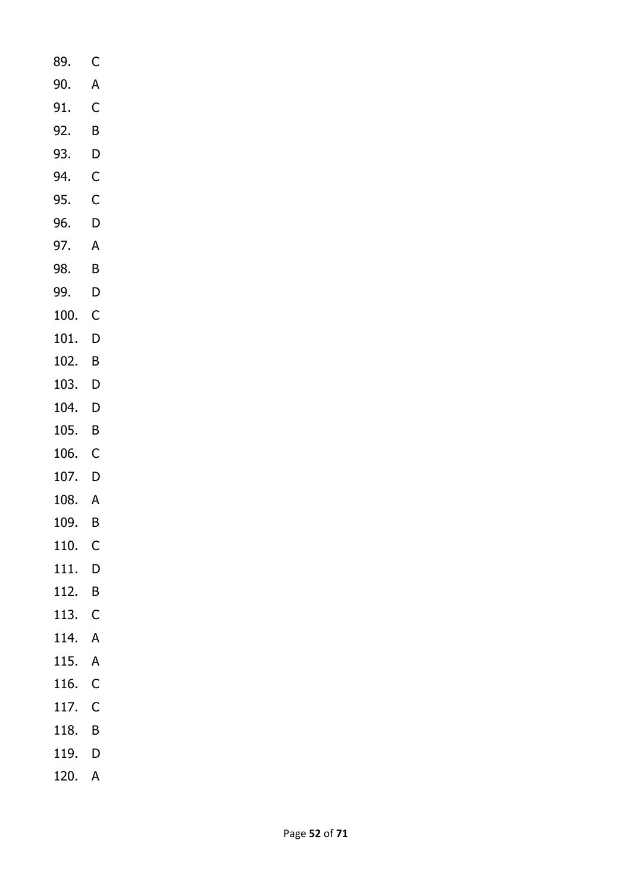- 89. C 90. A 91. C 92. B 93. D 94. C 95. C 96. D 97. A 98. B 99. D 100. C 101. D 102. B 103. D 104. D 105. B 106. C 107. D 108. A 109. B 110. C 111. D 112. B 113. C 114. A 115. A 116. C 117. C 118. B
- 119. D
- 120. A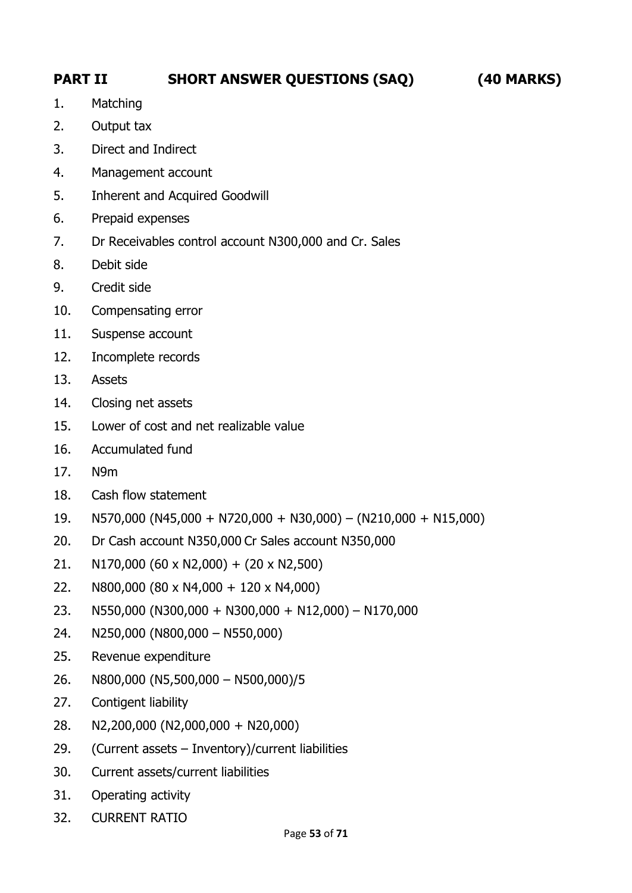# **PART II SHORT ANSWER QUESTIONS (SAQ) (40 MARKS)**

- 1. Matching
- 2. Output tax
- 3. Direct and Indirect
- 4. Management account
- 5. Inherent and Acquired Goodwill
- 6. Prepaid expenses
- 7. Dr Receivables control account N300,000 and Cr. Sales
- 8. Debit side
- 9. Credit side
- 10. Compensating error
- 11. Suspense account
- 12. Incomplete records
- 13. Assets
- 14. Closing net assets
- 15. Lower of cost and net realizable value
- 16. Accumulated fund
- 17. N9m
- 18. Cash flow statement
- 19. N570,000 (N45,000 + N720,000 + N30,000) (N210,000 + N15,000)
- 20. Dr Cash account N350,000 Cr Sales account N350,000
- 21. N170,000 (60 x N2,000) + (20 x N2,500)
- 22. N800,000 (80 x N4,000 + 120 x N4,000)
- 23. N550,000 (N300,000 + N300,000 + N12,000) N170,000
- 24. N250,000 (N800,000 N550,000)
- 25. Revenue expenditure
- 26. N800,000 (N5,500,000 N500,000)/5
- 27. Contigent liability
- 28. N2,200,000 (N2,000,000 + N20,000)
- 29. (Current assets Inventory)/current liabilities
- 30. Current assets/current liabilities
- 31. Operating activity
- 32. CURRENT RATIO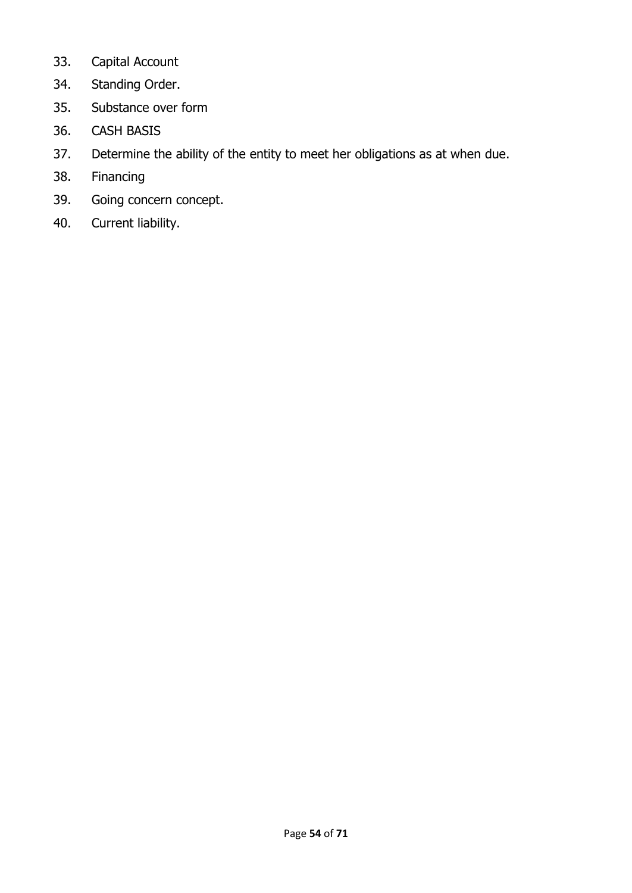- 33. Capital Account
- 34. Standing Order.
- 35. Substance over form
- 36. CASH BASIS
- 37. Determine the ability of the entity to meet her obligations as at when due.
- 38. Financing
- 39. Going concern concept.
- 40. Current liability.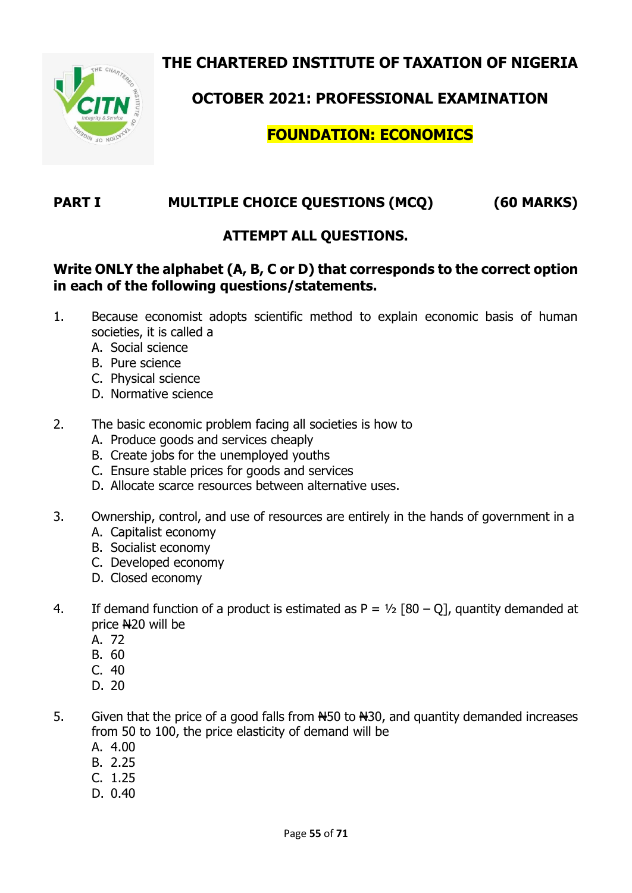**THE CHARTERED INSTITUTE OF TAXATION OF NIGERIA**



**OCTOBER 2021: PROFESSIONAL EXAMINATION**

# **FOUNDATION: ECONOMICS**

# **PART I MULTIPLE CHOICE QUESTIONS (MCQ) (60 MARKS)**

## **ATTEMPT ALL QUESTIONS.**

### **Write ONLY the alphabet (A, B, C or D) that corresponds to the correct option in each of the following questions/statements.**

- 1. Because economist adopts scientific method to explain economic basis of human societies, it is called a
	- A. Social science
	- B. Pure science
	- C. Physical science
	- D. Normative science
- 2. The basic economic problem facing all societies is how to
	- A. Produce goods and services cheaply
	- B. Create jobs for the unemployed youths
	- C. Ensure stable prices for goods and services
	- D. Allocate scarce resources between alternative uses.
- 3. Ownership, control, and use of resources are entirely in the hands of government in a
	- A. Capitalist economy
	- B. Socialist economy
	- C. Developed economy
	- D. Closed economy
- 4. If demand function of a product is estimated as  $P = \frac{1}{2}$  [80 0], quantity demanded at price N20 will be
	- A. 72
	- B. 60
	- C. 40
	- D. 20
- 5. Given that the price of a good falls from N450 to N30, and quantity demanded increases from 50 to 100, the price elasticity of demand will be
	- A. 4.00
	- B. 2.25
	- C. 1.25
	- D. 0.40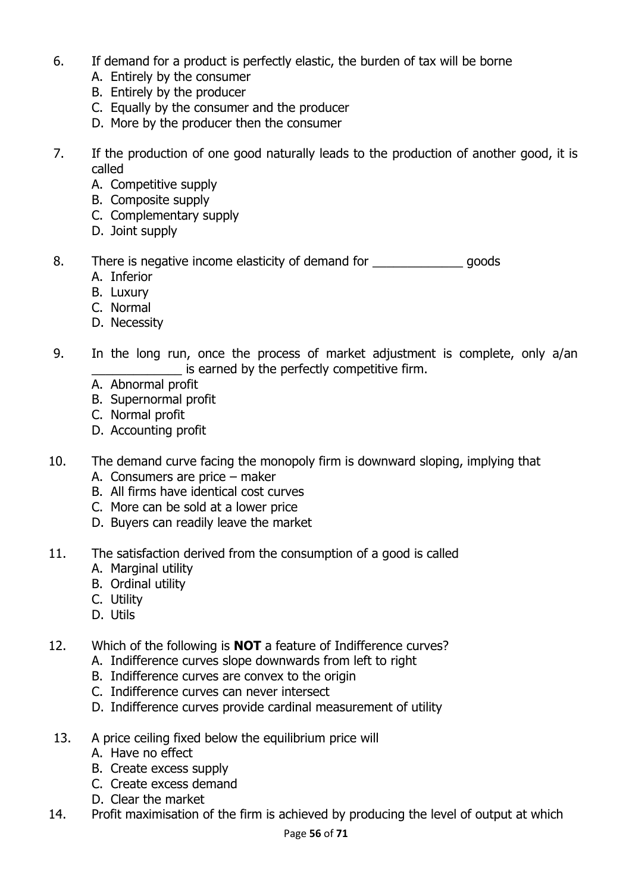- 6. If demand for a product is perfectly elastic, the burden of tax will be borne
	- A. Entirely by the consumer
	- B. Entirely by the producer
	- C. Equally by the consumer and the producer
	- D. More by the producer then the consumer
- 7. If the production of one good naturally leads to the production of another good, it is called
	- A. Competitive supply
	- B. Composite supply
	- C. Complementary supply
	- D. Joint supply
- 8. There is negative income elasticity of demand for There is negods
	- A. Inferior
	- B. Luxury
	- C. Normal
	- D. Necessity
- 9. In the long run, once the process of market adjustment is complete, only a/an is earned by the perfectly competitive firm.
	- A. Abnormal profit
	- B. Supernormal profit
	- C. Normal profit
	- D. Accounting profit
- 10. The demand curve facing the monopoly firm is downward sloping, implying that
	- A. Consumers are price maker
	- B. All firms have identical cost curves
	- C. More can be sold at a lower price
	- D. Buyers can readily leave the market
- 11. The satisfaction derived from the consumption of a good is called
	- A. Marginal utility
	- B. Ordinal utility
	- C. Utility
	- D. Utils
- 12. Which of the following is **NOT** a feature of Indifference curves?
	- A. Indifference curves slope downwards from left to right
	- B. Indifference curves are convex to the origin
	- C. Indifference curves can never intersect
	- D. Indifference curves provide cardinal measurement of utility
- 13. A price ceiling fixed below the equilibrium price will
	- A. Have no effect
	- B. Create excess supply
	- C. Create excess demand
	- D. Clear the market
- 14. Profit maximisation of the firm is achieved by producing the level of output at which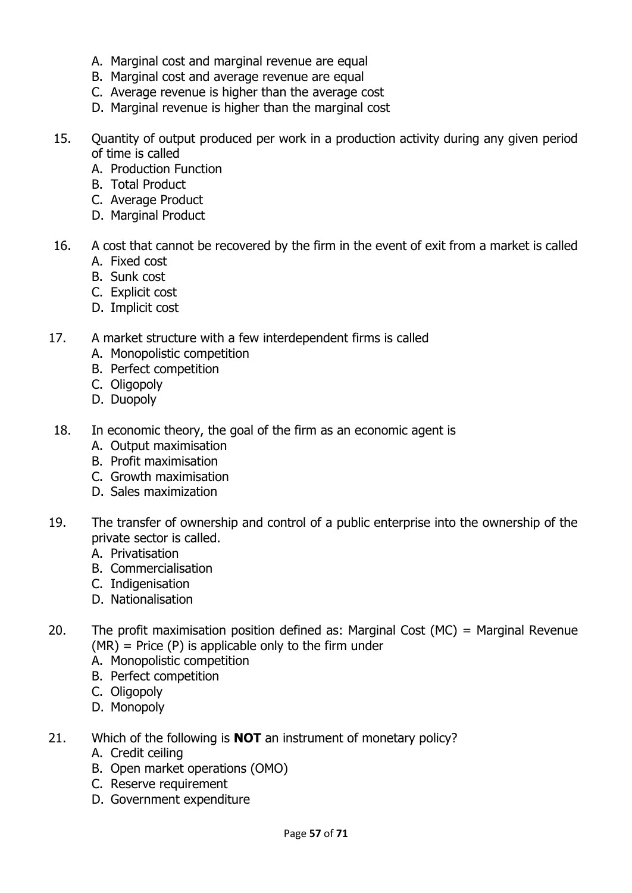- A. Marginal cost and marginal revenue are equal
- B. Marginal cost and average revenue are equal
- C. Average revenue is higher than the average cost
- D. Marginal revenue is higher than the marginal cost
- 15. Quantity of output produced per work in a production activity during any given period of time is called
	- A. Production Function
	- B. Total Product
	- C. Average Product
	- D. Marginal Product
- 16. A cost that cannot be recovered by the firm in the event of exit from a market is called A. Fixed cost
	- B. Sunk cost
	- C. Explicit cost
	- D. Implicit cost
- 17. A market structure with a few interdependent firms is called
	- A. Monopolistic competition
	- B. Perfect competition
	- C. Oligopoly
	- D. Duopoly
- 18. In economic theory, the goal of the firm as an economic agent is
	- A. Output maximisation
	- B. Profit maximisation
	- C. Growth maximisation
	- D. Sales maximization
- 19. The transfer of ownership and control of a public enterprise into the ownership of the private sector is called.
	- A. Privatisation
	- B. Commercialisation
	- C. Indigenisation
	- D. Nationalisation
- 20. The profit maximisation position defined as: Marginal Cost (MC) = Marginal Revenue  $(MR)$  = Price  $(P)$  is applicable only to the firm under
	- A. Monopolistic competition
	- B. Perfect competition
	- C. Oligopoly
	- D. Monopoly
- 21. Which of the following is **NOT** an instrument of monetary policy?
	- A. Credit ceiling
	- B. Open market operations (OMO)
	- C. Reserve requirement
	- D. Government expenditure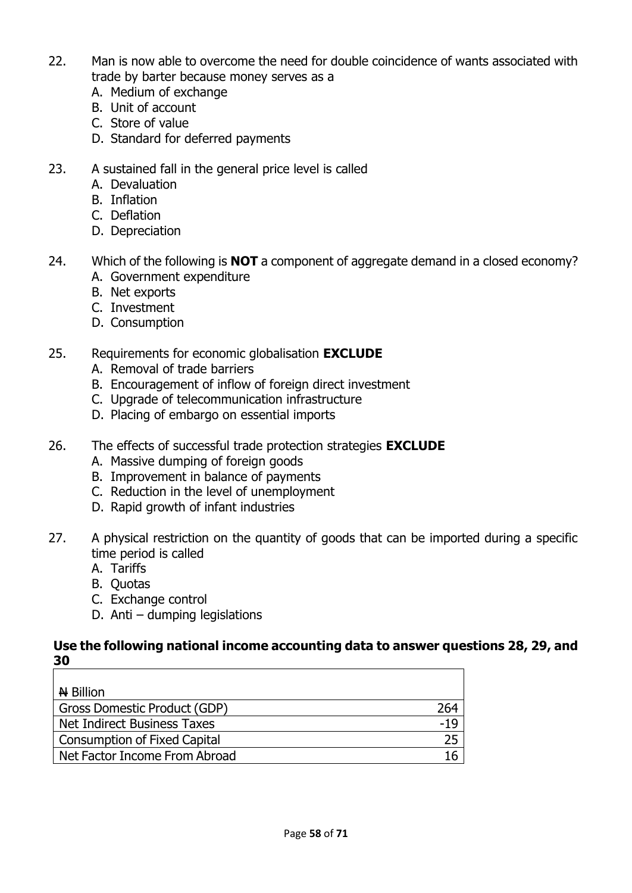- 22. Man is now able to overcome the need for double coincidence of wants associated with trade by barter because money serves as a
	- A. Medium of exchange
	- B. Unit of account
	- C. Store of value
	- D. Standard for deferred payments
- 23. A sustained fall in the general price level is called
	- A. Devaluation
	- B. Inflation
	- C. Deflation
	- D. Depreciation
- 24. Which of the following is **NOT** a component of aggregate demand in a closed economy? A. Government expenditure
	- B. Net exports
	- C. Investment
	- D. Consumption
- 25. Requirements for economic globalisation **EXCLUDE** 
	- A. Removal of trade barriers
	- B. Encouragement of inflow of foreign direct investment
	- C. Upgrade of telecommunication infrastructure
	- D. Placing of embargo on essential imports
- 26. The effects of successful trade protection strategies **EXCLUDE**
	- A. Massive dumping of foreign goods
	- B. Improvement in balance of payments
	- C. Reduction in the level of unemployment
	- D. Rapid growth of infant industries
- 27. A physical restriction on the quantity of goods that can be imported during a specific time period is called
	- A. Tariffs
	- B. Quotas
	- C. Exchange control
	- D. Anti dumping legislations

#### **Use the following national income accounting data to answer questions 28, 29, and 30**

| $\overline{H}$ Billion              |     |
|-------------------------------------|-----|
| Gross Domestic Product (GDP)        | 264 |
| Net Indirect Business Taxes         | -19 |
| <b>Consumption of Fixed Capital</b> | 25  |
| Net Factor Income From Abroad       | 16  |
|                                     |     |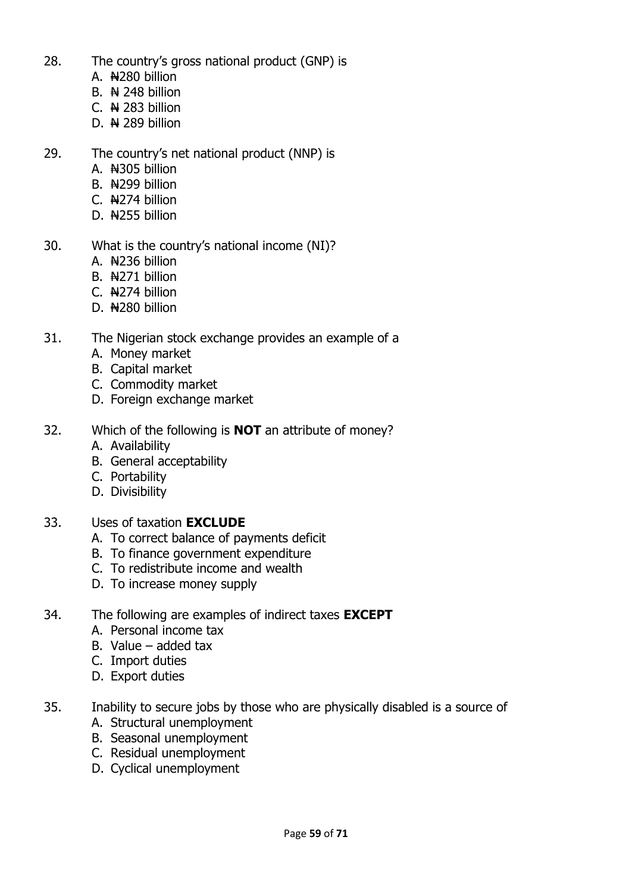- 28. The country's gross national product (GNP) is
	- A. New billion
	- B.  $\leftrightarrow$  248 billion
	- C.  $\overline{N}$  283 billion
	- D.  $\leftrightarrow$  289 billion
- 29. The country's net national product (NNP) is
	- A. N<sub>305</sub> billion
	- B. N299 billion
	- $C.$   $N274$  billion
	- D. N255 billion
- 30. What is the country's national income (NI)?
	- A. N236 billion
	- B. N<sub>271</sub> billion
	- C. N274 billion
	- D. N<sub>280</sub> billion
- 31. The Nigerian stock exchange provides an example of a
	- A. Money market
	- B. Capital market
	- C. Commodity market
	- D. Foreign exchange market
- 32. Which of the following is **NOT** an attribute of money?
	- A. Availability
	- B. General acceptability
	- C. Portability
	- D. Divisibility
- 33. Uses of taxation **EXCLUDE**
	- A. To correct balance of payments deficit
	- B. To finance government expenditure
	- C. To redistribute income and wealth
	- D. To increase money supply
- 34. The following are examples of indirect taxes **EXCEPT**
	- A. Personal income tax
	- B. Value added tax
	- C. Import duties
	- D. Export duties
- 35. Inability to secure jobs by those who are physically disabled is a source of
	- A. Structural unemployment
	- B. Seasonal unemployment
	- C. Residual unemployment
	- D. Cyclical unemployment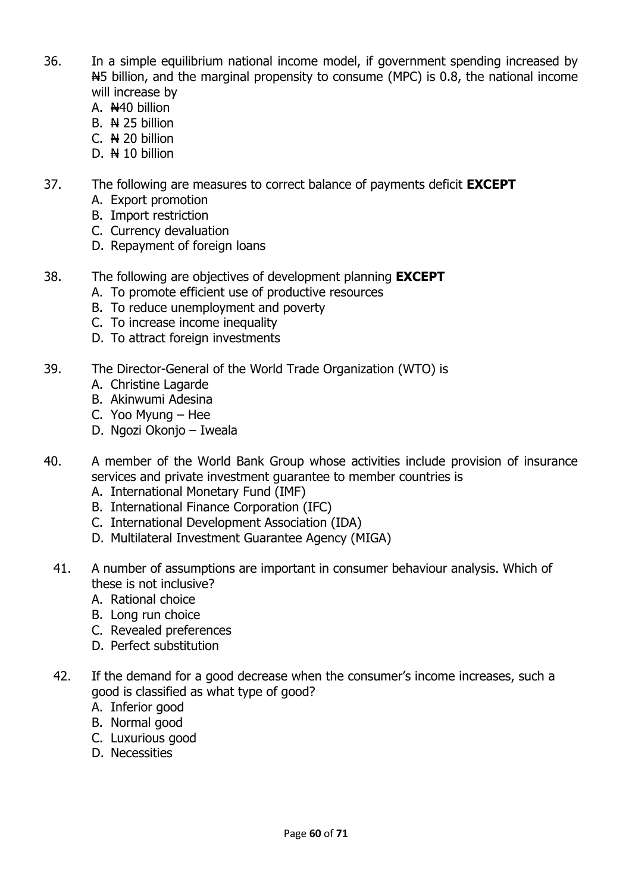- 36. In a simple equilibrium national income model, if government spending increased by  $H$ 5 billion, and the marginal propensity to consume (MPC) is 0.8, the national income will increase by
	- A. N<sub>40</sub> billion
	- $B.$   $N$  25 billion
	- C.  $N$  20 billion
	- D.  $\bigoplus$  10 billion
- 37. The following are measures to correct balance of payments deficit **EXCEPT**
	- A. Export promotion
	- B. Import restriction
	- C. Currency devaluation
	- D. Repayment of foreign loans
- 38. The following are objectives of development planning **EXCEPT**
	- A. To promote efficient use of productive resources
	- B. To reduce unemployment and poverty
	- C. To increase income inequality
	- D. To attract foreign investments
- 39. The Director-General of the World Trade Organization (WTO) is
	- A. Christine Lagarde
	- B. Akinwumi Adesina
	- C. Yoo Myung Hee
	- D. Ngozi Okonjo Iweala
- 40. A member of the World Bank Group whose activities include provision of insurance services and private investment guarantee to member countries is
	- A. International Monetary Fund (IMF)
	- B. International Finance Corporation (IFC)
	- C. International Development Association (IDA)
	- D. Multilateral Investment Guarantee Agency (MIGA)
	- 41. A number of assumptions are important in consumer behaviour analysis. Which of these is not inclusive?
		- A. Rational choice
		- B. Long run choice
		- C. Revealed preferences
		- D. Perfect substitution
	- 42. If the demand for a good decrease when the consumer's income increases, such a good is classified as what type of good?
		- A. Inferior good
		- B. Normal good
		- C. Luxurious good
		- D. Necessities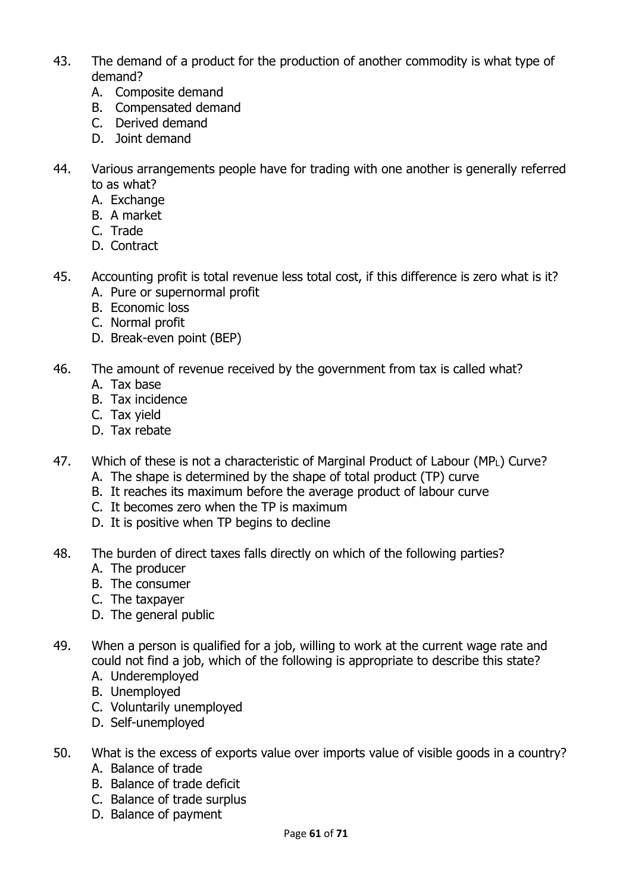- 43. The demand of a product for the production of another commodity is what type of demand?
	- A. Composite demand
	- B. Compensated demand
	- C. Derived demand
	- D. Joint demand
- 44. Various arrangements people have for trading with one another is generally referred to as what?
	- A. Exchange
	- B. A market
	- C. Trade
	- D. Contract
- 45. Accounting profit is total revenue less total cost, if this difference is zero what is it? A. Pure or supernormal profit
	- B. Economic loss
	- C. Normal profit
	- D. Break-even point (BEP)
- 46. The amount of revenue received by the government from tax is called what?
	- A. Tax base
	- B. Tax incidence
	- C. Tax yield
	- D. Tax rebate
- 47. Which of these is not a characteristic of Marginal Product of Labour (MPL) Curve?
	- A. The shape is determined by the shape of total product (TP) curve
	- B. It reaches its maximum before the average product of labour curve
	- C. It becomes zero when the TP is maximum
	- D. It is positive when TP begins to decline
- 48. The burden of direct taxes falls directly on which of the following parties?
	- A. The producer
	- B. The consumer
	- C. The taxpayer
	- D. The general public
- 49. When a person is qualified for a job, willing to work at the current wage rate and could not find a job, which of the following is appropriate to describe this state?
	- A. Underemployed
	- B. Unemployed
	- C. Voluntarily unemployed
	- D. Self-unemployed
- 50. What is the excess of exports value over imports value of visible goods in a country?
	- A. Balance of trade
	- B. Balance of trade deficit
	- C. Balance of trade surplus
	- D. Balance of payment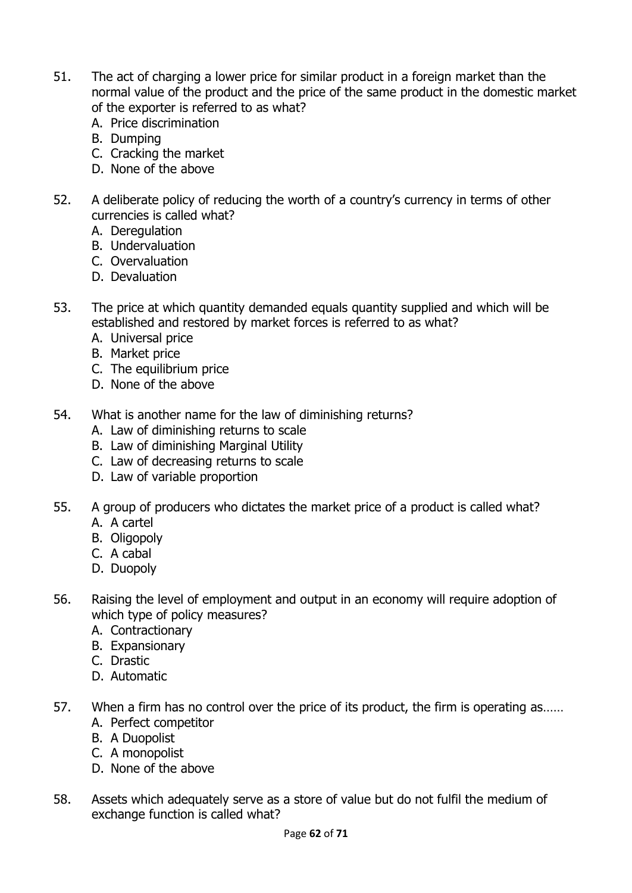- 51. The act of charging a lower price for similar product in a foreign market than the normal value of the product and the price of the same product in the domestic market of the exporter is referred to as what?
	- A. Price discrimination
	- B. Dumping
	- C. Cracking the market
	- D. None of the above
- 52. A deliberate policy of reducing the worth of a country's currency in terms of other currencies is called what?
	- A. Deregulation
	- B. Undervaluation
	- C. Overvaluation
	- D. Devaluation
- 53. The price at which quantity demanded equals quantity supplied and which will be established and restored by market forces is referred to as what?
	- A. Universal price
	- B. Market price
	- C. The equilibrium price
	- D. None of the above
- 54. What is another name for the law of diminishing returns?
	- A. Law of diminishing returns to scale
	- B. Law of diminishing Marginal Utility
	- C. Law of decreasing returns to scale
	- D. Law of variable proportion
- 55. A group of producers who dictates the market price of a product is called what?
	- A. A cartel
	- B. Oligopoly
	- C. A cabal
	- D. Duopoly
- 56. Raising the level of employment and output in an economy will require adoption of which type of policy measures?
	- A. Contractionary
	- B. Expansionary
	- C. Drastic
	- D. Automatic
- 57. When a firm has no control over the price of its product, the firm is operating as…… A. Perfect competitor
	- B. A Duopolist
	- C. A monopolist
	- D. None of the above
- 58. Assets which adequately serve as a store of value but do not fulfil the medium of exchange function is called what?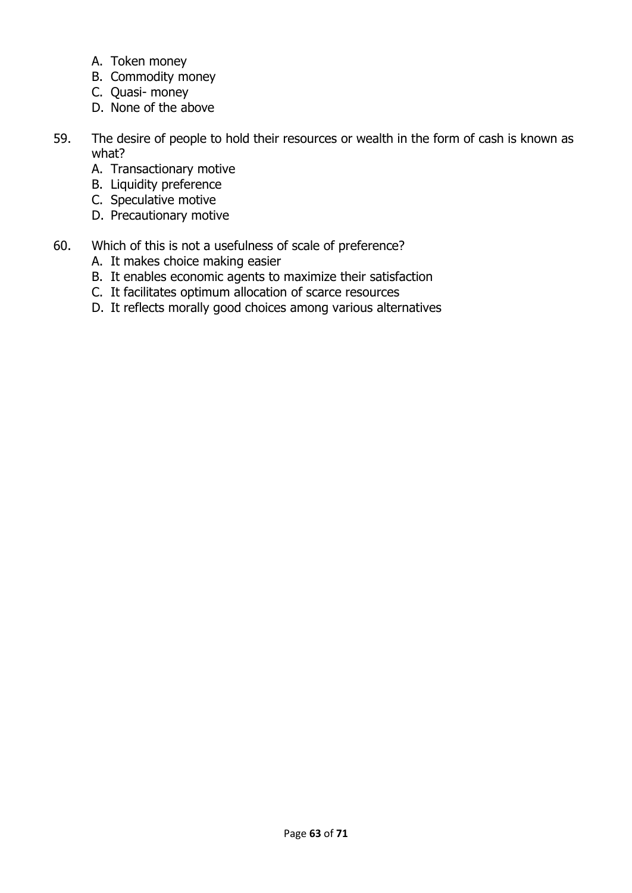- A. Token money
- B. Commodity money
- C. Quasi- money
- D. None of the above
- 59. The desire of people to hold their resources or wealth in the form of cash is known as what?
	- A. Transactionary motive
	- B. Liquidity preference
	- C. Speculative motive
	- D. Precautionary motive
- 60. Which of this is not a usefulness of scale of preference?
	- A. It makes choice making easier
	- B. It enables economic agents to maximize their satisfaction
	- C. It facilitates optimum allocation of scarce resources
	- D. It reflects morally good choices among various alternatives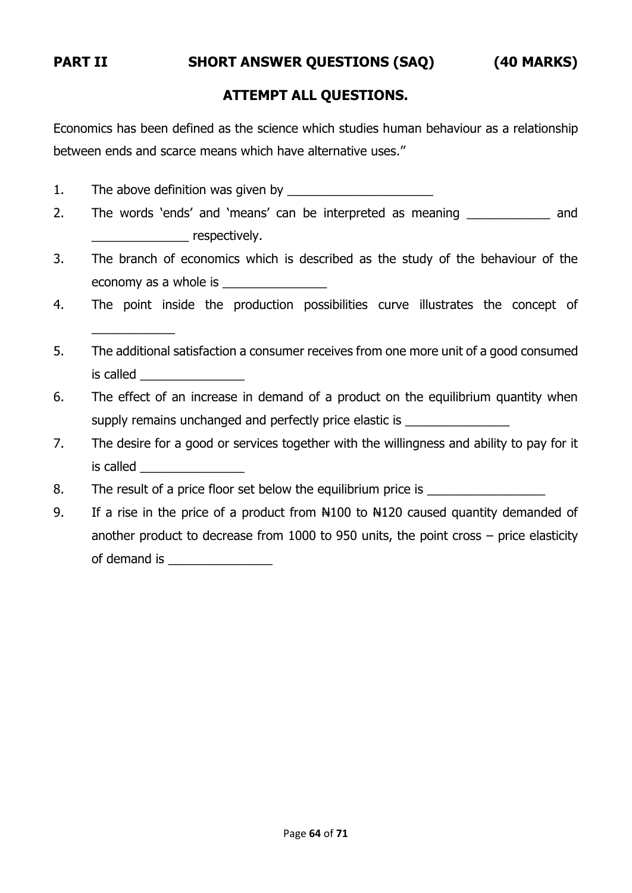\_\_\_\_\_\_\_\_\_\_\_\_

#### **PART II SHORT ANSWER QUESTIONS (SAQ) (40 MARKS)**

#### **ATTEMPT ALL QUESTIONS.**

Economics has been defined as the science which studies human behaviour as a relationship between ends and scarce means which have alternative uses.''

- 1. The above definition was given by
- 2. The words 'ends' and 'means' can be interpreted as meaning \_\_\_\_\_\_\_\_\_\_\_\_ and \_\_\_\_\_\_\_\_\_\_\_\_\_\_ respectively.
- 3. The branch of economics which is described as the study of the behaviour of the economy as a whole is
- 4. The point inside the production possibilities curve illustrates the concept of
- 5. The additional satisfaction a consumer receives from one more unit of a good consumed is called  $\Box$
- 6. The effect of an increase in demand of a product on the equilibrium quantity when supply remains unchanged and perfectly price elastic is \_\_\_\_\_\_\_\_\_\_\_\_\_\_\_\_\_\_\_\_\_\_\_\_
- 7. The desire for a good or services together with the willingness and ability to pay for it is called
- 8. The result of a price floor set below the equilibrium price is
- 9. If a rise in the price of a product from  $\frac{100}{100}$  to  $\frac{100}{100}$  caused quantity demanded of another product to decrease from 1000 to 950 units, the point cross – price elasticity of demand is **contained** is **a**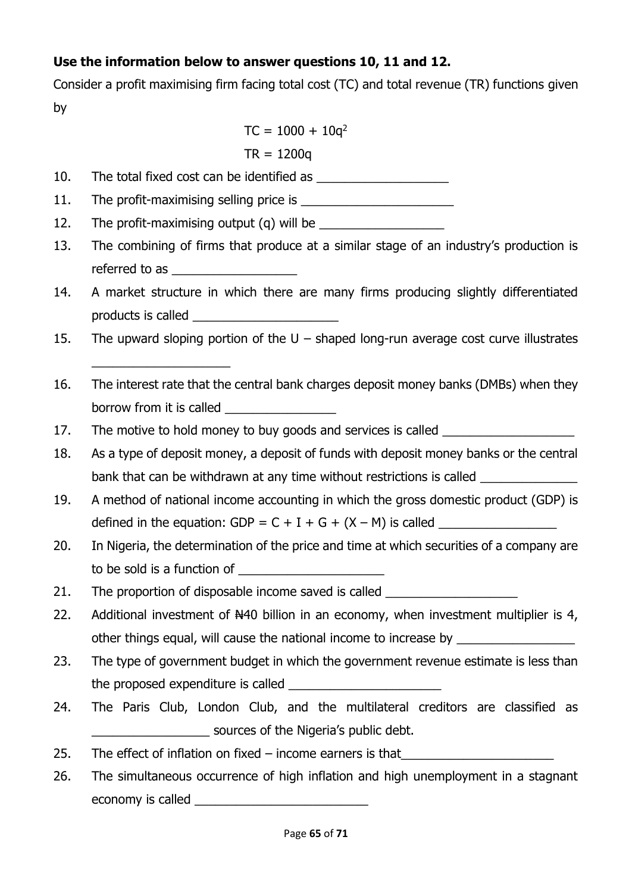## **Use the information below to answer questions 10, 11 and 12.**

Consider a profit maximising firm facing total cost (TC) and total revenue (TR) functions given by

 $TC = 1000 + 10q^2$ 

 $TR = 1200q$ 

10. The total fixed cost can be identified as **we can be a set of the set of the set of the set of the set of the set of the set of the set of the set of the set of the set of the set of the set of the set of the set of th** 

11. The profit-maximising selling price is

12. The profit-maximising output (q) will be

- 13. The combining of firms that produce at a similar stage of an industry's production is referred to as **EXECUTE:**
- 14. A market structure in which there are many firms producing slightly differentiated products is called \_\_\_\_\_\_\_\_\_\_\_\_\_\_\_\_\_\_\_\_\_
- 15. The upward sloping portion of the U shaped long-run average cost curve illustrates
- 16. The interest rate that the central bank charges deposit money banks (DMBs) when they borrow from it is called \_\_\_\_\_\_\_\_\_\_\_\_\_\_\_\_
- 17. The motive to hold money to buy goods and services is called \_\_\_\_\_\_\_\_\_\_\_\_\_\_\_
- 18. As a type of deposit money, a deposit of funds with deposit money banks or the central bank that can be withdrawn at any time without restrictions is called \_\_\_\_\_\_\_\_\_\_
- 19. A method of national income accounting in which the gross domestic product (GDP) is defined in the equation: GDP =  $C + I + G + (X - M)$  is called
- 20. In Nigeria, the determination of the price and time at which securities of a company are to be sold is a function of
- 21. The proportion of disposable income saved is called

\_\_\_\_\_\_\_\_\_\_\_\_\_\_\_\_\_\_\_\_

- 22. Additional investment of N40 billion in an economy, when investment multiplier is 4, other things equal, will cause the national income to increase by \_\_\_\_\_\_\_\_\_\_\_\_\_\_
- 23. The type of government budget in which the government revenue estimate is less than the proposed expenditure is called \_\_\_\_\_\_\_\_\_\_\_\_\_\_\_\_\_\_\_\_\_\_
- 24. The Paris Club, London Club, and the multilateral creditors are classified as sources of the Nigeria's public debt.
- 25. The effect of inflation on fixed  $-$  income earners is that
- 26. The simultaneous occurrence of high inflation and high unemployment in a stagnant economy is called  $\blacksquare$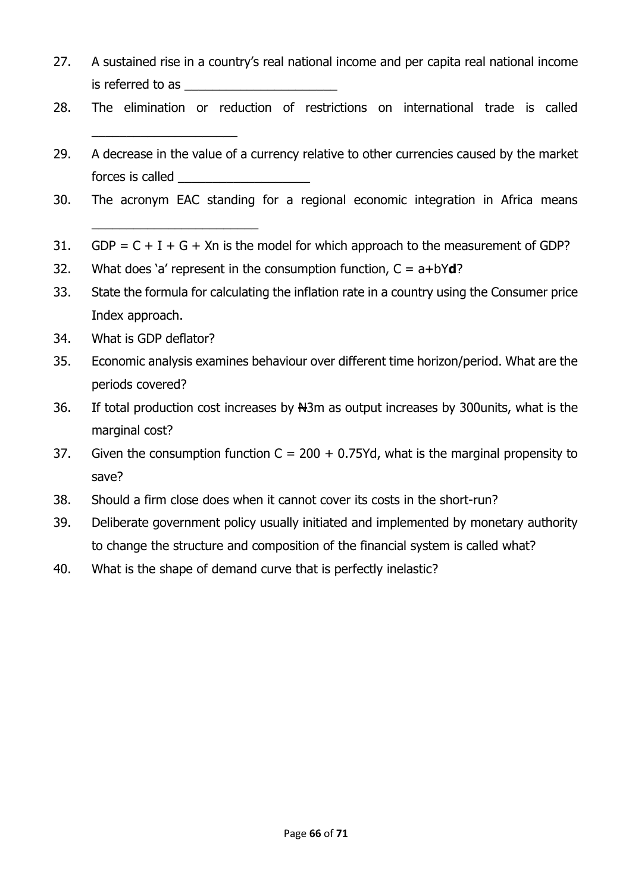- 27. A sustained rise in a country's real national income and per capita real national income is referred to as
- 28. The elimination or reduction of restrictions on international trade is called
- 29. A decrease in the value of a currency relative to other currencies caused by the market forces is called **Exercise 20**
- 30. The acronym EAC standing for a regional economic integration in Africa means
- 31. GDP =  $C + I + G + Xn$  is the model for which approach to the measurement of GDP?
- 32. What does 'a' represent in the consumption function, C = a+bY**d**?
- 33. State the formula for calculating the inflation rate in a country using the Consumer price Index approach.
- 34. What is GDP deflator?

\_\_\_\_\_\_\_\_\_\_\_\_\_\_\_\_\_\_\_\_\_

\_\_\_\_\_\_\_\_\_\_\_\_\_\_\_\_\_\_\_\_\_\_\_\_

- 35. Economic analysis examines behaviour over different time horizon/period. What are the periods covered?
- 36. If total production cost increases by N3m as output increases by 300units, what is the marginal cost?
- 37. Given the consumption function  $C = 200 + 0.75$  Yd, what is the marginal propensity to save?
- 38. Should a firm close does when it cannot cover its costs in the short-run?
- 39. Deliberate government policy usually initiated and implemented by monetary authority to change the structure and composition of the financial system is called what?
- 40. What is the shape of demand curve that is perfectly inelastic?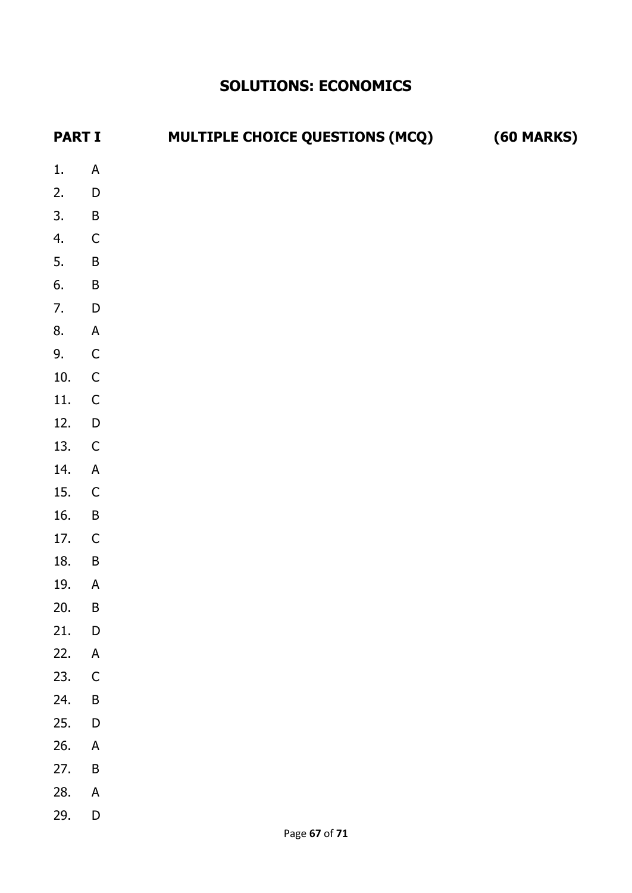# **SOLUTIONS: ECONOMICS**

| <b>PART I</b> |                                          | <b>MULTIPLE CHOICE QUESTIONS (MCQ)</b> | <b>(60 MARKS)</b> |
|---------------|------------------------------------------|----------------------------------------|-------------------|
| 1.            | $\boldsymbol{\mathsf{A}}$                |                                        |                   |
| 2.            | $\overline{D}$                           |                                        |                   |
| 3.            | $\overline{B}$                           |                                        |                   |
| 4.            | $\overline{C}$                           |                                        |                   |
| 5.            | $\overline{B}$                           |                                        |                   |
| 6.            | $\overline{B}$                           |                                        |                   |
| 7.            | $\overline{D}$                           |                                        |                   |
| 8.            | $\overline{A}$                           |                                        |                   |
| 9.            | $\overline{C}$                           |                                        |                   |
| 10.           | $\mathsf C$                              |                                        |                   |
| 11.           | $\mathsf{C}$                             |                                        |                   |
| 12.           | $\overline{D}$                           |                                        |                   |
| 13.           | $\mathsf{C}$                             |                                        |                   |
| 14.           | $\overline{A}$                           |                                        |                   |
| 15.           | $\mathsf{C}$                             |                                        |                   |
| 16.           | $\mathsf B$                              |                                        |                   |
| 17.           | $\overline{C}$                           |                                        |                   |
| 18.           | $\overline{B}$                           |                                        |                   |
| 19.           | ${\sf A}$                                |                                        |                   |
| 20.           | $\sf B$                                  |                                        |                   |
| 21.           | $\begin{array}{c} \n\end{array}$         |                                        |                   |
| 22.           | $\mathsf A$                              |                                        |                   |
| 23.           | $\mathsf C$                              |                                        |                   |
| 24.           | $\sf B$                                  |                                        |                   |
| 25.<br>26.    | $\mathsf D$<br>$\boldsymbol{\mathsf{A}}$ |                                        |                   |
| 27.           | $\sf B$                                  |                                        |                   |
| 28.           | $\mathsf A$                              |                                        |                   |
| 29.           | $\mathsf D$                              |                                        |                   |
|               |                                          | $D2$ no 67 of 71                       |                   |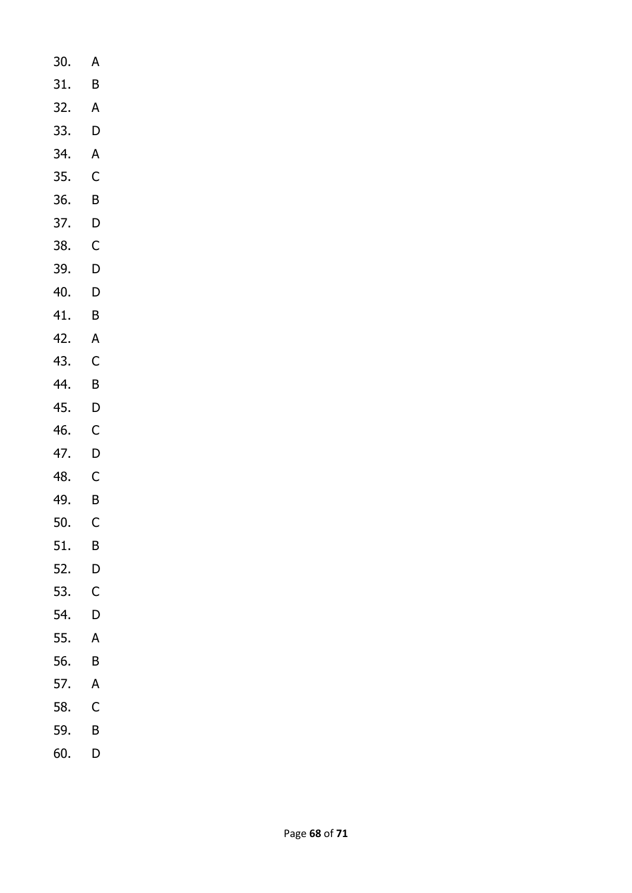- 30. A 31. B 32. A 33. D
- 34. A 35.
- C 36. B
- 37. D
- 38. C
- 39. D
- 40. D
- 41. B
- 42. A
- 43. C
- 44. B
- 45. D
- 46. C
- 47. D
- 48. C
- 49. B
- 50. C
- 51. B
- 52. D
- 53. C
- 54. D
- 55. A
- 56. B
- 57. A
- 58. C
- 59. B
- 60. D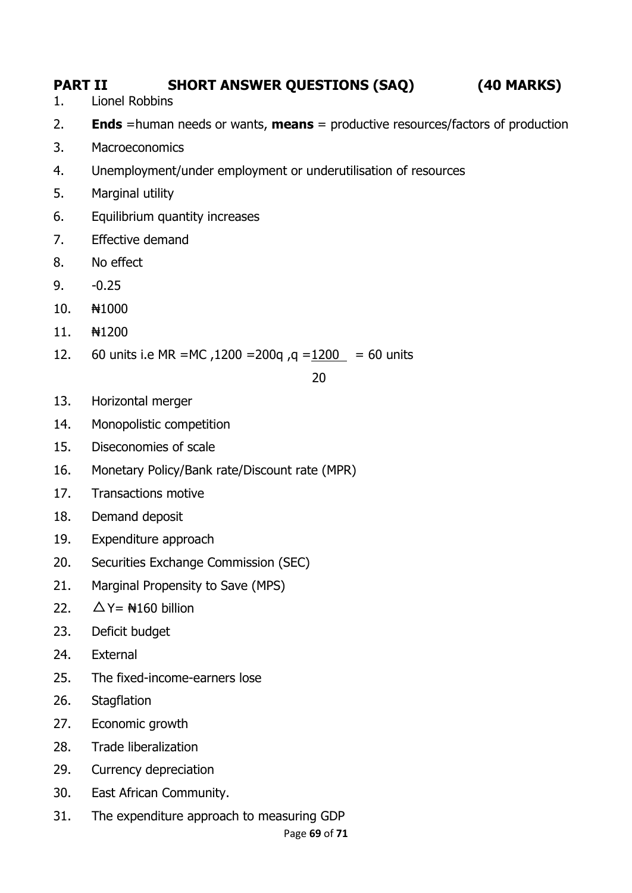# **PART II SHORT ANSWER QUESTIONS (SAQ) (40 MARKS)**

- 1. Lionel Robbins
- 2. **Ends** =human needs or wants, **means** = productive resources/factors of production
- 3. Macroeconomics
- 4. Unemployment/under employment or underutilisation of resources
- 5. Marginal utility
- 6. Equilibrium quantity increases
- 7. Effective demand
- 8. No effect
- 9. -0.25
- 10.  $\frac{100}{1000}$
- 11. ₦1200
- 12. 60 units i.e MR =MC,  $1200 = 200q$ ,  $q = 1200 = 60$  units

<u>20</u>

- 13. Horizontal merger
- 14. Monopolistic competition
- 15. Diseconomies of scale
- 16. Monetary Policy/Bank rate/Discount rate (MPR)
- 17. Transactions motive
- 18. Demand deposit
- 19. Expenditure approach
- 20. Securities Exchange Commission (SEC)
- 21. Marginal Propensity to Save (MPS)
- 22.  $\Delta Y = \text{H}160$  billion
- 23. Deficit budget
- 24. External
- 25. The fixed-income-earners lose
- 26. Stagflation
- 27. Economic growth
- 28. Trade liberalization
- 29. Currency depreciation
- 30. East African Community.
- 31. The expenditure approach to measuring GDP